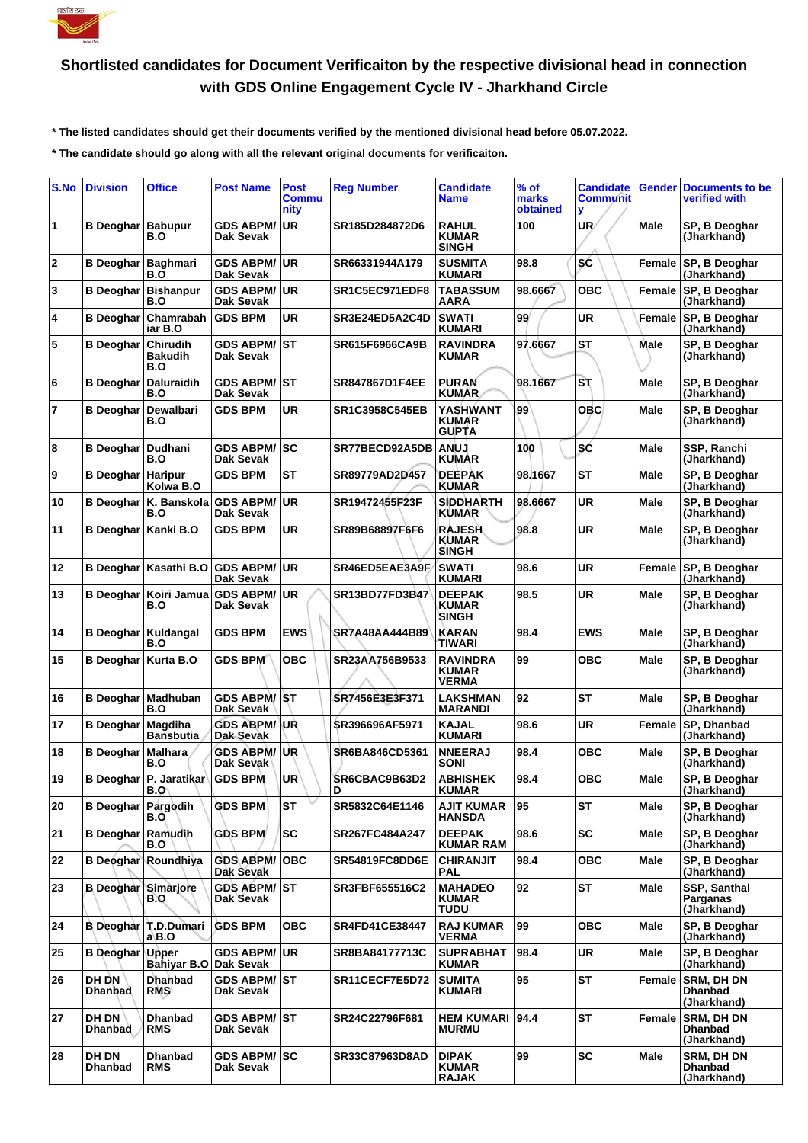

## **Shortlisted candidates for Document Verificaiton by the respective divisional head in connection with GDS Online Engagement Cycle IV - Jharkhand Circle**

 **\* The listed candidates should get their documents verified by the mentioned divisional head before 05.07.2022.**

 **\* The candidate should go along with all the relevant original documents for verificaiton.**

| S.No         | <b>Division</b>                | <b>Office</b>                               | <b>Post Name</b>                     | <b>Post</b><br><b>Commu</b><br>nity | <b>Reg Number</b>     | <b>Candidate</b><br>Name                      | % of<br>marks<br>obtained | <b>Candidate</b><br><b>Communit</b><br>v | Gender      | <b>Documents to be</b><br>verified with     |
|--------------|--------------------------------|---------------------------------------------|--------------------------------------|-------------------------------------|-----------------------|-----------------------------------------------|---------------------------|------------------------------------------|-------------|---------------------------------------------|
| 1            | <b>B</b> Deoghar Babupur       | B.O                                         | <b>GDS ABPM/</b><br>Dak Sevak        | <b>UR</b>                           | SR185D284872D6        | <b>RAHUL</b><br><b>KUMAR</b><br><b>SINGH</b>  | 100                       | UR/                                      | Male        | SP, B Deoghar<br>(Jharkhand)                |
| $\mathbf{2}$ | <b>B</b> Deoghar               | Baghmari<br>B.O                             | <b>GDS ABPM/</b><br>Dak Sevak        | <b>UR</b>                           | SR66331944A179        | <b>SUSMITA</b><br><b>KUMARI</b>               | 98.8                      | SĆ                                       | Female      | SP, B Deoghar<br>(Jharkhand)                |
| 3            |                                | <b>B Deoghar Bishanpur</b><br>B.O           | <b>GDS ABPM/</b><br>Dak Sevak        | <b>UR</b>                           | SR1C5EC971EDF8        | <b>TABASSUM</b><br>AARA                       | 98.6667                   | <b>OBC</b>                               | Female      | SP, B Deoghar<br>(Jharkhand)                |
| 4            | <b>B</b> Deoghar               | Chamrabah<br>iar B.O                        | <b>GDS BPM</b>                       | <b>UR</b>                           | SR3E24ED5A2C4D        | <b>SWATI</b><br><b>KUMARI</b>                 | 99                        | <b>UR</b>                                | Female      | SP, B Deoghar<br>(Jharkhand)                |
| 5            | <b>B</b> Deoghar               | Chirudih<br><b>Bakudih</b><br>B.O           | <b>GDS ABPM/</b><br>Dak Sevak        | IST                                 | SR615F6966CA9B        | <b>RAVINDRA</b><br><b>KUMAR</b>               | 97.6667                   | <b>ST</b>                                | <b>Male</b> | SP, B Deoghar<br>(Jharkhand)                |
| 6            | <b>B</b> Deoghar               | <b>Daluraidih</b><br>B.O                    | <b>GDS ABPM/</b><br><b>Dak Sevak</b> | <b>ST</b>                           | SR847867D1F4EE        | <b>PURAN</b><br><b>KUMAR</b>                  | 98.1667                   | SΤ                                       | Male        | SP, B Deoghar<br>(Jharkhand)                |
| 7            | <b>B</b> Deoghar               | Dewalbari<br>B.O                            | <b>GDS BPM</b>                       | UR                                  | <b>SR1C3958C545EB</b> | YASHWANT<br><b>KUMAR</b><br><b>GUPTA</b>      | 99                        | <b>OBC</b>                               | Male        | SP, B Deoghar<br>(Jharkhand)                |
| 8            | B Deoghar                      | Dudhani<br>B.O                              | <b>GDS ABPM/</b><br>Dak Sevak        | <b>SC</b>                           | SR77BECD92A5DB        | <b>ANUJ</b><br><b>KUMAR</b>                   | 100                       | SĆ                                       | Male        | SSP, Ranchi<br>(Jharkhand)                  |
| 9            | <b>B</b> Deoghar               | <b>Haripur</b><br>Kolwa B.O                 | <b>GDS BPM</b>                       | <b>ST</b>                           | SR89779AD2D457        | <b>DEEPAK</b><br><b>KUMAR</b>                 | 98.1667                   | <b>ST</b>                                | Male        | SP, B Deoghar<br>(Jharkhand)                |
| 10           | <b>B</b> Deoghar               | K. Banskola<br>B.O                          | <b>GDS ABPM/</b><br>Dak Sevak        | <b>UR</b>                           | SR19472455F23F        | <b>SIDDHARTH</b><br><b>KUMAR</b>              | 98.6667                   | <b>UR</b>                                | Male        | SP, B Deoghar<br>(Jharkhand)                |
| 11           | <b>B</b> Deoghar               | Kanki B.O                                   | <b>GDS BPM</b>                       | <b>UR</b>                           | SR89B68897F6F6        | <b>RAJESH</b><br><b>KUMAR</b><br><b>SINGH</b> | 98.8                      | <b>UR</b>                                | Male        | SP, B Deoghar<br>(Jharkhand)                |
| 12           |                                | B Deoghar   Kasathi B.O                     | <b>GDS ABPM/</b><br>Dak Sevak        | <b>UR</b>                           | SR46ED5EAE3A9F        | <b>SWATI</b><br><b>KUMARI</b>                 | 98.6                      | <b>UR</b>                                | Female      | SP, B Deoghar<br>(Jharkhand)                |
| 13           | B Deoghar                      | Koiri Jamua<br>B.O                          | <b>GDS ABPM/</b><br>Dak Sevak        | <b>UR</b>                           | SR13BD77FD3B47        | <b>DEEPAK</b><br><b>KUMAR</b><br><b>SINGH</b> | 98.5                      | <b>UR</b>                                | Male        | SP, B Deoghar<br>(Jharkhand)                |
| 14           | <b>B Deoghar   Kuldangal</b>   | B.O                                         | <b>GDS BPM</b>                       | <b>EWS</b>                          | SR7A48AA444B89        | <b>KARAN</b><br>TIWARI                        | 98.4                      | EWS                                      | Male        | SP, B Deoghar<br>(Jharkhand)                |
| 15           | B Deoghar                      | Kurta B.O                                   | <b>GDS BPM</b>                       | <b>OBC</b>                          | SR23AA756B9533        | <b>RAVINDRA</b><br><b>KUMAR</b><br>VERMA      | 99                        | <b>OBC</b>                               | Male        | SP, B Deoghar<br>(Jharkhand)                |
| 16           |                                | <b>B Deoghar   Madhuban</b><br>B.O          | <b>GDS ABPM/</b><br>Dak Sevak        | IST                                 | SR7456E3E3F371        | LAKSHMAN<br><b>MARANDI</b>                    | 92                        | <b>ST</b>                                | Male        | SP, B Deoghar<br>(Jharkhand)                |
| 17           | <b>B</b> Deoghar   Magdiha     | <b>Bansbutia</b>                            | <b>GDS ABPM/</b><br>Dak Sevak        | UR                                  | SR396696AF5971        | <b>KAJAL</b><br><b>KUMARI</b>                 | 98.6                      | <b>UR</b>                                | Female      | SP, Dhanbad<br>(Jharkhand)                  |
| 18           | <b>B</b> Deoghar               | Malhara<br>B.O                              | <b>GDS ABPM/</b><br>Dak Sevak        | UR.                                 | SR6BA846CD5361        | <b>NNEERAJ</b><br>SONI                        | 98.4                      | ОВС                                      | Male        | SP, B Deoghar<br>(Jharkhand)                |
| 19           |                                | B Deoghar   P. Jaratikar<br>B.O             | <b>GDS BPM</b>                       | <b>UR</b>                           | SR6CBAC9B63D2<br>D    | <b>ABHISHEK</b><br><b>KUMAR</b>               | 98.4                      | <b>OBC</b>                               | Male        | SP, B Deoghar<br>(Jharkhand)                |
| 20           | <b>B</b> Deoghar               | Pargodih<br>B.O                             | <b>GDS BPM</b>                       | <b>ST</b>                           | SR5832C64E1146        | <b>AJIT KUMAR</b><br><b>HANSDA</b>            | 95                        | <b>ST</b>                                | Male        | SP, B Deoghar<br>(Jharkhand)                |
| 21           | <b>B Deoghar Ramudih</b>       | B.O                                         | <b>GDS BPM</b>                       | <b>SC</b>                           | SR267FC484A247        | <b>DEEPAK</b><br><b>KUMAR RAM</b>             | 98.6                      | <b>SC</b>                                | Male        | SP. B Deoghar<br>(Jharkhand)                |
| 22           |                                | <b>B Deoghar Roundhiya</b>                  | <b>GDS ABPM/</b><br>Dak Sevak        | <b>OBC</b>                          | SR54819FC8DD6E        | <b>CHIRANJIT</b><br>PAL                       | 98.4                      | ОВС                                      | Male        | SP, B Deoghar<br>(Jharkhand)                |
| 23           | <b>B</b> Deoghar Simarjore     | B.O                                         | <b>GDS ABPM/ ST</b><br>Dak Sevak     |                                     | SR3FBF655516C2        | <b>MAHADEO</b><br><b>KUMAR</b><br>TUDU        | 92                        | <b>ST</b>                                | Male        | SSP, Santhal<br>Parganas<br>(Jharkhand)     |
| 24           |                                | B Deoghar T.D.Dumari<br>$a$ <sub>B</sub> .O | <b>GDS BPM</b>                       | <b>OBC</b>                          | SR4FD41CE38447        | <b>RAJ KUMAR</b><br>VERMA                     | 99                        | <b>OBC</b>                               | Male        | SP, B Deoghar<br>(Jharkhand)                |
| 25           | <b>B</b> Deoghar Upper         | Bahiyar B.O Dak Sevak                       | <b>GDS ABPM/</b>                     | <b>UR</b>                           | SR8BA84177713C        | <b>SUPRABHAT</b><br>KUMAR                     | 98.4                      | <b>UR</b>                                | Male        | SP, B Deoghar<br>(Jharkhand)                |
| 26           | DH DN<br><b>Dhanbad</b>        | <b>Dhanbad</b><br><b>RMS</b>                | <b>GDS ABPM/ST</b><br>Dak Sevak      |                                     | SR11CECF7E5D72        | <b>SUMITA</b><br><b>KUMARI</b>                | 95                        | <b>ST</b>                                | Female      | <b>SRM, DH DN</b><br>Dhanbad<br>(Jharkhand) |
| 27           | DH DN<br>Dhanbad               | <b>Dhanbad</b><br><b>RMS</b>                | <b>GDS ABPM/ST</b><br>Dak Sevak      |                                     | SR24C22796F681        | <b>HEM KUMARI</b><br><b>MURMU</b>             | 94.4                      | <b>ST</b>                                | Female      | <b>SRM, DH DN</b><br>Dhanbad<br>(Jharkhand) |
| 28           | <b>DH DN</b><br><b>Dhanbad</b> | <b>Dhanbad</b><br><b>RMS</b>                | <b>GDS ABPM/ SC</b><br>Dak Sevak     |                                     | SR33C87963D8AD        | <b>DIPAK</b><br><b>KUMAR</b><br><b>RAJAK</b>  | 99                        | <b>SC</b>                                | Male        | SRM, DH DN<br>Dhanbad<br>(Jharkhand)        |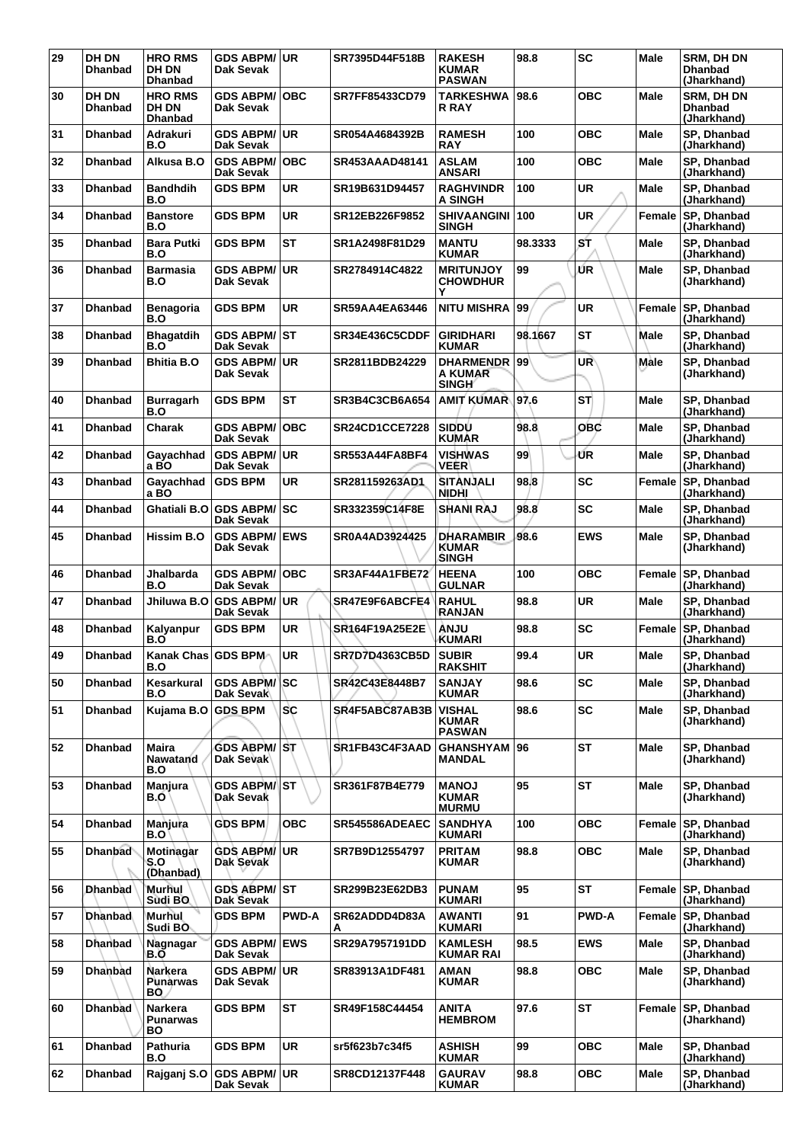| 29 | <b>DH DN</b><br><b>Dhanbad</b> | <b>HRO RMS</b><br><b>DH DN</b><br><b>Dhanbad</b> | GDS ABPM/UR<br>Dak Sevak             |              | SR7395D44F518B        | <b>RAKESH</b><br><b>KUMAR</b><br><b>PASWAN</b> | 98.8    | <b>SC</b>    | <b>Male</b> | SRM, DH DN<br><b>Dhanbad</b><br>(Jharkhand)        |
|----|--------------------------------|--------------------------------------------------|--------------------------------------|--------------|-----------------------|------------------------------------------------|---------|--------------|-------------|----------------------------------------------------|
| 30 | DH DN<br><b>Dhanbad</b>        | <b>HRO RMS</b><br>DH DN<br><b>Dhanbad</b>        | <b>GDS ABPM/</b><br>Dak Sevak        | <b>OBC</b>   | SR7FF85433CD79        | TARKESHWA<br><b>R RAY</b>                      | 98.6    | овс          | Male        | <b>SRM. DH DN</b><br><b>Dhanbad</b><br>(Jharkhand) |
| 31 | <b>Dhanbad</b>                 | Adrakuri<br>B.O                                  | <b>GDS ABPM/</b><br>Dak Sevak        | <b>UR</b>    | SR054A4684392B        | <b>RAMESH</b><br><b>RAY</b>                    | 100     | <b>OBC</b>   | <b>Male</b> | SP, Dhanbad<br>(Jharkhand)                         |
| 32 | <b>Dhanbad</b>                 | Alkusa B.O                                       | <b>GDS ABPM/</b><br>Dak Sevak        | <b>OBC</b>   | SR453AAAD48141        | <b>ASLAM</b><br><b>ANSARI</b>                  | 100     | <b>OBC</b>   | Male        | SP, Dhanbad<br>(Jharkhand)                         |
| 33 | <b>Dhanbad</b>                 | <b>Bandhdih</b><br>B.O                           | <b>GDS BPM</b>                       | <b>UR</b>    | SR19B631D94457        | <b>RAGHVINDR</b><br><b>A SINGH</b>             | 100     | <b>UR</b>    | <b>Male</b> | SP. Dhanbad<br>(Jharkhand)                         |
| 34 | <b>Dhanbad</b>                 | <b>Banstore</b><br>B.O                           | <b>GDS BPM</b>                       | <b>UR</b>    | SR12EB226F9852        | SHIVAANGINI 100<br><b>SINGH</b>                |         | <b>UR</b>    | Female      | SP, Dhanbad<br>(Jharkhand)                         |
| 35 | <b>Dhanbad</b>                 | <b>Bara Putki</b><br>B.O                         | <b>GDS BPM</b>                       | <b>ST</b>    | SR1A2498F81D29        | <b>MANTU</b><br><b>KUMAR</b>                   | 98.3333 | ST           | Male        | SP, Dhanbad<br>(Jharkhand)                         |
| 36 | <b>Dhanbad</b>                 | <b>Barmasia</b><br>B.O                           | <b>GDS ABPM/</b><br>Dak Sevak        | <b>UR</b>    | SR2784914C4822        | <b>MRITUNJOY</b><br><b>CHOWDHUR</b><br>Υ       | 99      | ŰR           | Male        | SP, Dhanbad<br>(Jharkhand)                         |
| 37 | <b>Dhanbad</b>                 | Benagoria<br>B.O                                 | <b>GDS BPM</b>                       | <b>UR</b>    | SR59AA4EA63446        | <b>NITU MISHRA</b>                             | 99      | <b>UR</b>    | Female      | SP, Dhanbad<br>(Jharkhand)                         |
| 38 | <b>Dhanbad</b>                 | <b>Bhagatdih</b><br>B.O                          | <b>GDS ABPM/</b><br><b>Dak Sevak</b> | <b>ST</b>    | SR34E436C5CDDF        | <b>GIRIDHARI</b><br><b>KUMAR</b>               | 98.1667 | <b>ST</b>    | Male        | SP, Dhanbad<br>(Jharkhand)                         |
| 39 | Dhanbad                        | <b>Bhitia B.O</b>                                | <b>GDS ABPM/</b><br>Dak Sevak        | <b>UR</b>    | SR2811BDB24229        | <b>DHARMENDR 99</b><br>A KUMAR<br><b>SINGH</b> |         | UR           | Male        | SP, Dhanbad<br>(Jharkhand)                         |
| 40 | <b>Dhanbad</b>                 | <b>Burragarh</b><br>B.O                          | <b>GDS BPM</b>                       | <b>ST</b>    | SR3B4C3CB6A654        | AMIT KUMAR 97.6                                |         | ST           | Male        | SP, Dhanbad<br>(Jharkhand)                         |
| 41 | <b>Dhanbad</b>                 | Charak                                           | <b>GDS ABPM/</b><br>Dak Sevak        | <b>OBC</b>   | <b>SR24CD1CCE7228</b> | <b>SIDDU</b><br><b>KUMAR</b>                   | 98.8    | <b>OBC</b>   | Male        | SP, Dhanbad<br>(Jharkhand)                         |
| 42 | <b>Dhanbad</b>                 | Gayachhad<br>a BO                                | <b>GDS ABPM/</b><br>Dak Sevak        | <b>UR</b>    | SR553A44FA8BF4        | <b>VISHWAS</b><br>VEER                         | 99      | ŰR           | <b>Male</b> | SP, Dhanbad<br>(Jharkhand)                         |
| 43 | <b>Dhanbad</b>                 | Gayachhad<br>a BO                                | <b>GDS BPM</b>                       | <b>UR</b>    | SR281159263AD1        | <b>SITANJALI</b><br>NIDHI                      | 98.8    | <b>SC</b>    | Female      | SP, Dhanbad<br>(Jharkhand)                         |
| 44 | <b>Dhanbad</b>                 | Ghatiali B.O                                     | <b>GDS ABPM/</b><br>Dak Sevak        | SC           | SR332359C14F8E        | <b>SHANI RAJ</b>                               | 98.8    | <b>SC</b>    | Male        | SP, Dhanbad<br>(Jharkhand)                         |
| 45 | <b>Dhanbad</b>                 | Hissim B.O                                       | <b>GDS ABPM/</b><br>Dak Sevak        | <b>EWS</b>   | SR0A4AD3924425        | <b>DHARAMBIR</b><br><b>KUMAR</b><br>SINGH      | 98.6    | <b>EWS</b>   | Male        | SP, Dhanbad<br>(Jharkhand)                         |
| 46 | <b>Dhanbad</b>                 | Jhalbarda<br>B.O                                 | <b>GDS ABPM/</b><br>Dak Sevak        | <b>OBC</b>   | SR3AF44A1FBE72        | <b>HEENA</b><br><b>GULNAR</b>                  | 100     | <b>OBC</b>   | Female      | SP, Dhanbad<br>(Jharkhand)                         |
| 47 | <b>Dhanbad</b>                 | Jhiluwa B.O                                      | <b>GDS ABPM/</b><br>Dak Sevak        | <b>UR</b>    | SR47E9F6ABCFE4        | <b>RAHUL</b><br>RANJAN                         | 98.8    | <b>UR</b>    | <b>Male</b> | SP, Dhanbad<br>(Jharkhand)                         |
| 48 | <b>Dhanbad</b>                 | Kalyanpur<br>B.O                                 | <b>GDS BPM</b>                       | <b>UR</b>    | SR164F19A25E2E        | <b>ANJU</b><br><b>KUMARI</b>                   | 98.8    | <b>SC</b>    | Female      | <b>SP. Dhanbad</b><br>(Jharkhand)                  |
| 49 | <b>Dhanbad</b>                 | Kanak Chas GDS BPM<br>B.O                        |                                      | UR           | SR7D7D4363CB5D        | <b>SUBIR</b><br><b>RAKSHIT</b>                 | 99.4    | <b>UR</b>    | Male        | SP, Dhanbad<br>(Jharkhand)                         |
| 50 | <b>Dhanbad</b>                 | Kesarkural<br>B.O                                | <b>GDS ABPM/SC</b><br>Dak Sevak      |              | SR42C43E8448B7        | <b>SANJAY</b><br><b>KUMAR</b>                  | 98.6    | <b>SC</b>    | <b>Male</b> | SP, Dhanbad<br>(Jharkhand)                         |
| 51 | <b>Dhanbad</b>                 | Kujama B.O                                       | <b>GDS BPM</b>                       | <b>SC</b>    | SR4F5ABC87AB3B        | <b>VISHAL</b><br><b>KUMAR</b><br><b>PASWAN</b> | 98.6    | <b>SC</b>    | <b>Male</b> | SP, Dhanbad<br>(Jharkhand)                         |
| 52 | <b>Dhanbad</b>                 | <b>Maira</b><br><b>Nawatand</b><br>B.O           | <b>GDS ABPM/ST</b><br>Dak Sevak      |              | SR1FB43C4F3AAD        | <b>GHANSHYAM</b><br>MANDAL                     | 96      | <b>ST</b>    | <b>Male</b> | SP, Dhanbad<br>(Jharkhand)                         |
| 53 | <b>Dhanbad</b>                 | Manjura<br>B.O                                   | <b>GDS ABPM/</b><br>Dak Sevak        | <b>ST</b>    | SR361F87B4E779        | <b>MANOJ</b><br><b>KUMAR</b><br><b>MURMU</b>   | 95      | <b>ST</b>    | <b>Male</b> | SP, Dhanbad<br>(Jharkhand)                         |
| 54 | <b>Dhanbad</b>                 | Manjura<br>B.O                                   | <b>GDS BPM</b>                       | <b>OBC</b>   | SR545586ADEAEC        | <b>SANDHYA</b><br><b>KUMARI</b>                | 100     | <b>OBC</b>   | Female      | SP, Dhanbad<br>(Jharkhand)                         |
| 55 | <b>Dhanbad</b>                 | Motinagar<br>S.O<br>(Dhanbad)                    | <b>GDS ABPM/</b><br>Dak Sevak        | <b>UR</b>    | SR7B9D12554797        | <b>PRITAM</b><br><b>KUMAR</b>                  | 98.8    | <b>OBC</b>   | Male        | SP, Dhanbad<br>(Jharkhand)                         |
| 56 | <b>Dhanbad</b>                 | Murhul<br>Sudi BO                                | <b>GDS ABPM/ ST</b><br>Dak Sevak     |              | SR299B23E62DB3        | <b>PUNAM</b><br><b>KUMARI</b>                  | 95      | <b>ST</b>    | Female      | SP, Dhanbad<br>(Jharkhand)                         |
| 57 | <b>Dhanbad</b>                 | Murhul<br>Sudi BO                                | <b>GDS BPM</b>                       | <b>PWD-A</b> | SR62ADDD4D83A<br>A    | <b>AWANTI</b><br><b>KUMARI</b>                 | 91      | <b>PWD-A</b> | Female      | SP, Dhanbad<br>(Jharkhand)                         |
| 58 | <b>Dhanbad</b>                 | Nagnagar<br>B.O                                  | <b>GDS ABPM/</b><br>Dak Sevak        | <b>EWS</b>   | SR29A7957191DD        | <b>KAMLESH</b><br><b>KUMAR RAI</b>             | 98.5    | <b>EWS</b>   | Male        | SP, Dhanbad<br>(Jharkhand)                         |
| 59 | <b>Dhanbad</b>                 | <b>Narkera</b><br><b>Punarwas</b><br>BO.         | <b>GDS ABPM/</b><br>Dak Sevak        | <b>UR</b>    | SR83913A1DF481        | AMAN<br><b>KUMAR</b>                           | 98.8    | <b>OBC</b>   | Male        | SP, Dhanbad<br>(Jharkhand)                         |
| 60 | <b>Dhanbad</b>                 | <b>Narkera</b><br><b>Punarwas</b><br>BO          | <b>GDS BPM</b>                       | <b>ST</b>    | SR49F158C44454        | <b>ANITA</b><br><b>HEMBROM</b>                 | 97.6    | <b>ST</b>    | Female      | SP, Dhanbad<br>(Jharkhand)                         |
| 61 | <b>Dhanbad</b>                 | Pathuria<br>B.O                                  | <b>GDS BPM</b>                       | <b>UR</b>    | sr5f623b7c34f5        | <b>ASHISH</b><br><b>KUMAR</b>                  | 99      | ОВС          | Male        | SP, Dhanbad<br>(Jharkhand)                         |
| 62 | <b>Dhanbad</b>                 | Rajganj S.O                                      | <b>GDS ABPM/</b><br>Dak Sevak        | <b>UR</b>    | SR8CD12137F448        | <b>GAURAV</b><br><b>KUMAR</b>                  | 98.8    | <b>OBC</b>   | Male        | SP, Dhanbad<br>(Jharkhand)                         |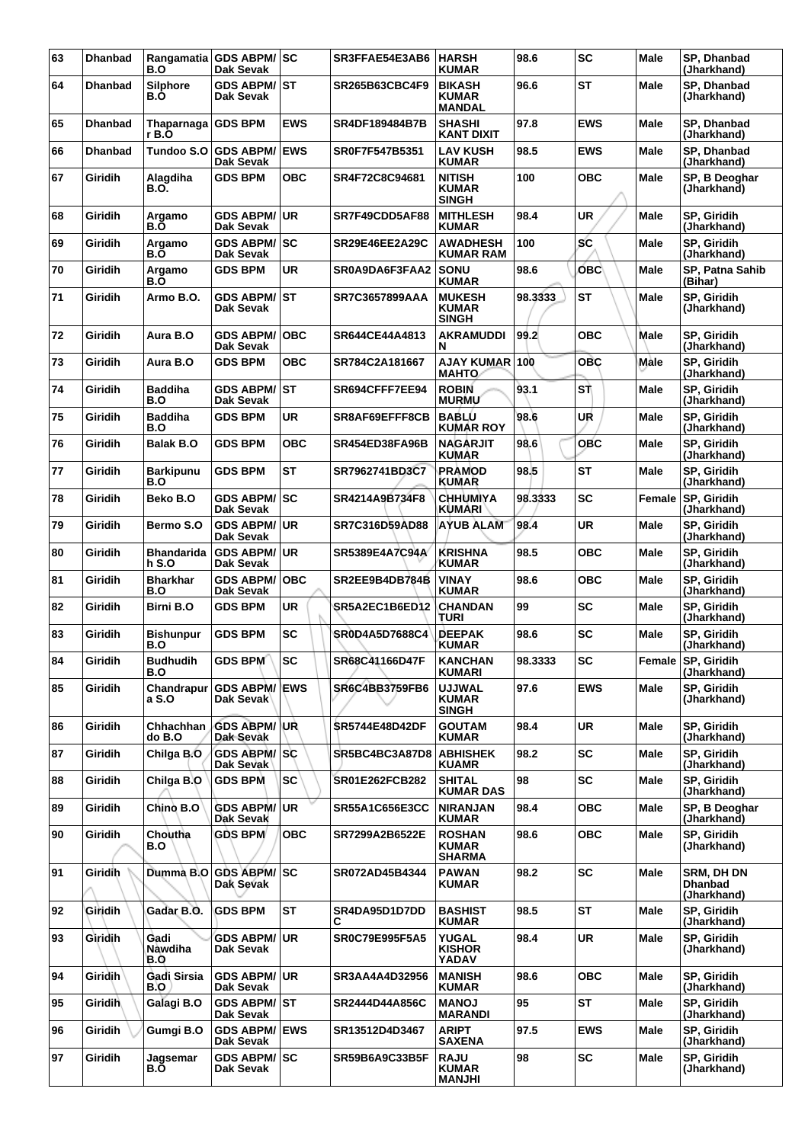| 63 | <b>Dhanbad</b> | B.O                           | Rangamatia GDS ABPM/SC<br>Dak Sevak            |             | SR3FFAE54E3AB6        | <b>HARSH</b><br><b>KUMAR</b>                   | 98.6    | <b>SC</b>  | Male        | SP, Dhanbad<br>(Jharkhand)                         |
|----|----------------|-------------------------------|------------------------------------------------|-------------|-----------------------|------------------------------------------------|---------|------------|-------------|----------------------------------------------------|
| 64 | <b>Dhanbad</b> | <b>Silphore</b><br>B.Ò        | <b>GDS ABPM/ ST</b><br>Dak Sevak               |             | <b>SR265B63CBC4F9</b> | <b>BIKASH</b><br><b>KUMAR</b><br><b>MANDAL</b> | 96.6    | <b>ST</b>  | <b>Male</b> | SP, Dhanbad<br>(Jharkhand)                         |
| 65 | <b>Dhanbad</b> | Thaparnaga GDS BPM<br>r B.O   |                                                | <b>EWS</b>  | SR4DF189484B7B        | <b>SHASHI</b><br><b>KANT DIXIT</b>             | 97.8    | <b>EWS</b> | Male        | SP. Dhanbad<br>(Jharkhand)                         |
| 66 | <b>Dhanbad</b> | Tundoo S.O                    | <b>GDS ABPM/</b><br>Dak Sevak                  | <b>IEWS</b> | SR0F7F547B5351        | <b>LAV KUSH</b><br><b>KUMAR</b>                | 98.5    | <b>EWS</b> | Male        | SP, Dhanbad<br>(Jharkhand)                         |
| 67 | Giridih        | Alagdiha<br>B.O.              | <b>GDS BPM</b>                                 | <b>OBC</b>  | SR4F72C8C94681        | <b>NITISH</b><br><b>KUMAR</b><br><b>SINGH</b>  | 100     | ОВС        | <b>Male</b> | SP, B Deoghar<br>(Jharkhand)                       |
| 68 | Giridih        | Argamo<br>B.Ō                 | <b>GDS ABPM/ UR</b><br>Dak Sevak               |             | SR7F49CDD5AF88        | <b>MITHLESH</b><br><b>KUMAR</b>                | 98.4    | UR         | <b>Male</b> | SP, Giridih<br>(Jharkhand)                         |
| 69 | <b>Giridih</b> | Argamo<br>B.O                 | <b>GDS ABPM/ SC</b><br>Dak Sevak               |             | SR29E46EE2A29C        | <b>AWADHESH</b><br>KUMAR RAM                   | 100     | <b>SC</b>  | <b>Male</b> | SP, Giridih<br>(Jharkhand)                         |
| 70 | Giridih        | Argamo<br>B.Ō                 | <b>GDS BPM</b>                                 | <b>UR</b>   | SR0A9DA6F3FAA2        | <b>SONU</b><br><b>KUMAR</b>                    | 98.6    | OBC        | Male        | SP, Patna Sahib<br>(Bihar)                         |
| 71 | Giridih        | Armo B.O.                     | <b>GDS ABPM/ ST</b><br>Dak Sevak               |             | <b>SR7C3657899AAA</b> | <b>MUKESH</b><br><b>KUMAR</b><br><b>SINGH</b>  | 98.3333 | <b>ST</b>  | Male        | SP, Giridih<br>(Jharkhand)                         |
| 72 | Giridih        | Aura B.O                      | <b>GDS ABPM/</b><br>Dak Sevak                  | <b>OBC</b>  | SR644CE44A4813        | <b>AKRAMUDDI</b><br>N                          | 99.2    | <b>OBC</b> | Male        | SP, Giridih<br>(Jharkhand)                         |
| 73 | Giridih        | Aura B.O                      | <b>GDS BPM</b>                                 | ОВС         | SR784C2A181667        | AJAY KUMAR 100<br><b>MAHTO</b>                 |         | <b>OBC</b> | Male        | SP, Giridih<br>(Jharkhand)                         |
| 74 | Giridih        | <b>Baddiha</b><br>B.O         | <b>GDS ABPM/ ST</b><br>Dak Sevak               |             | SR694CFFF7EE94        | <b>ROBIN</b><br><b>MURMU</b>                   | 93.1    | SŤ         | <b>Male</b> | SP, Giridih<br>(Jharkhand)                         |
| 75 | Giridih        | <b>Baddiha</b><br>B.O         | <b>GDS BPM</b>                                 | <b>UR</b>   | SR8AF69EFFF8CB        | <b>BABLU</b><br>KUMAR ROY                      | 98.6    | UR         | Male        | SP, Giridih<br>(Jharkhand)                         |
| 76 | Giridih        | <b>Balak B.O</b>              | <b>GDS BPM</b>                                 | <b>OBC</b>  | SR454ED38FA96B        | <b>NAGARJIT</b><br>KUMAR                       | 98.6    | <b>OBC</b> | Male        | SP, Giridih<br>(Jharkhand)                         |
| 77 | Giridih        | <b>Barkipunu</b><br>B.O       | <b>GDS BPM</b>                                 | <b>ST</b>   | SR7962741BD3C7        | <b>PRAMOD</b><br>KUMAR                         | 98.5    | <b>ST</b>  | <b>Male</b> | SP, Giridih<br>(Jharkhand)                         |
| 78 | Giridih        | Beko B.O                      | GDS ABPM/SC<br>Dak Sevak                       |             | SR4214A9B734F8        | <b>CHHUMIYA</b><br>KUMARI                      | 98.3333 | <b>SC</b>  | Female      | <b>SP.</b> Giridih<br>(Jharkhand)                  |
| 79 | Giridih        | Bermo S.O                     | <b>GDS ABPM/ UR</b><br>Dak Sevak               |             | SR7C316D59AD88        | <b>AYUB ALAM</b>                               | 98.4    | <b>UR</b>  | Male        | SP, Giridih<br>(Jharkhand)                         |
| 80 | Giridih        | <b>Bhandarida</b><br>h S.O    | <b>GDS ABPM/UR</b><br>Dak Sevak                |             | SR5389E4A7C94A        | <b>KRISHNA</b><br><b>KUMAR</b>                 | 98.5    | <b>OBC</b> | <b>Male</b> | SP, Giridih<br>(Jharkhand)                         |
| 81 | Giridih        | <b>Bharkhar</b><br>B.O        | <b>GDS ABPM/</b><br>Dak Sevak                  | ∣oвc        | SR2EE9B4DB784B        | <b>VINAY</b><br><b>KUMAR</b>                   | 98.6    | <b>OBC</b> | Male        | <b>SP. Giridih</b><br>(Jharkhand)                  |
| 82 | Giridih        | <b>Birni B.O</b>              | <b>GDS BPM</b>                                 | UR.         | SR5A2EC1B6ED12        | CHANDAN<br>TURI                                | 99      | <b>SC</b>  | Male        | SP, Giridih<br>(Jharkhand)                         |
| 83 | Giridih        | <b>Bishunpur</b><br>B.O       | <b>GDS BPM</b>                                 | <b>SC</b>   | SR0D4A5D7688C4        | <b>DEEPAK</b><br>KUMAR                         | 98.6    | <b>SC</b>  | Male        | SP, Giridih<br>(Jharkhand)                         |
| 84 | Giridih        | <b>Budhudih</b><br>B.O        | GDS BPM                                        | ∣sc         | SR68C41166D47F        | <b>KANCHAN</b><br><b>KUMARI</b>                | 98.3333 | <b>SC</b>  |             | Female SP, Giridih<br>(Jharkhand)                  |
| 85 | Giridih        | Chandrapur<br>a S.O           | <b>GDS ABPM/ EWS</b><br>Dak Sevak <sup>1</sup> |             | <b>SR6C4BB3759FB6</b> | <b>UJJWAL</b><br><b>KUMAR</b><br><b>SINGH</b>  | 97.6    | <b>EWS</b> | Male        | SP, Giridih<br>(Jharkhand)                         |
| 86 | Giridih        | Chhachhan<br>do B.O           | <b>GDS ABPM/UR</b><br>Dak Sevak                |             | <b>SR5744E48D42DF</b> | <b>GOUTAM</b><br><b>KUMAR</b>                  | 98.4    | <b>UR</b>  | Male        | SP, Giridih<br>(Jharkhand)                         |
| 87 | <b>Giridih</b> | Chilga B.O                    | <b>GDS ABPM/SC</b><br>Dak Sevak                |             | SR5BC4BC3A87D8        | <b>ABHISHEK</b><br><b>KUAMR</b>                | 98.2    | <b>SC</b>  | Male        | SP, Giridih<br>(Jharkhand)                         |
| 88 | <b>Giridih</b> | Chilga B.O                    | <b>GDS BPM</b>                                 | <b>SC</b>   | SR01E262FCB282        | <b>SHITAL</b><br><b>KUMAR DAS</b>              | 98      | <b>SC</b>  | Male        | SP, Giridih<br>(Jharkhand)                         |
| 89 | <b>Giridih</b> | Chino B.O                     | <b>GDS ABPM/UR</b><br>Dak Sevak                |             | <b>SR55A1C656E3CC</b> | <b>NIRANJAN</b><br><b>KUMAR</b>                | 98.4    | <b>OBC</b> | Male        | SP, B Deoghar<br>(Jharkhand)                       |
| 90 | Giridih        | Choutha<br>B.O                | <b>GDS BPM</b>                                 | ОВС         | SR7299A2B6522E        | <b>ROSHAN</b><br><b>KUMAR</b><br><b>SHARMA</b> | 98.6    | ОВС        | Male        | SP, Giridih<br>(Jharkhand)                         |
| 91 | Giridih        | Dumma B.O                     | <b>GDS ABPM/ SC</b><br>Dak Sevak               |             | SR072AD45B4344        | <b>PAWAN</b><br><b>KUMAR</b>                   | 98.2    | <b>SC</b>  | Male        | <b>SRM, DH DN</b><br><b>Dhanbad</b><br>(Jharkhand) |
| 92 | Giridih        | Gadar B.O.                    | <b>GDS BPM</b>                                 | <b>ST</b>   | SR4DA95D1D7DD<br>C    | <b>BASHIST</b><br><b>KUMAR</b>                 | 98.5    | <b>ST</b>  | Male        | SP, Giridih<br>(Jharkhand)                         |
| 93 | Giridih        | Gadi<br>Nawdiha<br><b>B.O</b> | <b>GDS ABPM/ UR</b><br>Dak Sevak               |             | <b>SR0C79E995F5A5</b> | YUGAL<br><b>KISHOR</b><br>YADAV                | 98.4    | <b>UR</b>  | Male        | SP, Giridih<br>(Jharkhand)                         |
| 94 | <b>Giridih</b> | Gadi Sirsia<br>B.O            | <b>GDS ABPM/ UR</b><br>Dak Sevak               |             | SR3AA4A4D32956        | <b>MANISH</b><br><b>KUMAR</b>                  | 98.6    | <b>OBC</b> | Male        | SP, Giridih<br>(Jharkhand)                         |
| 95 | Giridih        | Galagi B.O                    | <b>GDS ABPM/ST</b><br>Dak Sevak                |             | SR2444D44A856C        | <b>MANOJ</b><br><b>MARANDI</b>                 | 95      | <b>ST</b>  | Male        | SP, Giridih<br>(Jharkhand)                         |
| 96 | Giridih        | Gumgi B.O                     | <b>GDS ABPM/ EWS</b><br>Dak Sevak              |             | SR13512D4D3467        | <b>ARIPT</b><br><b>SAXENA</b>                  | 97.5    | <b>EWS</b> | Male        | SP, Giridih<br>(Jharkhand)                         |
| 97 | Giridih        | <b>Jagsemar</b><br>B.O        | <b>GDS ABPM/ SC</b><br>Dak Sevak               |             | <b>SR59B6A9C33B5F</b> | <b>RAJU</b><br><b>KUMAR</b><br><b>MANJHI</b>   | 98      | SC         | Male        | SP, Giridih<br>(Jharkhand)                         |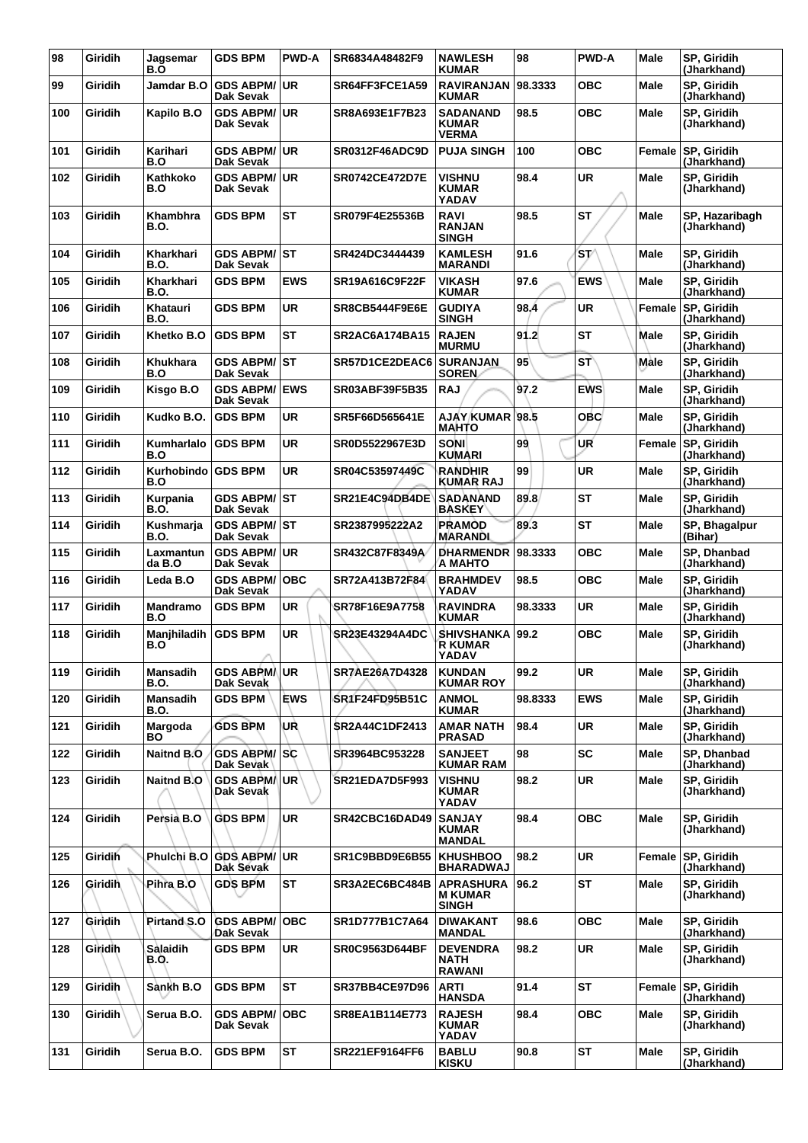| 98  | Giridih        | Jagsemar<br>B.O           | <b>GDS BPM</b>                          | <b>PWD-A</b> | SR6834A48482F9        | <b>NAWLESH</b><br><b>KUMAR</b>                     | 98      | <b>PWD-A</b> | Male        | SP, Giridih<br>(Jharkhand)        |
|-----|----------------|---------------------------|-----------------------------------------|--------------|-----------------------|----------------------------------------------------|---------|--------------|-------------|-----------------------------------|
| 99  | <b>Giridih</b> | Jamdar B.O                | <b>GDS ABPM/ UR</b><br>Dak Sevak        |              | SR64FF3FCE1A59        | <b>RAVIRANJAN</b><br><b>KUMAR</b>                  | 98.3333 | овс          | Male        | SP, Giridih<br>(Jharkhand)        |
| 100 | <b>Giridih</b> | Kapilo B.O                | <b>GDS ABPM/ UR</b><br>Dak Sevak        |              | SR8A693E1F7B23        | <b>SADANAND</b><br><b>KUMAR</b><br><b>VERMA</b>    | 98.5    | <b>OBC</b>   | <b>Male</b> | SP, Giridih<br>(Jharkhand)        |
| 101 | Giridih        | Karihari<br>B.O           | <b>GDS ABPM/ UR</b><br>Dak Sevak        |              | <b>SR0312F46ADC9D</b> | <b>PUJA SINGH</b>                                  | 100     | <b>OBC</b>   | Female      | <b>SP, Giridih</b><br>(Jharkhand) |
| 102 | Giridih        | Kathkoko<br>B.O           | <b>GDS ABPM/ UR</b><br>Dak Sevak        |              | <b>SR0742CE472D7E</b> | <b>VISHNU</b><br>KUMAR<br>YADAV                    | 98.4    | <b>UR</b>    | Male        | SP, Giridih<br>(Jharkhand)        |
| 103 | Giridih        | Khambhra<br>B.O.          | <b>GDS BPM</b>                          | ST           | SR079F4E25536B        | <b>RAVI</b><br><b>RANJAN</b><br><b>SINGH</b>       | 98.5    | <b>ST</b>    | Male        | SP, Hazaribagh<br>(Jharkhand)     |
| 104 | Giridih        | Kharkhari<br><b>B.O.</b>  | GDS ABPM/ST<br><b>Dak Sevak</b>         |              | SR424DC3444439        | <b>KAMLESH</b><br><b>MARANDI</b>                   | 91.6    | 's v         | Male        | SP, Giridih<br>(Jharkhand)        |
| 105 | Giridih        | Kharkhari<br>B.O.         | <b>GDS BPM</b>                          | <b>EWS</b>   | SR19A616C9F22F        | VIKASH<br><b>KUMAR</b>                             | 97.6    | <b>EWS</b>   | Male        | SP, Giridih<br>(Jharkhand)        |
| 106 | <b>Giridih</b> | Khatauri<br>B.O.          | <b>GDS BPM</b>                          | <b>UR</b>    | <b>SR8CB5444F9E6E</b> | <b>GUDIYA</b><br><b>SINGH</b>                      | 98.4    | <b>UR</b>    | Female      | <b>SP, Giridih</b><br>(Jharkhand) |
| 107 | Giridih        | Khetko B.O                | <b>GDS BPM</b>                          | <b>ST</b>    | <b>SR2AC6A174BA15</b> | <b>RAJEN</b><br><b>MURMU</b>                       | 91.2    | <b>ST</b>    | Male        | SP, Giridih<br>(Jharkhand)        |
| 108 | <b>Giridih</b> | Khukhara<br>B.O           | <b>GDS ABPM/ ST</b><br>Dak Sevak        |              | SR57D1CE2DEAC6        | <b>SURANJAN</b><br><b>SOREN</b>                    | 95      | <b>ST</b>    | Male        | SP, Giridih<br>(Jharkhand)        |
| 109 | Giridih        | Kisgo B.O                 | <b>GDS ABPM/ EWS</b><br>Dak Sevak       |              | SR03ABF39F5B35        | <b>RAJ</b>                                         | 97.2    | <b>EWS</b>   | <b>Male</b> | SP, Giridih<br>(Jharkhand)        |
| 110 | Giridih        | Kudko B.O.                | <b>GDS BPM</b>                          | <b>UR</b>    | SR5F66D565641E        | AJAY KUMAR 98.5<br><b>MAHTO</b>                    |         | <b>OBC</b>   | <b>Male</b> | SP, Giridih<br>(Jharkhand)        |
| 111 | <b>Giridih</b> | Kumharlalo<br>B.O         | <b>GDS BPM</b>                          | <b>UR</b>    | SR0D5522967E3D        | <b>SONI</b><br><b>KUMARI</b>                       | 99      | UR           | Female      | <b>SP, Giridih</b><br>(Jharkhand) |
| 112 | <b>Giridih</b> | Kurhobindo GDS BPM<br>B.O |                                         | <b>UR</b>    | SR04C53597449C        | RANDHIR<br><b>KUMAR RAJ</b>                        | 99      | <b>UR</b>    | <b>Male</b> | SP, Giridih<br>(Jharkhand)        |
| 113 | Giridih        | Kurpania<br><b>B.O.</b>   | GDS ABPM/ST<br><b>Dak Sevak</b>         |              | SR21E4C94DB4DE        | <b>SADANAND</b><br><b>BASKEY</b>                   | 89.8    | <b>ST</b>    | Male        | SP, Giridih<br>(Jharkhand)        |
| 114 | Giridih        | Kushmarja<br>B.O.         | <b>GDS ABPM/ ST</b><br><b>Dak Sevak</b> |              | SR2387995222A2        | <b>PRAMOD</b><br><b>MARANDI</b>                    | 89.3    | <b>ST</b>    | Male        | SP, Bhagalpur<br>(Bihar)          |
| 115 | <b>Giridih</b> | Laxmantun<br>da B.O       | <b>GDS ABPM/UR</b><br>Dak Sevak         |              | SR432C87F8349A        | <b>DHARMENDR</b><br>A MAHTO                        | 98.3333 | <b>OBC</b>   | <b>Male</b> | SP, Dhanbad<br>(Jharkhand)        |
| 116 | Giridih        | Leda B.O                  | <b>GDS ABPM/OBC</b><br>Dak Sevak        |              | SR72A413B72F84        | <b>BRAHMDEV</b><br><b>YADAV</b>                    | 98.5    | <b>OBC</b>   | Male        | SP, Giridih<br>(Jharkhand)        |
| 117 | <b>Giridih</b> | <b>Mandramo</b><br>B.O    | <b>GDS BPM</b>                          | <b>UR</b>    | SR78F16E9A7758        | <b>RAVINDRA</b><br><b>KUMAR</b>                    | 98.3333 | <b>UR</b>    | Male        | SP, Giridih<br>(Jharkhand)        |
| 118 | Giridih        | Manjhiladih<br>B.O        | <b>GDS BPM</b>                          | <b>UR</b>    | SR23E43294A4DC        | <b>SHIVSHANKA</b><br><b>R KUMAR</b><br>YADAV       | 99.2    | <b>OBC</b>   | Male        | SP, Giridih<br>(Jharkhand)        |
| 119 | Giridih        | <b>Mansadih</b><br>B.O.   | GDS ABPM/IUR<br>Dak Sevak               |              | SR7AE26A7D4328        | <b>KUNDAN</b><br><b>KUMAR ROY</b>                  | 99.2    | <b>UR</b>    | Male        | SP, Giridih<br>(Jharkhand)        |
| 120 | Giridih        | <b>Mansadih</b><br>B.O.   | <b>GDS BPM</b>                          | <b>EWS</b>   | SR1F24FD95B51C        | <b>ANMOL</b><br><b>KUMAR</b>                       | 98.8333 | <b>EWS</b>   | <b>Male</b> | SP, Giridih<br>(Jharkhand)        |
| 121 | Giridih        | Margoda<br>BO             | <b>GDS BPM</b>                          | \UR          | <b>SR2A44C1DF2413</b> | AMAR NATH<br><b>PRASAD</b>                         | 98.4    | <b>UR</b>    | Male        | SP, Giridih<br>(Jharkhand)        |
| 122 | Giridih        | <b>Naitnd B.O</b>         | <b>GDS ABPM/SC</b><br>Dak Sevak         |              | SR3964BC953228        | <b>SANJEET</b><br>KUMAR RAM                        | 98      | <b>SC</b>    | Male        | SP, Dhanbad<br>(Jharkhand)        |
| 123 | Giridih        | Naitnd B.O                | GDS ABPM/UR<br>Dak Sevak                |              | <b>SR21EDA7D5F993</b> | <b>VISHNU</b><br><b>KUMAR</b><br>YADAV             | 98.2    | <b>UR</b>    | <b>Male</b> | SP, Giridih<br>(Jharkhand)        |
| 124 | Giridih        | Persia <sub>B.O</sub>     | <b>GDS BPM</b>                          | UR           | SR42CBC16DAD49        | <b>SANJAY</b><br><b>KUMAR</b><br><b>MANDAL</b>     | 98.4    | <b>OBC</b>   | Male        | SP, Giridih<br>(Jharkhand)        |
| 125 | Giridih        | Phulchi B.O               | <b>GDS ABPM/UR</b><br>Dak Sevak         |              | SR1C9BBD9E6B55        | <b>KHUSHBOO</b><br><b>BHARADWAJ</b>                | 98.2    | <b>UR</b>    | Female      | SP, Giridih<br>(Jharkhand)        |
| 126 | <b>Giridih</b> | Pihra B.O                 | <b>GDS BPM</b>                          | <b>ST</b>    | SR3A2EC6BC484B        | <b>APRASHURA</b><br><b>M KUMAR</b><br><b>SINGH</b> | 96.2    | <b>ST</b>    | <b>Male</b> | SP, Giridih<br>(Jharkhand)        |
| 127 | Giridih        | <b>Pirtand S.O</b>        | <b>GDS ABPM/OBC</b><br>Dak Sevak        |              | SR1D777B1C7A64        | <b>DIWAKANT</b><br><b>MANDAL</b>                   | 98.6    | <b>OBC</b>   | Male        | SP, Giridih<br>(Jharkhand)        |
| 128 | Giridih        | Salaidih<br>B.Q.          | <b>GDS BPM</b>                          | UR.          | <b>SR0C9563D644BF</b> | <b>DEVENDRA</b><br>NATH<br><b>RAWANI</b>           | 98.2    | <b>UR</b>    | Male        | SP, Giridih<br>(Jharkhand)        |
| 129 | Giridih        | Sankh B.O                 | <b>GDS BPM</b>                          | <b>ST</b>    | <b>SR37BB4CE97D96</b> | <b>ARTI</b><br><b>HANSDA</b>                       | 91.4    | <b>ST</b>    | Female      | <b>SP.</b> Giridih<br>(Jharkhand) |
| 130 | <b>Giridih</b> | Serua B.O.                | <b>GDS ABPM/</b><br>Dak Sevak           | ∣OBC         | SR8EA1B114E773        | <b>RAJESH</b><br>KUMAR<br>YADAV                    | 98.4    | <b>OBC</b>   | Male        | SP, Giridih<br>(Jharkhand)        |
| 131 | Giridih        | Serua B.O.                | <b>GDS BPM</b>                          | <b>ST</b>    | SR221EF9164FF6        | <b>BABLU</b><br><b>KISKU</b>                       | 90.8    | <b>ST</b>    | Male        | SP, Giridih<br>(Jharkhand)        |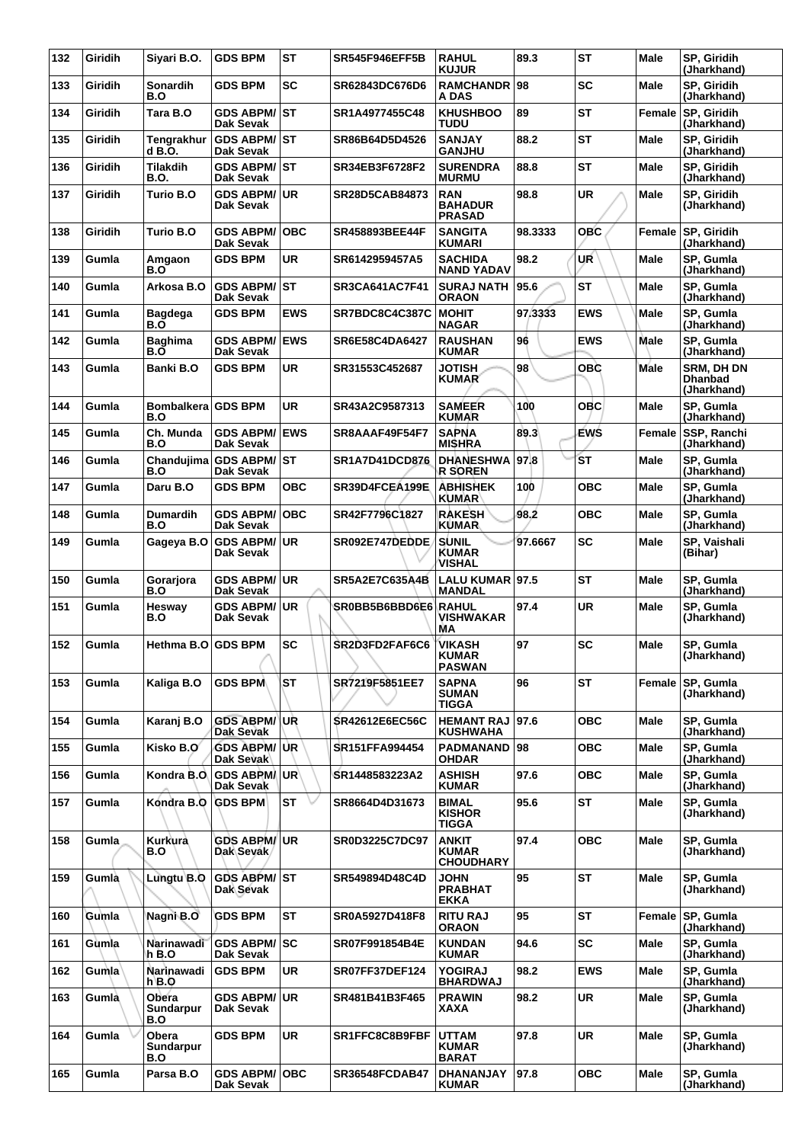| 132 | Giridih      | Siyari B.O.                 | <b>GDS BPM</b>                           | <b>ST</b>  | <b>SR545F946EFF5B</b> | <b>RAHUL</b><br><b>KUJUR</b>                   | 89.3    | <b>ST</b>  | <b>Male</b> | SP, Giridih<br>(Jharkhand)                         |
|-----|--------------|-----------------------------|------------------------------------------|------------|-----------------------|------------------------------------------------|---------|------------|-------------|----------------------------------------------------|
| 133 | Giridih      | <b>Sonardih</b><br>B.O      | <b>GDS BPM</b>                           | <b>SC</b>  | SR62843DC676D6        | <b>RAMCHANDR</b><br>A DAS                      | 98      | <b>SC</b>  | <b>Male</b> | SP, Giridih<br>(Jharkhand)                         |
| 134 | Giridih      | Tara B.O                    | <b>GDS ABPM/ST</b><br>Dak Sevak          |            | SR1A4977455C48        | <b>KHUSHBOO</b><br><b>TUDU</b>                 | 89      | <b>ST</b>  | Female      | SP, Giridih<br>(Jharkhand)                         |
| 135 | Giridih      | <b>Tengrakhur</b><br>d B.O. | <b>GDS ABPM/ST</b><br>Dak Sevak          |            | SR86B64D5D4526        | <b>SANJAY</b><br><b>GANJHU</b>                 | 88.2    | <b>ST</b>  | <b>Male</b> | SP, Giridih<br>(Jharkhand)                         |
| 136 | Giridih      | Tilakdih<br>B.O.            | <b>GDS ABPM/ ST</b><br>Dak Sevak         |            | SR34EB3F6728F2        | <b>SURENDRA</b><br><b>MURMU</b>                | 88.8    | ST         | Male        | SP, Giridih<br>(Jharkhand)                         |
| 137 | Giridih      | Turio B.O                   | GDS ABPM/ UR<br>Dak Sevak                |            | SR28D5CAB84873        | <b>RAN</b><br><b>BAHADUR</b><br><b>PRASAD</b>  | 98.8    | <b>UR</b>  | <b>Male</b> | SP, Giridih<br>(Jharkhand)                         |
| 138 | Giridih      | Turio B.O                   | <b>GDS ABPM/</b><br>Dak Sevak            | ∣OBC       | <b>SR458893BEE44F</b> | <b>SANGITA</b><br><b>KUMARI</b>                | 98.3333 | <b>OBC</b> | Female      | SP, Giridih<br>(Jharkhand)                         |
| 139 | Gumla        | Amgaon<br>B.O               | <b>GDS BPM</b>                           | <b>UR</b>  | SR6142959457A5        | <b>SACHIDA</b><br><b>NAND YADAV</b>            | 98.2    | UR         | Male        | SP, Gumla<br>(Jharkhand)                           |
| 140 | Gumla        | Arkosa B.O                  | GDS ABPM/ST<br><b>Dak Sevak</b>          |            | <b>SR3CA641AC7F41</b> | <b>SURAJ NATH</b><br><b>ORAON</b>              | 95.6    | <b>ST</b>  | <b>Male</b> | SP, Gumla<br>(Jharkhand)                           |
| 141 | Gumla        | <b>Bagdega</b><br>B.O       | <b>GDS BPM</b>                           | <b>EWS</b> | SR7BDC8C4C387C        | <b>MOHIT</b><br><b>NAGAR</b>                   | 97.3333 | <b>EWS</b> | Male        | SP, Gumla<br>(Jharkhand)                           |
| 142 | Gumla        | <b>Baghima</b><br>B.O       | <b>GDS ABPM/ EWS</b><br>Dak Sevak        |            | SR6E58C4DA6427        | <b>RAUSHAN</b><br><b>KUMAR</b>                 | 96      | <b>EWS</b> | Male        | SP, Gumla<br>(Jharkhand)                           |
| 143 | Gumla        | Banki B.O                   | <b>GDS BPM</b>                           | <b>UR</b>  | SR31553C452687        | <b>JOTISH</b><br><b>KUMAR</b>                  | 98      | OBC        | Male        | <b>SRM, DH DN</b><br><b>Dhanbad</b><br>(Jharkhand) |
| 144 | Gumla        | Bombalkera GDS BPM<br>B.O   |                                          | UR         | SR43A2C9587313        | <b>SAMEER</b><br><b>KUMAR</b>                  | 100     | <b>OBC</b> | Male        | SP, Gumla<br>(Jharkhand)                           |
| 145 | Gumla        | Ch. Munda<br>B.O            | <b>GDS ABPM/ EWS</b><br><b>Dak Sevak</b> |            | SR8AAAF49F54F7        | <b>SAPNA</b><br><b>MISHRA</b>                  | 89.3    | ÉWŚ        | Female      | SSP, Ranchi<br>(Jharkhand)                         |
| 146 | Gumla        | B.O                         | Chandujima GDS ABPM/ST<br>Dak Sevak      |            | <b>SR1A7D41DCD876</b> | <b>DHANESHWA</b><br><b>R SOREN</b>             | 97.8    | <b>ST</b>  | <b>Male</b> | SP, Gumla<br>(Jharkhand)                           |
| 147 | Gumla        | Daru B.O                    | <b>GDS BPM</b>                           | <b>OBC</b> | SR39D4FCEA199E        | <b>ABHISHEK</b><br><b>KUMAR</b>                | 100     | <b>OBC</b> | Male        | SP, Gumla<br>(Jharkhand)                           |
| 148 | Gumla        | <b>Dumardih</b><br>B.O      | <b>GDS ABPM/OBC</b><br><b>Dak Sevak</b>  |            | SR42F7796C1827        | <b>RAKESH</b><br><b>KUMAR</b>                  | 98.2    | <b>OBC</b> | <b>Male</b> | SP, Gumla<br>(Jharkhand)                           |
| 149 | Gumla        | Gageya B.O                  | <b>GDS ABPM/ UR</b><br>Dak Sevak         |            | SR092E747DEDDE        | <b>SUNIL</b><br><b>KUMAR</b><br>VISHAL         | 97.6667 | <b>SC</b>  | Male        | SP, Vaishali<br>(Bihar)                            |
| 150 | Gumla        | Gorarjora<br>B.O            | <b>GDS ABPM/ UR</b><br><b>Dak Sevak</b>  |            | <b>SR5A2E7C635A4B</b> | LALU KUMAR 97.5<br><b>MANDAL</b>               |         | <b>ST</b>  | <b>Male</b> | SP, Gumla<br>(Jharkhand)                           |
| 151 | Gumla        | Hesway<br>B.O               | GDS ABPM/UR<br>Dak Sevak                 |            | SR0BB5B6BBD6E6        | <b>RAHUL</b><br>VISHWAKAR<br>MА                | 97.4    | <b>UR</b>  | Male        | SP, Gumla<br>(Jharkhand)                           |
| 152 | Gumla        | Hethma B.O GDS BPM          |                                          | <b>SC</b>  | SR2D3FD2FAF6C6        | <b>VIKASH</b><br><b>KUMAR</b><br><b>PASWAN</b> | 97      | <b>SC</b>  | <b>Male</b> | SP, Gumla<br>(Jharkhand)                           |
| 153 | Gumla        | Kaliga B.O                  | <b>GDS BPM</b>                           | ST         | SR7219F5851EE7        | <b>SAPNA</b><br><b>SUMAN</b><br><b>TIGGA</b>   | 96      | <b>ST</b>  | Female      | <b>SP. Gumla</b><br>(Jharkhand)                    |
| 154 | Gumla        | Karanj B.O                  | <b>GDS ABPM/ UR</b><br>Dak Sevak         |            | <b>SR42612E6EC56C</b> | <b>HEMANT RAJ</b><br><b>KUSHWAHA</b>           | 97.6    | <b>OBC</b> | Male        | SP, Gumla<br>(Jharkhand)                           |
| 155 | Gumla        | Kisko B.O                   | <b>GDS ABPM/ UR</b><br>Dak Sevak         |            | SR151FFA994454        | <b>PADMANAND</b><br><b>OHDAR</b>               | 98      | <b>OBC</b> | Male        | SP. Gumla<br>(Jharkhand)                           |
| 156 | Gumla        | Kondra B.O.                 | <b>GDS ABPM/UR</b><br>Dak Sevak          |            | SR1448583223A2        | <b>ASHISH</b><br><b>KUMAR</b>                  | 97.6    | <b>OBC</b> | <b>Male</b> | SP. Gumla<br>(Jharkhand)                           |
| 157 | Gumla        | Kondra B.O                  | <b>GDS BPM</b>                           | <b>ST</b>  | SR8664D4D31673        | BIMAL<br><b>KISHOR</b><br>TIGGA                | 95.6    | <b>ST</b>  | Male        | SP, Gumla<br>(Jharkhand)                           |
| 158 | Gumla        | Kurkurà<br>B.O              | <b>GDS ABPM/ UR</b><br>Dak Sevak         |            | <b>SR0D3225C7DC97</b> | ANKIT<br><b>KUMAR</b><br><b>CHOUDHARY</b>      | 97.4    | <b>OBC</b> | <b>Male</b> | SP, Gumla<br>(Jharkhand)                           |
| 159 | Gumlà        | Lungtu B.O                  | GDS ABPM/ST<br>Dak Sevak                 |            | SR549894D48C4D        | <b>JOHN</b><br><b>PRABHAT</b><br><b>EKKA</b>   | 95      | <b>ST</b>  | Male        | SP, Gumla<br>(Jharkhand)                           |
| 160 | Gumla        | Nagni B.O                   | <b>GDS BPM</b>                           | <b>ST</b>  | SR0A5927D418F8        | <b>RITU RAJ</b><br><b>ORAON</b>                | 95      | <b>ST</b>  | Female      | SP, Gumla<br>(Jharkhand)                           |
| 161 | Gumla        | Narinawadi<br>h B.O         | <b>GDS ABPM/SC</b><br>Dak Sevak          |            | SR07F991854B4E        | <b>KUNDAN</b><br><b>KUMAR</b>                  | 94.6    | <b>SC</b>  | Male        | SP, Gumla<br>(Jharkhand)                           |
| 162 | <b>Gumla</b> | Narinawadi<br>h B.O         | <b>GDS BPM</b>                           | UR         | SR07FF37DEF124        | <b>YOGIRAJ</b><br><b>BHARDWAJ</b>              | 98.2    | <b>EWS</b> | <b>Male</b> | SP, Gumla<br>(Jharkhand)                           |
| 163 | Gumla        | Obera<br>Sundarpur<br>B.O   | <b>GDS ABPM/ UR</b><br>Dak Sevak         |            | SR481B41B3F465        | <b>PRAWIN</b><br>XAXA                          | 98.2    | <b>UR</b>  | Male        | SP, Gumla<br>(Jharkhand)                           |
| 164 | Gumla        | Obera<br>Sundarpur<br>B.O   | <b>GDS BPM</b>                           | <b>UR</b>  | SR1FFC8C8B9FBF        | <b>UTTAM</b><br><b>KUMAR</b><br><b>BARAT</b>   | 97.8    | <b>UR</b>  | Male        | SP, Gumla<br>(Jharkhand)                           |
| 165 | Gumla        | Parsa B.O                   | <b>GDS ABPM/OBC</b><br>Dak Sevak         |            | <b>SR36548FCDAB47</b> | DHANANJAY<br><b>KUMAR</b>                      | 97.8    | <b>OBC</b> | Male        | SP, Gumla<br>(Jharkhand)                           |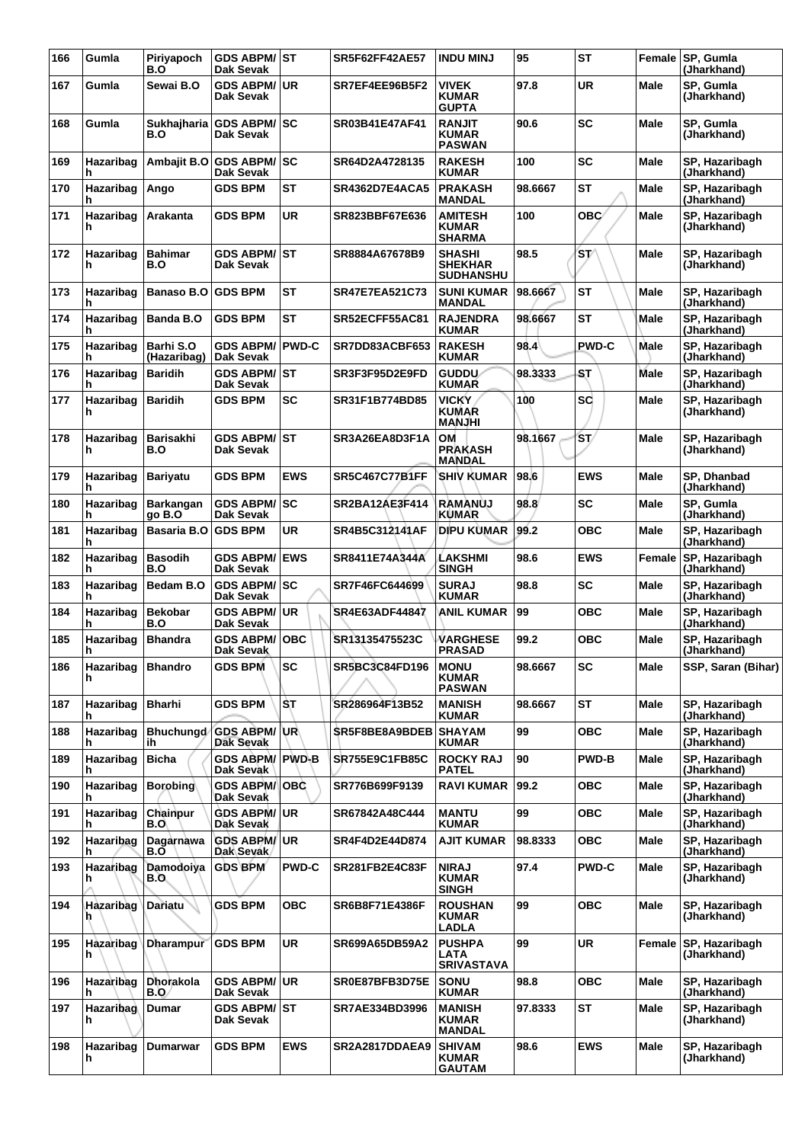| 166 | Gumla                 | Piriyapoch<br>B.O        | <b>GDS ABPM/ST</b><br>Dak Sevak      |              | <b>SR5F62FF42AE57</b> | <b>INDU MINJ</b>                                    | 95      | <b>ST</b>    |             | Female SP, Gumla<br>(Jharkhand) |
|-----|-----------------------|--------------------------|--------------------------------------|--------------|-----------------------|-----------------------------------------------------|---------|--------------|-------------|---------------------------------|
| 167 | Gumla                 | Sewai B.O                | <b>GDS ABPM/ UR</b><br>Dak Sevak     |              | SR7EF4EE96B5F2        | <b>VIVEK</b><br><b>KUMAR</b><br><b>GUPTA</b>        | 97.8    | <b>UR</b>    | <b>Male</b> | SP, Gumla<br>(Jharkhand)        |
| 168 | Gumla                 | B.O                      | Sukhajharia GDS ABPM/SC<br>Dak Sevak |              | SR03B41E47AF41        | <b>RANJIT</b><br><b>KUMAR</b><br><b>PASWAN</b>      | 90.6    | <b>SC</b>    | Male        | SP, Gumla<br>(Jharkhand)        |
| 169 | Hazaribag<br>h        | Ambajit B.O              | <b>GDS ABPM/ SC</b><br>Dak Sevak     |              | SR64D2A4728135        | <b>RAKESH</b><br><b>KUMAR</b>                       | 100     | <b>SC</b>    | <b>Male</b> | SP, Hazaribagh<br>(Jharkhand)   |
| 170 | Hazaribag<br>h        | Ango                     | <b>GDS BPM</b>                       | <b>ST</b>    | <b>SR4362D7E4ACA5</b> | <b>PRAKASH</b><br><b>MANDAL</b>                     | 98.6667 | <b>ST</b>    | Male        | SP, Hazaribagh<br>(Jharkhand)   |
| 171 | Hazaribag<br>h        | Arakanta                 | <b>GDS BPM</b>                       | <b>UR</b>    | SR823BBF67E636        | <b>AMITESH</b><br><b>KUMAR</b><br><b>SHARMA</b>     | 100     | ОВС∕         | <b>Male</b> | SP, Hazaribagh<br>(Jharkhand)   |
| 172 | Hazaribag<br>h        | <b>Bahimar</b><br>B.O    | <b>GDS ABPM/ ST</b><br>Dak Sevak     |              | SR8884A67678B9        | <b>SHASHI</b><br><b>SHEKHAR</b><br><b>SUDHANSHU</b> | 98.5    | 'ST⁄         | Male        | SP, Hazaribagh<br>(Jharkhand)   |
| 173 | Hazaribag<br>h        | <b>Banaso B.O</b>        | <b>GDS BPM</b>                       | <b>ST</b>    | <b>SR47E7EA521C73</b> | <b>SUNI KUMAR</b><br><b>MANDAL</b>                  | 98.6667 | <b>ST</b>    | Male        | SP, Hazaribagh<br>(Jharkhand)   |
| 174 | Hazaribag<br>h        | Banda B.O                | <b>GDS BPM</b>                       | <b>ST</b>    | SR52ECFF55AC81        | <b>RAJENDRA</b><br><b>KUMAR</b>                     | 98.6667 | <b>ST</b>    | Male        | SP, Hazaribagh<br>(Jharkhand)   |
| 175 | Hazaribag<br>h        | Barhi S.O<br>(Hazaribag) | <b>GDS ABPM/</b><br>Dak Sevak        | <b>PWD-C</b> | SR7DD83ACBF653        | <b>RAKESH</b><br><b>KUMAR</b>                       | 98.4    | <b>PWD-C</b> | Male        | SP, Hazaribagh<br>(Jharkhand)   |
| 176 | Hazaribag             | <b>Baridih</b>           | GDS ABPM/ ST<br>Dak Sevak            |              | SR3F3F95D2E9FD        | <b>GUDDU</b><br><b>KUMAR</b>                        | 98.3333 | <b>ST</b>    | Male        | SP, Hazaribagh<br>(Jharkhand)   |
| 177 | Hazaribag<br>h        | <b>Baridih</b>           | <b>GDS BPM</b>                       | <b>SC</b>    | SR31F1B774BD85        | <b>VICKY</b><br><b>KUMAR</b><br><b>IHLIAAM</b>      | 100     | <b>SC</b>    | Male        | SP, Hazaribagh<br>(Jharkhand)   |
| 178 | Hazaribag<br>h        | <b>Barisakhi</b><br>B.O  | <b>GDS ABPM/ ST</b><br>Dak Sevak     |              | SR3A26EA8D3F1A        | OM<br><b>PRAKASH</b><br><b>MANDAL</b>               | 98.1667 | ŚΤ/          | Male        | SP. Hazaribagh<br>(Jharkhand)   |
| 179 | Hazaribag<br>h        | <b>Bariyatu</b>          | <b>GDS BPM</b>                       | <b>EWS</b>   | <b>SR5C467C77B1FF</b> | <b>SHIV KUMAR</b>                                   | 98.6    | <b>EWS</b>   | <b>Male</b> | SP, Dhanbad<br>(Jharkhand)      |
| 180 | Hazaribag<br>h        | Barkangan<br>go B.O      | <b>GDS ABPM/ SC</b><br>Dak Sevak     |              | <b>SR2BA12AE3F414</b> | <b>RAMANUJ</b><br><b>KUMAR</b>                      | 98.8    | SC           | <b>Male</b> | SP. Gumla<br>(Jharkhand)        |
| 181 | Hazaribag<br>h        | <b>Basaria B.O</b>       | <b>IGDS BPM</b>                      | <b>UR</b>    | SR4B5C312141AF        | <b>DIPU KUMAR</b>                                   | 99.2    | <b>OBC</b>   | Male        | SP, Hazaribagh<br>(Jharkhand)   |
| 182 | Hazaribag<br>h        | <b>Basodih</b><br>B.O    | <b>GDS ABPM/</b><br>Dak Sevak        | <b>EWS</b>   | SR8411E74A344A        | <b>LAKSHMI</b><br><b>SINGH</b>                      | 98.6    | <b>EWS</b>   | Female      | SP, Hazaribagh<br>(Jharkhand)   |
| 183 | Hazaribag<br>h        | Bedam B.O                | <b>GDS ABPM/ SC</b><br>Dak Sevak     |              | SR7F46FC644699        | <b>SURAJ</b><br><b>KUMAR</b>                        | 98.8    | SC           | <b>Male</b> | SP, Hazaribagh<br>(Jharkhand)   |
| 184 | Hazaribag<br>h        | <b>Bekobar</b><br>B.O    | GDS ABPM/UR<br>Dak Sevak             |              | SR4E63ADF44847        | ANIL KUMAR                                          | 99      | <b>OBC</b>   | Male        | SP, Hazaribagh<br>(Jharkhand)   |
| 185 | Hazaribag<br>h        | <b>Bhandra</b>           | <b>GDS ABPM/OBC</b><br>Dak Sevak     |              | SR13135475523C        | VARGHESE<br><b>PRASAD</b>                           | 99.2    | <b>OBC</b>   | Male        | SP, Hazaribagh<br>(Jharkhand)   |
| 186 | Hazaribag<br>h        | <b>Bhandro</b>           | <b>GDS BPM</b>                       | <b>SC</b>    | <b>SR5BC3C84FD196</b> | <b>MONU</b><br><b>KUMAR</b><br><b>PASWAN</b>        | 98.6667 | SC           | Male        | SSP, Saran (Bihar)              |
| 187 | Hazaribag<br>h        | <b>Bharhi</b>            | <b>GDS BPM</b>                       | ST           | SR286964F13B52        | <b>MANISH</b><br><b>KUMAR</b>                       | 98.6667 | ST           | Male        | SP, Hazaribagh<br>(Jharkhand)   |
| 188 | Hazaribag<br>h        | <b>Bhuchungd</b><br>ih   | <b>GDS ABPM/UR</b><br>Dak Sevak      |              | <b>SR5F8BE8A9BDEB</b> | <b>SHAYAM</b><br><b>KUMAR</b>                       | 99      | <b>OBC</b>   | <b>Male</b> | SP, Hazaribagh<br>(Jharkhand)   |
| 189 | Hazaribag<br>h        | <b>Bicha</b>             | <b>GDS ABPM/ PWD-B</b><br>Dak Sevak  |              | <b>SR755E9C1FB85C</b> | <b>ROCKY RAJ</b><br><b>PATEL</b>                    | 90      | <b>PWD-B</b> | Male        | SP, Hazaribagh<br>(Jharkhand)   |
| 190 | Hazaribag<br>h        | <b>Borobing</b>          | <b>GDS ABPM/ OBC</b><br>Dak Sevak    |              | SR776B699F9139        | <b>RAVI KUMAR</b>                                   | 99.2    | <b>OBC</b>   | Male        | SP, Hazaribagh<br>(Jharkhand)   |
| 191 | Hazaribag<br>h        | Chainpur<br>B.O          | <b>GDS ABPM/UR</b><br>Dak Sevak      |              | SR67842A48C444        | <b>MANTU</b><br><b>KUMAR</b>                        | 99      | <b>OBC</b>   | <b>Male</b> | SP, Hazaribagh<br>(Jharkhand)   |
| 192 | Hazaribag<br>h        | Dagarnawa<br>B.O         | <b>GDS ABPM/UR</b><br>Dak Sevak      |              | SR4F4D2E44D874        | <b>AJIT KUMAR</b>                                   | 98.8333 | <b>OBC</b>   | Male        | SP, Hazaribagh<br>(Jharkhand)   |
| 193 | Hazaribag<br>h        | Damodoiya<br>B.O.        | <b>GDS BPM</b>                       | <b>PWD-C</b> | <b>SR281FB2E4C83F</b> | <b>NIRAJ</b><br><b>KUMAR</b><br><b>SINGH</b>        | 97.4    | <b>PWD-C</b> | Male        | SP, Hazaribagh<br>(Jharkhand)   |
| 194 | <b>Hazaribag</b><br>h | <b>Dariatu</b>           | <b>GDS BPM</b>                       | <b>OBC</b>   | SR6B8F71E4386F        | <b>ROUSHAN</b><br><b>KUMAR</b><br>LADLA             | 99      | <b>OBC</b>   | Male        | SP, Hazaribagh<br>(Jharkhand)   |
| 195 | Hazaribag<br>h        | <b>Dharampur</b>         | <b>GDS BPM</b>                       | UR           | SR699A65DB59A2        | <b>PUSHPA</b><br>LATA<br><b>SRIVASTAVA</b>          | 99      | <b>UR</b>    | Female      | SP, Hazaribagh<br>(Jharkhand)   |
| 196 | Hazaribag<br>h        | Dhorakola<br>B.O.        | GDS ABPM/UR<br>Dak Sevak             |              | SR0E87BFB3D75E        | SONU<br><b>KUMAR</b>                                | 98.8    | овс          | Male        | SP, Hazaribagh<br>(Jharkhand)   |
| 197 | Hazaribag<br>h        | <b>Dumar</b>             | GDS ABPM/ ST<br>Dak Sevak            |              | SR7AE334BD3996        | <b>MANISH</b><br><b>KUMAR</b><br><b>MANDAL</b>      | 97.8333 | ST           | <b>Male</b> | SP, Hazaribagh<br>(Jharkhand)   |
| 198 | Hazaribag<br>h        | Dumarwar                 | <b>GDS BPM</b>                       | EWS          | SR2A2817DDAEA9        | <b>SHIVAM</b><br><b>KUMAR</b><br><b>GAUTAM</b>      | 98.6    | <b>EWS</b>   | Male        | SP, Hazaribagh<br>(Jharkhand)   |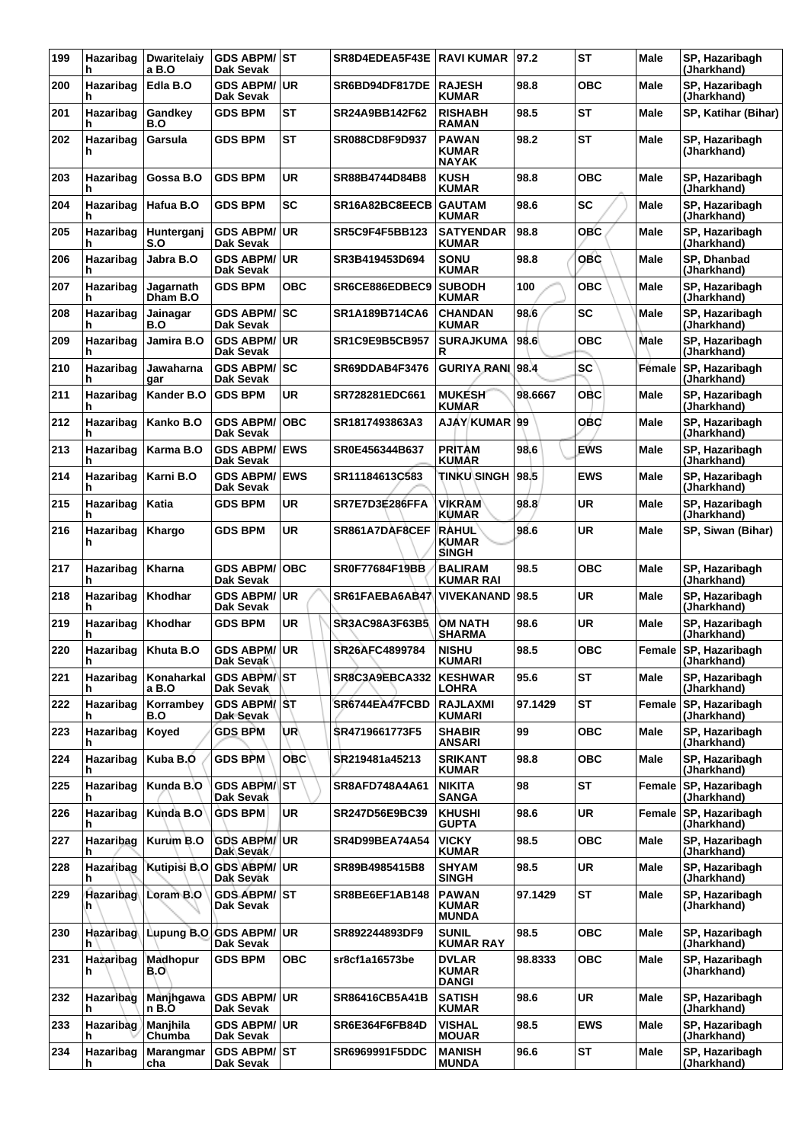| 199 | Hazaribag<br>h  | <b>Dwaritelaiv</b><br>a B.O | <b>GDS ABPM/ST</b><br>Dak Sevak  |            | <b>SR8D4EDEA5F43E RAVI KUMAR</b> |                                              | 97.2    | <b>ST</b>  | Male          | SP, Hazaribagh<br>(Jharkhand)        |
|-----|-----------------|-----------------------------|----------------------------------|------------|----------------------------------|----------------------------------------------|---------|------------|---------------|--------------------------------------|
| 200 | Hazaribag<br>h  | Edla B.O                    | <b>GDS ABPM/</b><br>Dak Sevak    | <b>UR</b>  | SR6BD94DF817DE                   | <b>RAJESH</b><br><b>KUMAR</b>                | 98.8    | овс        | Male          | SP, Hazaribagh<br>(Jharkhand)        |
| 201 | Hazaribag<br>h  | Gandkey<br>B.O              | <b>GDS BPM</b>                   | ST         | SR24A9BB142F62                   | <b>RISHABH</b><br><b>RAMAN</b>               | 98.5    | <b>ST</b>  | Male          | SP, Katihar (Bihar)                  |
| 202 | Hazaribag<br>h  | Garsula                     | GDS BPM                          | <b>ST</b>  | <b>SR088CD8F9D937</b>            | <b>PAWAN</b><br><b>KUMAR</b><br><b>NAYAK</b> | 98.2    | <b>ST</b>  | Male          | SP, Hazaribagh<br>(Jharkhand)        |
| 203 | Hazaribag<br>h  | Gossa B.O                   | <b>GDS BPM</b>                   | UR         | SR88B4744D84B8                   | <b>KUSH</b><br><b>KUMAR</b>                  | 98.8    | овс        | Male          | SP, Hazaribagh<br>(Jharkhand)        |
| 204 | Hazaribag<br>h  | Hafua B.O                   | <b>GDS BPM</b>                   | <b>SC</b>  | SR16A82BC8EECB                   | <b>GAUTAM</b><br><b>KUMAR</b>                | 98.6    | <b>SC</b>  | Male          | SP, Hazaribagh<br>(Jharkhand)        |
| 205 | Hazaribag<br>h  | Hunterganj<br>S.O           | <b>GDS ABPM/</b><br>Dak Sevak    | <b>UR</b>  | <b>SR5C9F4F5BB123</b>            | <b>SATYENDAR</b><br><b>KUMAR</b>             | 98.8    | OBC        | Male          | SP. Hazaribagh<br>(Jharkhand)        |
| 206 | Hazaribag<br>h  | Jabra B.O                   | <b>GDS ABPM/</b><br>Dak Sevak    | <b>UR</b>  | SR3B419453D694                   | SONU<br><b>KUMAR</b>                         | 98.8    | OBC        | Male          | SP, Dhanbad<br>(Jharkhand)           |
| 207 | Hazaribag<br>h  | Jagarnath<br>Dham B.O       | <b>GDS BPM</b>                   | <b>OBC</b> | SR6CE886EDBEC9                   | <b>SUBODH</b><br><b>KUMAR</b>                | 100     | <b>OBC</b> | Male          | SP, Hazaribagh<br>(Jharkhand)        |
| 208 | Hazaribag<br>h  | Jainagar<br>B.O             | GDS ABPM/∣SC<br>Dak Sevak        |            | SR1A189B714CA6                   | <b>CHANDAN</b><br><b>KUMAR</b>               | 98.6    | SC         | Male          | SP, Hazaribagh<br>(Jharkhand)        |
| 209 | Hazaribag<br>h  | Jamira B.O                  | <b>GDS ABPM/</b><br>Dak Sevak    | <b>UR</b>  | <b>SR1C9E9B5CB957</b>            | <b>SURAJKUMA</b><br>R                        | 98.6    | ОВС        | Male          | SP, Hazaribagh<br>(Jharkhand)        |
| 210 | Hazaribag<br>h  | Jawaharna<br>gar            | <b>GDS ABPM/</b><br>Dak Sevak    | l SC       | SR69DDAB4F3476                   | GURIYA RANI 98.4                             |         | <b>SC</b>  | <b>Fémale</b> | SP, Hazaribagh<br>(Jharkhand)        |
| 211 | Hazaribag<br>h  | Kander B.O                  | <b>GDS BPM</b>                   | UR         | SR728281EDC661                   | <b>MUKESH</b><br><b>KUMAR</b>                | 98.6667 | OBC        | Male          | SP. Hazaribagh<br>(Jharkhand)        |
| 212 | Hazaribag<br>h  | Kanko B.O                   | <b>GDS ABPM/</b><br>Dak Sevak    | <b>OBC</b> | SR1817493863A3                   | <b>AJAY KUMAR</b>                            | 99      | OBC        | Male          | SP, Hazaribagh<br>(Jharkhand)        |
| 213 | Hazaribag<br>h  | Karma B.O                   | <b>GDS ABPM/</b><br>Dak Sevak    | <b>EWS</b> | SR0E456344B637                   | <b>PRITAM</b><br><b>KUMAR</b>                | 98.6    | <b>EWS</b> | Male          | SP, Hazaribagh<br>(Jharkhand)        |
| 214 | Hazaribag<br>h  | Karni B.O                   | <b>GDS ABPM/</b><br>Dak Sevak    | <b>EWS</b> | SR11184613C583                   | <b>TINKU\SINGH</b>                           | 98.5    | <b>EWS</b> | Male          | SP, Hazaribagh<br>(Jharkhand)        |
| 215 | Hazaribag<br>h  | Katia                       | <b>GDS BPM</b>                   | UR         | SR7E7D3E286FFA                   | <b>VIKRAM</b><br><b>KUMAR</b>                | 98.8    | <b>UR</b>  | Male          | SP, Hazaribagh<br>(Jharkhand)        |
| 216 | Hazaribag<br>h  | Khargo                      | <b>GDS BPM</b>                   | <b>UR</b>  | SR861A7DAF8CEF                   | <b>RAHUL</b><br><b>KUMAR</b><br><b>SINGH</b> | 98.6    | <b>UR</b>  | Male          | SP, Siwan (Bihar)                    |
| 217 | Hazaribag<br>h  | <b>Kharna</b>               | <b>GDS ABPM/</b><br>Dak Sevak    | <b>OBC</b> | <b>SR0F77684F19BB</b>            | <b>BALIRAM</b><br>KUMAR RAI                  | 98.5    | OBC        | Male          | SP, Hazaribagh<br>(Jharkhand)        |
| 218 | Hazaribag<br>h  | Khodhar                     | <b>GDS ABPM/</b><br>Dak Sevak    | <b>UR</b>  | SR61FAEBA6AB47                   | <b>VIVEKANAND</b>                            | 98.5    | <b>UR</b>  | Male          | SP, Hazaribagh<br>(Jharkhand)        |
| 219 | Hazaribag<br>h  | Khodhar                     | GDS BPM                          | UR         | <b>SR3AC98A3F63B5</b>            | <b>OM NATH</b><br><b>SHARMA</b>              | 98.6    | UR         | Male          | SP, Hazaribagh<br>(Jharkhand)        |
| 220 | Hazaribag<br>n  | Khuta B.O                   | <b>GDS ABPM/</b><br>Dak Sevak    | UR         | SR26AFC4899784                   | <b>NISHU</b><br><b>KUMARI</b>                | 98.5    | ОВС        |               | Female SP, Hazaribagh<br>(Jnarknand) |
| 221 | Hazaribag<br>h  | Konaharkal<br>a B.O         | <b>GDS ABPM/ ST</b><br>Dak Sevak |            | SR8C3A9EBCA332   KESHWAR         | LOHRA                                        | 95.6    | <b>ST</b>  | Male          | SP. Hazaribagh<br>(Jharkhand)        |
| 222 | Hazaribag<br>h  | Korrambey<br>B.O            | <b>GDS ABPM/ST</b><br>Dak Sevak  |            | SR6744EA47FCBD                   | <b>RAJLAXMI</b><br><b>KUMARI</b>             | 97.1429 | <b>ST</b>  | Female        | SP, Hazaribagh<br>(Jharkhand)        |
| 223 | Hazaribag<br>h  | Koyed                       | <b>GDS BPM</b>                   | UR∖        | SR4719661773F5                   | <b>SHABIR</b><br><b>ANSARI</b>               | 99      | <b>OBC</b> | Male          | SP, Hazaribagh<br>(Jharkhand)        |
| 224 | Hazaribag<br>h  | Kuba B.O                    | <b>GDS BPM</b>                   | <b>OBC</b> | SR219481a45213                   | <b>SRIKANT</b><br><b>KUMAR</b>               | 98.8    | <b>OBC</b> | Male          | SP, Hazaribagh<br>(Jharkhand)        |
| 225 | Hazaribag<br>h  | Kunda B.O                   | <b>GDS ABPM/</b><br>Dak Sevak    | lst        | SR8AFD748A4A61                   | <b>NIKITA</b><br><b>SANGA</b>                | 98      | <b>ST</b>  | Female        | SP. Hazaribagh<br>(Jharkhand)        |
| 226 | Hazaribag<br>h  | Kunda B.O                   | <b>GDS BPM</b>                   | <b>UR</b>  | SR247D56E9BC39                   | <b>KHUSHI</b><br><b>GUPTA</b>                | 98.6    | <b>UR</b>  | Female        | SP, Hazaribagh<br>(Jharkhand)        |
| 227 | Hazaribag<br>h  | Kurum B.O                   | <b>GDS ABPM/ UR</b><br>Dak Sevak |            | <b>SR4D99BEA74A54</b>            | <b>VICKY</b><br><b>KUMAR</b>                 | 98.5    | <b>OBC</b> | Male          | SP, Hazaribagh<br>(Jharkhand)        |
| 228 | Hazaribag<br>h  | Kutipisi B.O                | GDS ABPM/UR<br>Dak Sevak         |            | SR89B4985415B8                   | <b>SHYAM</b><br><b>SINGH</b>                 | 98.5    | UR         | Male          | SP, Hazaribagh<br>(Jharkhand)        |
| 229 | Hazaribag<br>h. | Loram B.O                   | GDS ABPM/ST<br>Dak Sevak         |            | SR8BE6EF1AB148                   | <b>PAWAN</b><br><b>KUMAR</b><br><b>MUNDA</b> | 97.1429 | ST         | Male          | SP, Hazaribagh<br>(Jharkhand)        |
| 230 | Hazaribag<br>h  | Lupung B.O.                 | <b>GDS ABPM/</b><br>Dak Sevak    | UR.        | SR892244893DF9                   | <b>SUNIL</b><br><b>KUMAR RAY</b>             | 98.5    | OBC        | Male          | SP, Hazaribagh<br>(Jharkhand)        |
| 231 | Hazaribag<br>h. | Madhopur<br>B.O             | <b>GDS BPM</b>                   | овс        | sr8cf1a16573be                   | <b>DVLAR</b><br><b>KUMAR</b><br><b>DANGI</b> | 98.8333 | <b>OBC</b> | <b>Male</b>   | SP, Hazaribagh<br>(Jharkhand)        |
| 232 | Hazaribag<br>h  | Manjhgawa<br>n B.O          | <b>GDS ABPM/</b><br>Dak Sevak    | UR.        | SR86416CB5A41B                   | <b>SATISH</b><br><b>KUMAR</b>                | 98.6    | UR         | Male          | SP, Hazaribagh<br>(Jharkhand)        |
| 233 | Hazaribag<br>h  | <b>Manjhila</b><br>Chumba   | <b>GDS ABPM/</b><br>Dak Sevak    | ∣UR        | SR6E364F6FB84D                   | <b>VISHAL</b><br><b>MOUAR</b>                | 98.5    | <b>EWS</b> | Male          | SP, Hazaribagh<br>(Jharkhand)        |
| 234 | Hazaribag<br>h  | Marangmar<br>cha            | <b>GDS ABPM/ST</b><br>Dak Sevak  |            | <b>SR6969991F5DDC</b>            | <b>MANISH</b><br><b>MUNDA</b>                | 96.6    | <b>ST</b>  | Male          | SP, Hazaribagh<br>(Jharkhand)        |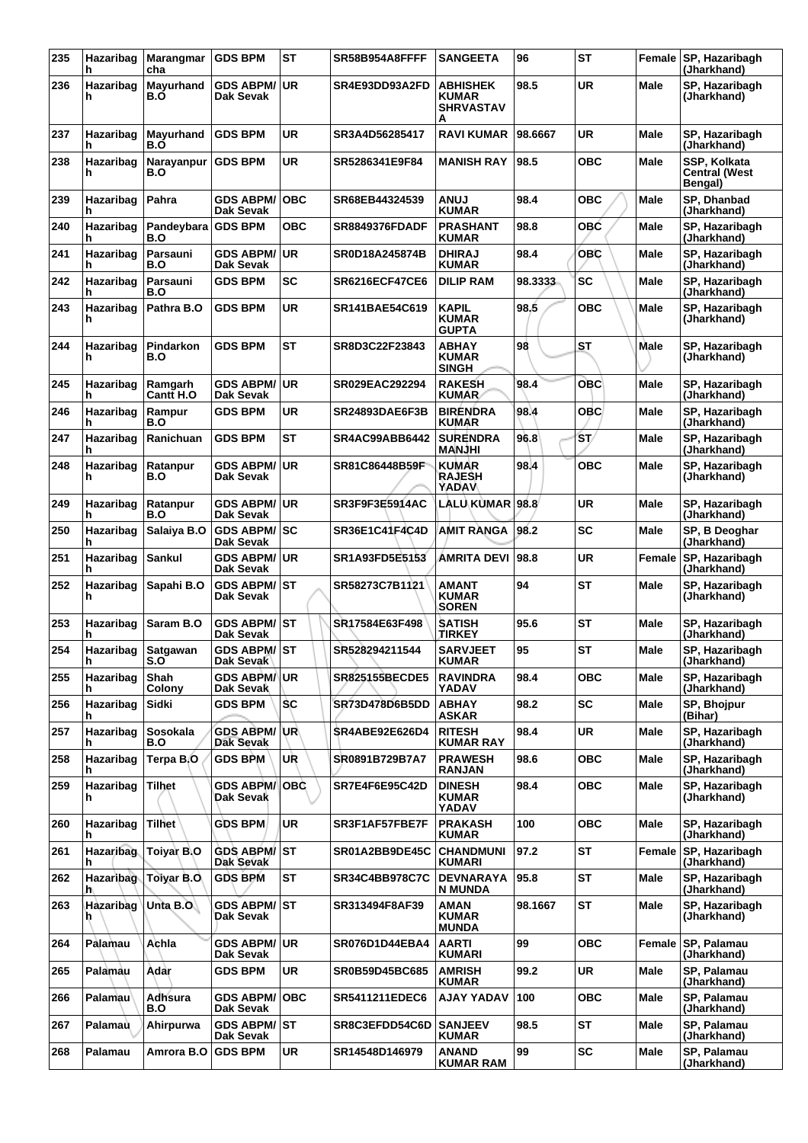| 235 | Hazaribag<br>h        | Marangmar<br>cha          | <b>GDS BPM</b>                   | <b>ST</b>  | SR58B954A8FFFF        | <b>SANGEETA</b>                                          | 96      | <b>ST</b>  |             | Female SP, Hazaribagh<br>(Jharkhand)            |
|-----|-----------------------|---------------------------|----------------------------------|------------|-----------------------|----------------------------------------------------------|---------|------------|-------------|-------------------------------------------------|
| 236 | Hazaribag<br>h        | Mayurhand<br>B.O          | <b>GDS ABPM/</b><br>Dak Sevak    | <b>UR</b>  | SR4E93DD93A2FD        | <b>ABHISHEK</b><br><b>KUMAR</b><br><b>SHRVASTAV</b><br>А | 98.5    | <b>UR</b>  | <b>Male</b> | SP, Hazaribagh<br>(Jharkhand)                   |
| 237 | Hazaribag<br>h        | Mayurhand<br>B.O          | <b>GDS BPM</b>                   | <b>UR</b>  | SR3A4D56285417        | <b>RAVI KUMAR</b>                                        | 98.6667 | <b>UR</b>  | Male        | SP, Hazaribagh<br>(Jharkhand)                   |
| 238 | Hazaribag<br>h        | Narayanpur<br>B.O         | <b>GDS BPM</b>                   | UR         | SR5286341E9F84        | <b>MANISH RAY</b>                                        | 98.5    | ОВС        | Male        | SSP, Kolkata<br><b>Central (West</b><br>Bengal) |
| 239 | Hazaribag<br>h        | Pahra                     | <b>GDS ABPM/</b><br>Dak Sevak    | <b>OBC</b> | SR68EB44324539        | <b>LUIAA</b><br><b>KUMAR</b>                             | 98.4    | <b>OBC</b> | Male        | SP, Dhanbad<br>(Jharkhand)                      |
| 240 | Hazaribag<br>h        | Pandeybara GDS BPM<br>B.O |                                  | овс        | <b>SR8849376FDADF</b> | <b>PRASHANT</b><br><b>KUMAR</b>                          | 98.8    | <b>OBC</b> | Male        | SP, Hazaribagh<br>(Jharkhand)                   |
| 241 | Hazaribag<br>h        | Parsauni<br>B.O           | <b>GDS ABPM/</b><br>Dak Sevak    | ∣UR        | SR0D18A245874B        | <b>DHIRAJ</b><br><b>KUMAR</b>                            | 98.4    | <b>OBC</b> | Male        | SP, Hazaribagh<br>(Jharkhand)                   |
| 242 | Hazaribag<br>h        | Parsauni<br>B.O           | <b>GDS BPM</b>                   | <b>SC</b>  | <b>SR6216ECF47CE6</b> | <b>DILIP RAM</b>                                         | 98.3333 | <b>SC</b>  | Male        | SP, Hazaribagh<br>(Jharkhand)                   |
| 243 | Hazaribag<br>h        | Pathra B.O                | <b>GDS BPM</b>                   | UR         | <b>SR141BAE54C619</b> | <b>KAPIL</b><br><b>KUMAR</b><br><b>GUPTA</b>             | 98.5    | <b>OBC</b> | Male        | SP, Hazaribagh<br>(Jharkhand)                   |
| 244 | Hazaribag<br>h        | Pindarkon<br>B.O          | <b>GDS BPM</b>                   | <b>ST</b>  | SR8D3C22F23843        | <b>ABHAY</b><br><b>KUMAR</b><br><b>SINGH</b>             | 98      | ST         | Male        | SP, Hazaribagh<br>(Jharkhand)                   |
| 245 | Hazaribag<br>h        | Ramgarh<br>Cantt H.O      | <b>GDS ABPM/ UR</b><br>Dak Sevak |            | SR029EAC292294        | <b>RAKESH</b><br><b>KUMAR</b>                            | 98.4    | <b>OBC</b> | Male        | SP, Hazaribagh<br>(Jharkhand)                   |
| 246 | Hazaribag<br>h        | Rampur<br>B.O             | <b>GDS BPM</b>                   | <b>UR</b>  | <b>SR24893DAE6F3B</b> | <b>BIRENDRA</b><br><b>KUMAR</b>                          | 98.4    | <b>OBC</b> | Male        | SP, Hazaribagh<br>(Jharkhand)                   |
| 247 | Hazaribag             | Ranichuan                 | <b>GDS BPM</b>                   | <b>ST</b>  | SR4AC99ABB6442        | <b>SURENDRA</b><br><b>MANJHI</b>                         | 96.8    | ŚΤ/        | Male        | SP, Hazaribagh<br>(Jharkhand)                   |
| 248 | Hazaribag<br>h        | Ratanpur<br>B.O           | GDS ABPM/UR<br>Dak Sevak         |            | SR81C86448B59F        | <b>KUMAR</b><br>RAJESH<br><b>YADAV</b>                   | 98.4    | <b>OBC</b> | Male        | SP, Hazaribagh<br>(Jharkhand)                   |
| 249 | Hazaribag<br>h        | Ratanpur<br>B.O           | <b>GDS ABPM/ UR</b><br>Dak Sevak |            | SR3F9F3E5914AC        | <b>LALU KUMAR</b>                                        | 98.8    | <b>UR</b>  | Male        | SP, Hazaribagh<br>(Jharkhand)                   |
| 250 | Hazaribag<br>h        | Salaiya B.O               | <b>GDS ABPM/ SC</b><br>Dak Sevak |            | <b>SR36E1C41F4C4D</b> | AMIT RANGA                                               | 98.2    | SC         | Male        | SP, B Deoghar<br>(Jharkhand)                    |
| 251 | Hazaribag<br>h        | Sankul                    | GDS ABPM/ UR<br>Dak Sevak        |            | SR1A93FD5E5153        | <b>AMRITA DEVI</b>                                       | 98.8    | <b>UR</b>  | Female      | SP, Hazaribagh<br>(Jharkhand)                   |
| 252 | Hazaribag<br>h        | Sapahi B.O                | <b>GDS ABPM/ ST</b><br>Dak Sevak |            | SR58273C7B1121        | <b>AMANT</b><br><b>KUMAR</b><br><b>SOREN</b>             | 94      | <b>ST</b>  | Male        | SP, Hazaribagh<br>(Jharkhand)                   |
| 253 | Hazaribag<br>h        | Saram B.O                 | GDS ABPM/ST<br>Dak Sevak         |            | SR17584E63F498        | <b>SATISH</b><br><b>TIRKEY</b>                           | 95.6    | <b>ST</b>  | Male        | SP, Hazaribagh<br>(Jharkhand)                   |
| 254 | Hazaribag<br>п.       | <b>Satgawan</b><br>ວ.ບ    | GDS ABPM/ ST<br>Dak Sevak        |            | SR528294211544        | <b>SARVJEET</b><br><b>KUMAR</b>                          | 95      | <b>ST</b>  | Male        | SP, Hazaribagh<br>(Jharkhand)                   |
| 255 | Hazaribag<br>h        | Shah<br>Colony            | <b>GDS ABPM/ UR</b><br>Dak Sevak |            | <b>SR825155BECDE5</b> | <b>RAVINDRA</b><br>YADAV                                 | 98.4    | овс        | Male        | SP, Hazaribagh<br>(Jharkhand)                   |
| 256 | Hazaribag<br>h        | Sidki                     | <b>GDS BPM</b>                   | <b>SC</b>  | SR73D478D6B5DD        | <b>ABHAY</b><br><b>ASKAR</b>                             | 98.2    | <b>SC</b>  | Male        | SP, Bhojpur<br>(Bihar)                          |
| 257 | Hazaribag<br>h        | <b>Sosokala</b><br>B.O    | GDS ABPM/ UR<br>Dak Sevak        |            | <b>SR4ABE92E626D4</b> | <b>RITESH</b><br><b>KUMAR RAY</b>                        | 98.4    | <b>UR</b>  | Male        | SP, Hazaribagh<br>(Jharkhand)                   |
| 258 | Hazaribag<br>h        | Terpa B.O                 | <b>GDS BPM</b>                   | UR         | SR0891B729B7A7        | <b>PRAWESH</b><br><b>RANJAN</b>                          | 98.6    | <b>OBC</b> | Male        | SP, Hazaribagh<br>(Jharkhand)                   |
| 259 | Hazaribag<br>h        | Tilhet                    | <b>GDS ABPM/</b><br>Dak Sevak    | OBC        | SR7E4F6E95C42D        | <b>DINESH</b><br><b>KUMAR</b><br>YADAV                   | 98.4    | <b>OBC</b> | Male        | SP, Hazaribagh<br>(Jharkhand)                   |
| 260 | Hazaribag<br>h        | <b>Tilhet</b>             | <b>GDS BPM</b>                   | <b>UR</b>  | SR3F1AF57FBE7F        | <b>PRAKASH</b><br><b>KUMAR</b>                           | 100     | <b>OBC</b> | Male        | SP, Hazaribagh<br>(Jharkhand)                   |
| 261 | Hazaribag<br>h        | Toiyar B.O                | <b>GDS ABPM/ ST</b><br>Dak Sevak |            | SR01A2BB9DE45C        | <b>CHANDMUNI</b><br><b>KUMARI</b>                        | 97.2    | ST         | Female      | SP, Hazaribagh<br>(Jharkhand)                   |
| 262 | Hazaribag<br>h        | <b>Toiyar B.O</b>         | <b>GDS BPM</b>                   | ST         | <b>SR34C4BB978C7C</b> | <b>DEVNARAYA</b><br><b>N MUNDA</b>                       | 95.8    | ST         | Male        | SP, Hazaribagh<br>(Jharkhand)                   |
| 263 | <b>Hazaribag</b><br>h | Unta $B.O$                | <b>GDS ABPM/ ST</b><br>Dak Sevak |            | SR313494F8AF39        | AMAN<br><b>KUMAR</b><br><b>MUNDA</b>                     | 98.1667 | ST         | Male        | SP, Hazaribagh<br>(Jharkhand)                   |
| 264 | Palamau               | Achla                     | <b>GDS ABPM/UR</b><br>Dak Sevak  |            | SR076D1D44EBA4        | <b>AARTI</b><br><b>KUMARI</b>                            | 99      | <b>OBC</b> | Female      | SP, Palamau<br>(Jharkhand)                      |
| 265 | Palamau               | Adar                      | <b>GDS BPM</b>                   | <b>UR</b>  | SR0B59D45BC685        | <b>AMRISH</b><br><b>KUMAR</b>                            | 99.2    | <b>UR</b>  | Male        | SP, Palamau<br>(Jharkhand)                      |
| 266 | Palamau               | Adhsura<br>B.O            | <b>GDS ABPM/</b><br>Dak Sevak    | ∣OBC       | SR5411211EDEC6        | AJAY YADAV                                               | 100     | овс        | Male        | SP, Palamau<br>(Jharkhand)                      |
| 267 | Palamau               | Ahirpurwa                 | <b>GDS ABPM/ST</b><br>Dak Sevak  |            | SR8C3EFDD54C6D        | <b>SANJEEV</b><br><b>KUMAR</b>                           | 98.5    | ST         | Male        | SP, Palamau<br>(Jharkhand)                      |
| 268 | Palamau               | Amrora B.O                | <b>GDS BPM</b>                   | <b>UR</b>  | SR14548D146979        | <b>ANAND</b><br><b>KUMAR RAM</b>                         | 99      | <b>SC</b>  | Male        | SP, Palamau<br>(Jharkhand)                      |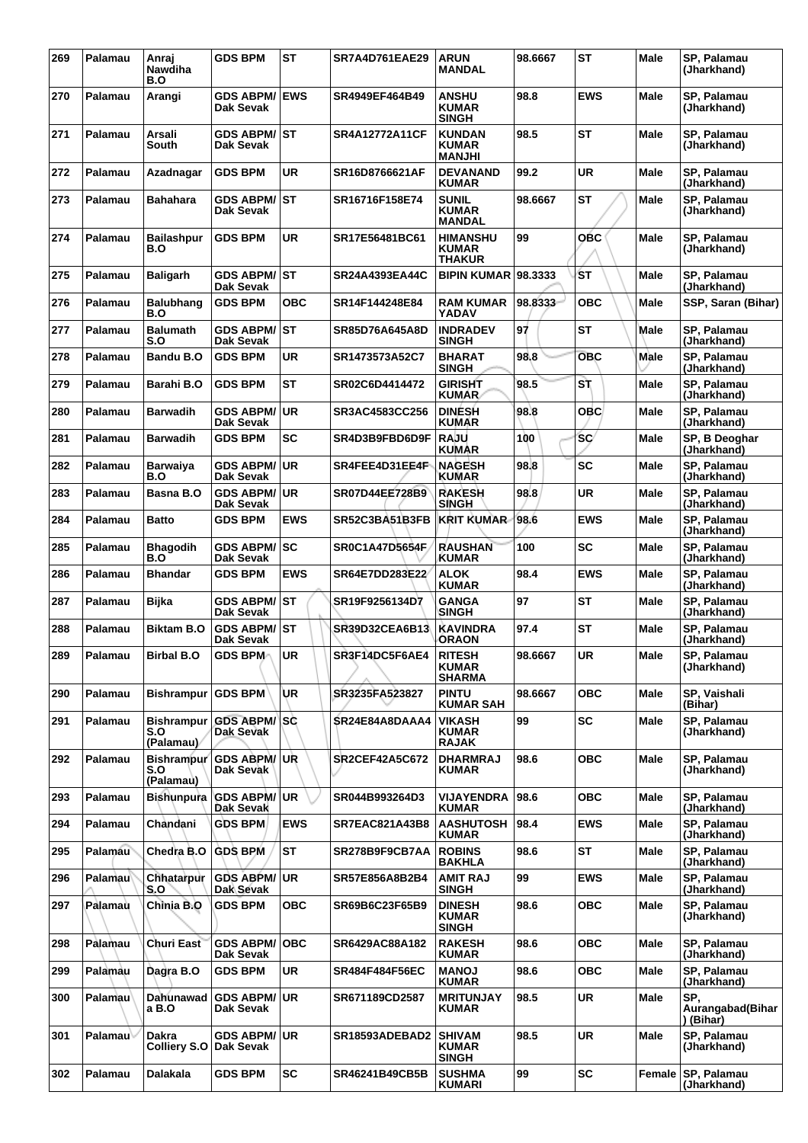| 269 | Palamau        | Anraj<br>Nawdiha<br>B.O               | <b>GDS BPM</b>                       | <b>ST</b>  | <b>SR7A4D761EAE29</b> | <b>ARUN</b><br><b>MANDAL</b>                   | 98.6667 | <b>ST</b>  | <b>Male</b> | SP, Palamau<br>(Jharkhand)           |
|-----|----------------|---------------------------------------|--------------------------------------|------------|-----------------------|------------------------------------------------|---------|------------|-------------|--------------------------------------|
| 270 | Palamau        | Arangi                                | <b>GDS ABPM/</b><br>Dak Sevak        | <b>EWS</b> | SR4949EF464B49        | <b>ANSHU</b><br><b>KUMAR</b><br><b>SINGH</b>   | 98.8    | <b>EWS</b> | Male        | <b>SP. Palamau</b><br>(Jharkhand)    |
| 271 | Palamau        | Arsali<br>South                       | <b>GDS ABPM/</b><br>Dak Sevak        | <b>ST</b>  | <b>SR4A12772A11CF</b> | <b>KUNDAN</b><br><b>KUMAR</b><br><b>MANJHI</b> | 98.5    | <b>ST</b>  | Male        | SP, Palamau<br>(Jharkhand)           |
| 272 | Palamau        | Azadnagar                             | <b>GDS BPM</b>                       | <b>UR</b>  | SR16D8766621AF        | <b>DEVANAND</b><br><b>KUMAR</b>                | 99.2    | <b>UR</b>  | <b>Male</b> | SP, Palamau<br>(Jharkhand)           |
| 273 | Palamau        | <b>Bahahara</b>                       | <b>GDS ABPM/</b><br>Dak Sevak        | <b>ST</b>  | SR16716F158E74        | <b>SUNIL</b><br><b>KUMAR</b><br><b>MANDAL</b>  | 98.6667 | <b>ST</b>  | Male        | SP, Palamau<br>(Jharkhand)           |
| 274 | Palamau        | <b>Bailashpur</b><br>B.O              | <b>GDS BPM</b>                       | <b>UR</b>  | SR17E56481BC61        | <b>HIMANSHU</b><br><b>KUMAR</b><br>THAKUR      | 99      | <b>OBC</b> | Male        | SP, Palamau<br>(Jharkhand)           |
| 275 | Palamau        | <b>Baligarh</b>                       | <b>GDS ABPM/ ST</b><br>Dak Sevak     |            | SR24A4393EA44C        | <b>BIPIN KUMAR 98.3333</b>                     |         | <b>ST</b>  | Male        | SP, Palamau<br>(Jharkhand)           |
| 276 | Palamau        | <b>Balubhang</b><br>B.O               | <b>GDS BPM</b>                       | <b>OBC</b> | SR14F144248E84        | <b>RAM KUMAR</b><br>YADAV                      | 98.8333 | <b>OBC</b> | <b>Male</b> | SSP, Saran (Bihar)                   |
| 277 | Palamau        | <b>Balumath</b><br>S.O                | <b>GDS ABPM/</b><br>Dak Sevak        | <b>ST</b>  | SR85D76A645A8D        | <b>INDRADEV</b><br><b>SINGH</b>                | 97      | <b>ST</b>  | Male        | SP, Palamau<br>(Jharkhand)           |
| 278 | Palamau        | Bandu B.O                             | <b>GDS BPM</b>                       | UR         | SR1473573A52C7        | <b>BHARAT</b><br><b>SINGH</b>                  | 98.8    | <b>OBC</b> | Male        | SP, Palamau<br>(Jharkhand)           |
| 279 | Palamau        | Barahi B.O                            | <b>GDS BPM</b>                       | <b>ST</b>  | SR02C6D4414472        | <b>GIRISHT</b><br><b>KUMAR</b>                 | 98.5    | S٦         | <b>Male</b> | SP, Palamau<br>(Jharkhand)           |
| 280 | Palamau        | Barwadih                              | <b>GDS ABPM/</b><br>Dak Sevak        | <b>UR</b>  | SR3AC4583CC256        | <b>DINESH</b><br>KUMAR                         | 98.8    | <b>OBC</b> | Male        | SP, Palamau<br>(Jharkhand)           |
| 281 | Palamau        | <b>Barwadih</b>                       | <b>GDS BPM</b>                       | SC         | SR4D3B9FBD6D9F        | <b>RAJU</b><br><b>KUMAR</b>                    | 100     | <b>SC</b>  | Male        | SP, B Deoghar<br>(Jharkhand)         |
| 282 | Palamau        | Barwaiya<br>B.O                       | <b>GDS ABPM/</b><br><b>Dak Sevak</b> | <b>UR</b>  | SR4FEE4D31EE4F        | <b>NAGESH</b><br><b>KUMAR</b>                  | 98.8    | <b>SC</b>  | Male        | SP, Palamau<br>(Jharkhand)           |
| 283 | Palamau        | Basna B.O                             | <b>GDS ABPM/</b><br>Dak Sevak        | <b>UR</b>  | SR07D44EE728B9        | <b>RAKESH</b><br>SINGH                         | 98.8    | <b>UR</b>  | Male        | SP, Palamau<br>(Jharkhand)           |
| 284 | Palamau        | <b>Batto</b>                          | <b>GDS BPM</b>                       | <b>EWS</b> | SR52C3BA51B3FB        | <b>KRIT KUMAR</b>                              | 98.6    | <b>EWS</b> | Male        | SP, Palamau<br>(Jharkhand)           |
| 285 | Palamau        | <b>Bhagodih</b><br>B.O                | <b>GDS ABPM/</b><br><b>Dak Sevak</b> | <b>SC</b>  | <b>SR0C1A47D5654F</b> | <b>RAUSHAN</b><br><b>KUMAR</b>                 | 100     | <b>SC</b>  | Male        | SP, Palamau<br>(Jharkhand)           |
| 286 | Palamau        | <b>Bhandar</b>                        | <b>GDS BPM</b>                       | <b>EWS</b> | SR64E7DD283E22        | <b>ALOK</b><br><b>KUMAR</b>                    | 98.4    | <b>EWS</b> | Male        | SP, Palamau<br>(Jharkhand)           |
| 287 | Palamau        | <b>Bijka</b>                          | <b>GDS ABPM/</b><br>Dak Sevak        | <b>ST</b>  | SR19F9256134D7        | <b>GANGA</b><br>SINGH                          | 97      | ST         | Male        | SP, Palamau<br>(Jharkhand)           |
| 288 | Palamau        | <b>Biktam B.O</b>                     | <b>GDS ABPM/</b><br>Dak Sevak        | <b>ST</b>  | <b>SR39D32CEA6B13</b> | <b>KAVINDRA</b><br><b>ORAON</b>                | 97.4    | <b>ST</b>  | Male        | SP, Palamau<br>(Jharkhand)           |
| 289 | Palamau        | <b>Birbal B.O</b>                     | <b>GDS BPM</b>                       | <b>UR</b>  | SR3F14DC5F6AE4        | <b>RITESH</b><br><b>KUMAR</b><br><b>SHARMA</b> | 98.6667 | <b>UR</b>  | Male        | <b>SP. Palamau</b><br>(Jharkhand)    |
| 290 | Palamau        | <b>Bishrampur</b>                     | <b>GDS BPM</b>                       | UR.        | SR3235FA523827        | <b>PINTU</b><br><b>KUMAR SAH</b>               | 98.6667 | <b>OBC</b> | <b>Male</b> | SP, Vaishali<br>(Bihar)              |
| 291 | Palamau        | <b>Bishrampur</b><br>S.O<br>(Palamau) | <b>GDS ABPM/</b><br>Dak Sevak        | lSC.       | SR24E84A8DAAA4        | <b>VIKASH</b><br><b>KUMAR</b><br><b>RAJAK</b>  | 99      | <b>SC</b>  | <b>Male</b> | SP, Palamau<br>(Jharkhand)           |
| 292 | Palamau        | <b>Bishrampur</b><br>S.O<br>(Palamau) | <b>GDS ABPM/</b><br>Dak Sevak        | <b>UR</b>  | <b>SR2CEF42A5C672</b> | <b>DHARMRAJ</b><br><b>KUMAR</b>                | 98.6    | <b>OBC</b> | <b>Male</b> | SP, Palamau<br>(Jharkhand)           |
| 293 | Palamau        | <b>Bishunpura</b>                     | <b>GDS ABPM/</b><br>Dak Sevak        | <b>UR</b>  | SR044B993264D3        | <b>VIJAYENDRA</b><br><b>KUMAR</b>              | 98.6    | <b>OBC</b> | Male        | SP, Palamau<br>(Jharkhand)           |
| 294 | Palamau        | Chàndani                              | <b>GDS BPM</b>                       | <b>EWS</b> | <b>SR7EAC821A43B8</b> | <b>AASHUTOSH</b><br><b>KUMAR</b>               | 98.4    | <b>EWS</b> | <b>Male</b> | SP, Palamau<br>(Jharkhand)           |
| 295 | Palamau        | Chedra B.O                            | <b>GDS BPM</b>                       | <b>ST</b>  | SR278B9F9CB7AA        | <b>ROBINS</b><br><b>BAKHLA</b>                 | 98.6    | <b>ST</b>  | Male        | SP, Palamau<br>(Jharkhand)           |
| 296 | <b>Palamau</b> | Chhatarpur<br>S.O                     | <b>GDS ABPM/</b><br>Dak Sevak        | <b>UR</b>  | SR57E856A8B2B4        | <b>AMIT RAJ</b><br><b>SINGH</b>                | 99      | EWS        | Male        | SP, Palamau<br>(Jharkhand)           |
| 297 | Palamau        | Chinia B.O                            | <b>GDS BPM</b>                       | <b>OBC</b> | SR69B6C23F65B9        | <b>DINESH</b><br><b>KUMAR</b><br><b>SINGH</b>  | 98.6    | <b>OBC</b> | Male        | SP, Palamau<br>(Jharkhand)           |
| 298 | Palamau        | <b>Churi East</b>                     | <b>GDS ABPM/</b><br>Dak Sevak        | <b>OBC</b> | SR6429AC88A182        | <b>RAKESH</b><br><b>KUMAR</b>                  | 98.6    | <b>OBC</b> | Male        | SP, Palamau<br>(Jharkhand)           |
| 299 | Palamau        | Dagra B.O                             | <b>GDS BPM</b>                       | <b>UR</b>  | <b>SR484F484F56EC</b> | <b>UONAM</b><br><b>KUMAR</b>                   | 98.6    | <b>OBC</b> | <b>Male</b> | SP, Palamau<br>(Jharkhand)           |
| 300 | <b>Palamau</b> | Dahunawad<br>a B.O                    | <b>GDS ABPM/</b><br>Dak Sevak        | UR         | SR671189CD2587        | <b>MRITUNJAY</b><br><b>KUMAR</b>               | 98.5    | <b>UR</b>  | Male        | SP.<br>Aurangabad(Bihar<br>) (Bihar) |
| 301 | Palamau        | Dakra<br><b>Colliery S.O</b>          | <b>GDS ABPM/</b><br> Dak Sevak       | <b>UR</b>  | SR18593ADEBAD2        | <b>SHIVAM</b><br><b>KUMAR</b><br><b>SINGH</b>  | 98.5    | <b>UR</b>  | Male        | SP, Palamau<br>(Jharkhand)           |
| 302 | Palamau        | Dalakala                              | GDS BPM                              | <b>SC</b>  | SR46241B49CB5B        | <b>SUSHMA</b><br>KUMARI                        | 99      | <b>SC</b>  | Female      | SP, Palamau<br>(Jharkhand)           |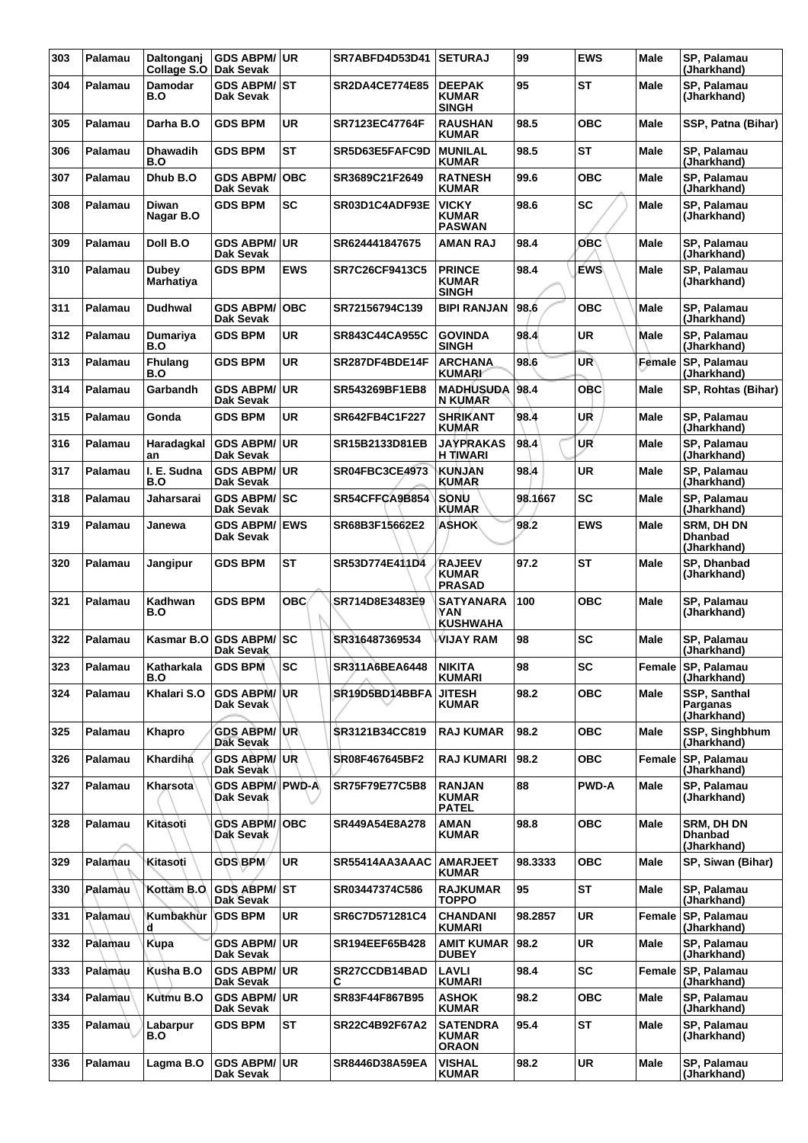| 303 | Palamau        | Daltonganj<br>Collage S.O        | <b>GDS ABPM/ UR</b><br>Dak Sevak    |            | SR7ABFD4D53D41        | <b>SETURAJ</b>                                  | 99      | <b>EWS</b>   | <b>Male</b> | SP, Palamau<br>(Jharkhand)                         |
|-----|----------------|----------------------------------|-------------------------------------|------------|-----------------------|-------------------------------------------------|---------|--------------|-------------|----------------------------------------------------|
| 304 | Palamau        | <b>Damodar</b><br>B.O            | <b>GDS ABPM/ST</b><br>Dak Sevak     |            | <b>SR2DA4CE774E85</b> | <b>DEEPAK</b><br><b>KUMAR</b><br><b>SINGH</b>   | 95      | <b>ST</b>    | Male        | SP, Palamau<br>(Jharkhand)                         |
| 305 | Palamau        | Darha B.O                        | <b>GDS BPM</b>                      | <b>UR</b>  | SR7123EC47764F        | <b>RAUSHAN</b><br><b>KUMAR</b>                  | 98.5    | <b>OBC</b>   | Male        | SSP, Patna (Bihar)                                 |
| 306 | Palamau        | Dhawadih<br>B.O                  | <b>GDS BPM</b>                      | <b>ST</b>  | SR5D63E5FAFC9D        | <b>MUNILAL</b><br><b>KUMAR</b>                  | 98.5    | <b>ST</b>    | Male        | SP, Palamau<br>(Jharkhand)                         |
| 307 | Palamau        | Dhub B.O                         | <b>GDS ABPM/</b><br>Dak Sevak       | <b>OBC</b> | SR3689C21F2649        | <b>RATNESH</b><br><b>KUMAR</b>                  | 99.6    | <b>OBC</b>   | Male        | SP, Palamau<br>(Jharkhand)                         |
| 308 | Palamau        | Diwan<br>Nagar B.O               | <b>GDS BPM</b>                      | <b>SC</b>  | SR03D1C4ADF93E        | <b>VICKY</b><br>KUMAR<br><b>PASWAN</b>          | 98.6    | <b>SC</b>    | Male        | SP, Palamau<br>(Jharkhand)                         |
| 309 | Palamau        | Doll B.O                         | <b>GDS ABPM/</b><br>Dak Sevak       | ∣UR        | SR624441847675        | AMAN RAJ                                        | 98.4    | ОВС          | Male        | SP, Palamau<br>(Jharkhand)                         |
| 310 | Palamau        | <b>Dubey</b><br><b>Marhatiya</b> | <b>GDS BPM</b>                      | <b>EWS</b> | SR7C26CF9413C5        | <b>PRINCE</b><br><b>KUMAR</b><br><b>SINGH</b>   | 98.4    | EWS          | <b>Male</b> | SP, Palamau<br>(Jharkhand)                         |
| 311 | Palamau        | Dudhwal                          | <b>GDS ABPM/</b><br>Dak Sevak       | <b>OBC</b> | SR72156794C139        | <b>BIPI RANJAN</b>                              | 98.6    | <b>OBC</b>   | Male        | SP, Palamau<br>(Jharkhand)                         |
| 312 | Palamau        | Dumariya<br>B.O                  | <b>GDS BPM</b>                      | <b>UR</b>  | <b>SR843C44CA955C</b> | <b>GOVINDA</b><br><b>SINGH</b>                  | 98.4    | <b>UR</b>    | Male        | SP, Palamau<br>(Jharkhand)                         |
| 313 | Palamau        | <b>Fhulang</b><br>B.O            | <b>GDS BPM</b>                      | <b>UR</b>  | SR287DF4BDE14F        | <b>ARCHANA</b><br><b>KUMARI</b>                 | 98.6    | UR           | Female      | SP, Palamau<br>(Jharkhand)                         |
| 314 | Palamau        | Garbandh                         | <b>GDS ABPM/</b><br>Dak Sevak       | ∣UR        | SR543269BF1EB8        | <b>MADHUSUDA</b><br>N KUMAR                     | 98.4    | <b>OBC</b>   | <b>Male</b> | SP, Rohtas (Bihar)                                 |
| 315 | Palamau        | Gonda                            | <b>GDS BPM</b>                      | <b>UR</b>  | SR642FB4C1F227        | <b>SHRIKANT</b><br><b>KUMAR</b>                 | 98.4    | UR           | Male        | SP, Palamau<br>(Jharkhand)                         |
| 316 | Palamau        | Haradagkal<br>an                 | <b>GDS ABPM/ UR</b><br>Dak Sevak    |            | SR15B2133D81EB        | <b>JAYPRAKAS</b><br>H TIWARI                    | 98.4    | UR           | Male        | SP, Palamau<br>(Jharkhand)                         |
| 317 | Palamau        | I. E. Sudna<br>B.O               | <b>GDS ABPM/ UR</b><br>Dak Sevak    |            | <b>SR04FBC3CE4973</b> | <b>KUNJAN</b><br><b>KUMAR</b>                   | 98.4    | <b>UR</b>    | Male        | SP, Palamau<br>(Jharkhand)                         |
| 318 | Palamau        | Jaharsarai                       | <b>GDS ABPM/ SC</b><br>Dak Sevak    |            | SR54CFFCA9B854        | SONU<br><b>KUMAR</b>                            | 98.1667 | <b>SC</b>    | Male        | SP, Palamau<br>(Jharkhand)                         |
| 319 | Palamau        | Janewa                           | <b>GDS ABPM/ EWS</b><br>Dak Sevak   |            | SR68B3F15662E2        | <b>ASHOK</b>                                    | 98.2    | <b>EWS</b>   | Male        | <b>SRM, DH DN</b><br><b>Dhanbad</b><br>(Jharkhand) |
| 320 | Palamau        | Jangipur                         | <b>GDS BPM</b>                      | <b>ST</b>  | SR53D774E411D4        | <b>RAJEEV</b><br><b>KUMAR</b><br><b>PRASAD</b>  | 97.2    | <b>ST</b>    | <b>Male</b> | SP, Dhanbad<br>(Jharkhand)                         |
| 321 | Palamau        | Kadhwan<br>B.O                   | <b>GDS BPM</b>                      | <b>OBC</b> | SR714D8E3483E9        | <b>SATYANARA</b><br>YAN<br><b>KUSHWAHA</b>      | 100     | ОВС          | <b>Male</b> | SP, Palamau<br>(Jharkhand)                         |
| 322 | Palamau        | Kasmar B.O                       | GDS ABPM/SC<br>Dak Sevak            |            | SR316487369534        | VIJAY RAM                                       | 98      | <b>SC</b>    | Male        | SP, Palamau<br>(Jharkhand)                         |
| 323 | Palamau        | Katharkala<br>B.O                | <b>GDS BPM</b>                      | l SC       | SR311A6BEA6448        | <b>NIKITA</b><br><b>KUMARI</b>                  | 98      | <b>SC</b>    |             | Female SP, Palamau<br>(Jharkhand)                  |
| 324 | Palamau        | Khalari S.O                      | <b>GDS ABPM/UR</b><br>Dak Sevak \   |            | SR19D5BD14BBFA        | JITESH<br><b>KUMAR</b>                          | 98.2    | <b>OBC</b>   | Male        | SSP, Santhal<br>Parganas<br>(Jharkhand)            |
| 325 | Palamau        | Khapro                           | <b>GDS ABPM/ UR</b><br>Dak Sevak    |            | SR3121B34CC819        | <b>RAJ KUMAR</b>                                | 98.2    | OBC          | Male        | SSP, Singhbhum<br>(Jharkhand)                      |
| 326 | Palamau        | <b>Khardiha</b>                  | <b>GDS ABPM/UR</b><br>Dak Sevak     |            | SR08F467645BF2        | <b>RAJ KUMARI</b>                               | 98.2    | <b>OBC</b>   | Female      | <b>SP. Palamau</b><br>(Jharkhand)                  |
| 327 | Palamau        | Kharsota                         | <b>GDS ABPM/ PWD-A</b><br>Dak Sevak |            | <b>SR75F79E77C5B8</b> | <b>RANJAN</b><br><b>KUMAR</b><br><b>PATEL</b>   | 88      | <b>PWD-A</b> | Male        | SP, Palamau<br>(Jharkhand)                         |
| 328 | Palamau        | Kitasoti                         | <b>GDS ABPM/OBC</b><br>Dak Sevak    |            | SR449A54E8A278        | AMAN<br><b>KUMAR</b>                            | 98.8    | <b>OBC</b>   | <b>Male</b> | <b>SRM, DH DN</b><br><b>Dhanbad</b><br>(Jharkhand) |
| 329 | Palamau        | Kitasoti                         | GDS BPM                             | <b>UR</b>  | SR55414AA3AAAC        | <b>AMARJEET</b><br><b>KUMAR</b>                 | 98.3333 | <b>OBC</b>   | Male        | SP, Siwan (Bihar)                                  |
| 330 | Palamau        | Kottam B.O.                      | <b>GDS ABPM/ST</b><br>Dak Sevak     |            | SR03447374C586        | <b>RAJKUMAR</b><br>TOPPO                        | 95      | <b>ST</b>    | Male        | SP, Palamau<br>(Jharkhand)                         |
| 331 | Palamau        | Kumbakhur<br>d.                  | <b>GDS BPM</b>                      | UR.        | SR6C7D571281C4        | <b>CHANDANI</b><br>KUMARI                       | 98.2857 | UR           | Female      | SP, Palamau<br>(Jharkhand)                         |
| 332 | Palamau        | Kupa                             | <b>GDS ABPM/ UR</b><br>Dak Sevak    |            | SR194EEF65B428        | <b>AMIT KUMAR</b><br><b>DUBEY</b>               | 98.2    | <b>UR</b>    | Male        | SP, Palamau<br>(Jharkhand)                         |
| 333 | Palamau        | Kusha B.O                        | <b>GDS ABPM/ UR</b><br>Dak Sevak    |            | SR27CCDB14BAD<br>С    | <b>LAVLI</b><br>KUMARI                          | 98.4    | <b>SC</b>    | Female      | SP, Palamau<br>(Jharkhand)                         |
| 334 | <b>Palamau</b> | Kutmu B.O                        | <b>GDS ABPM/ UR</b><br>Dak Sevak    |            | SR83F44F867B95        | <b>ASHOK</b><br><b>KUMAR</b>                    | 98.2    | ОВС          | Male        | SP, Palamau<br>(Jharkhand)                         |
| 335 | Palamau        | Labarpur<br>B.O                  | <b>GDS BPM</b>                      | <b>ST</b>  | SR22C4B92F67A2        | <b>SATENDRA</b><br><b>KUMAR</b><br><b>ORAON</b> | 95.4    | ST           | Male        | SP, Palamau<br>(Jharkhand)                         |
| 336 | Palamau        | Lagma B.O                        | <b>GDS ABPM/ UR</b><br>Dak Sevak    |            | SR8446D38A59EA        | VISHAL<br><b>KUMAR</b>                          | 98.2    | UR           | Male        | SP, Palamau<br>(Jharkhand)                         |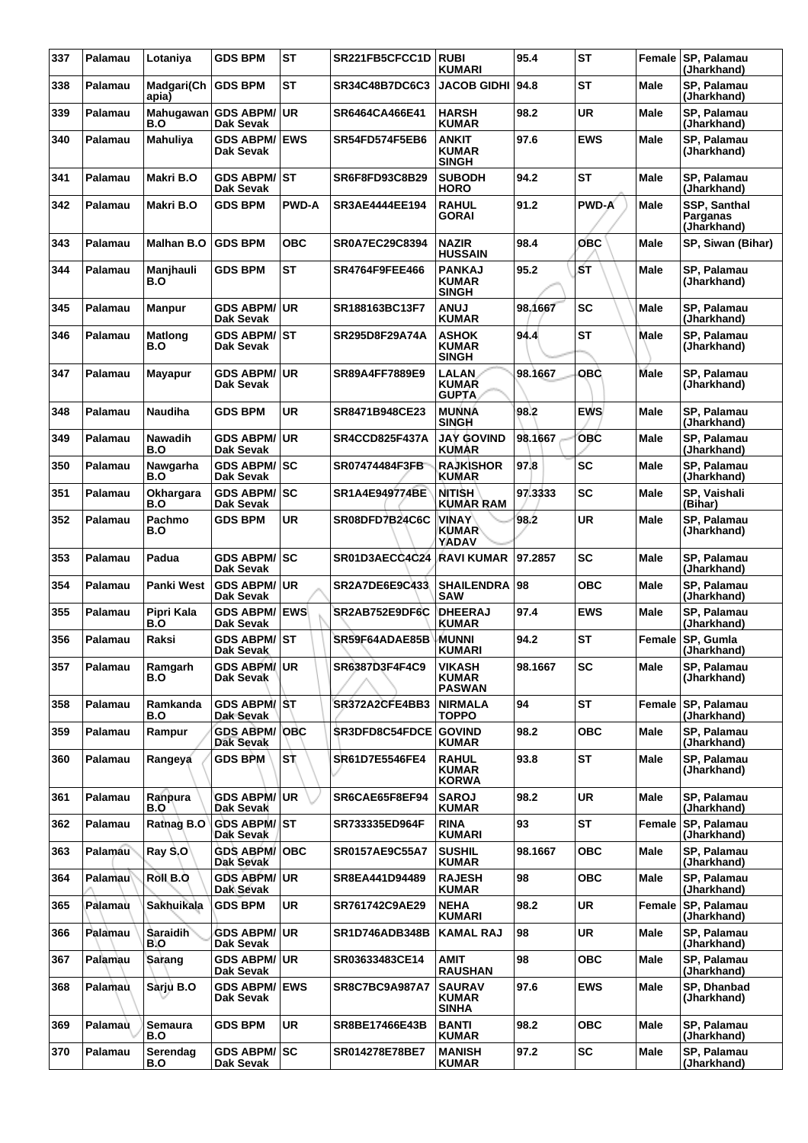| 337 | Palamau | Lotaniya               | <b>GDS BPM</b>                           | <b>ST</b>    | SR221FB5CFCC1D        | <b>RUBI</b><br><b>KUMARI</b>                   | 95.4    | <b>ST</b>    |             | Female SP, Palamau<br>(Jharkhand)       |
|-----|---------|------------------------|------------------------------------------|--------------|-----------------------|------------------------------------------------|---------|--------------|-------------|-----------------------------------------|
| 338 | Palamau | Madgari(Ch<br>apia)    | <b>GDS BPM</b>                           | <b>ST</b>    | <b>SR34C48B7DC6C3</b> | <b>JACOB GIDHI</b>                             | 94.8    | <b>ST</b>    | <b>Male</b> | SP, Palamau<br>(Jharkhand)              |
| 339 | Palamau | Mahugawan<br>B.O       | <b>GDS ABPM/ UR</b><br>Dak Sevak         |              | SR6464CA466E41        | <b>HARSH</b><br><b>KUMAR</b>                   | 98.2    | <b>UR</b>    | Male        | SP, Palamau<br>(Jharkhand)              |
| 340 | Palamau | Mahuliya               | <b>GDS ABPM/ EWS</b><br>Dak Sevak        |              | <b>SR54FD574F5EB6</b> | <b>ANKIT</b><br><b>KUMAR</b><br><b>SINGH</b>   | 97.6    | <b>EWS</b>   | <b>Male</b> | SP, Palamau<br>(Jharkhand)              |
| 341 | Palamau | Makri B.O              | <b>GDS ABPM/ST</b><br>Dak Sevak          |              | SR6F8FD93C8B29        | <b>SUBODH</b><br><b>HORO</b>                   | 94.2    | <b>ST</b>    | Male        | SP, Palamau<br>(Jharkhand)              |
| 342 | Palamau | Makri B.O              | <b>GDS BPM</b>                           | <b>PWD-A</b> | SR3AE4444EE194        | <b>RAHUL</b><br><b>GORAI</b>                   | 91.2    | <b>PWD-A</b> | Male        | SSP, Santhal<br>Parganas<br>(Jharkhand) |
| 343 | Palamau | Malhan B.O             | <b>GDS BPM</b>                           | <b>OBC</b>   | <b>SR0A7EC29C8394</b> | <b>NAZIR</b><br><b>HUSSAIN</b>                 | 98.4    | OBC          | <b>Male</b> | SP, Siwan (Bihar)                       |
| 344 | Palamau | Manjhauli<br>B.O       | <b>GDS BPM</b>                           | <b>ST</b>    | <b>SR4764F9FEE466</b> | <b>PANKAJ</b><br><b>KUMAR</b><br><b>SINGH</b>  | 95.2    | lбт          | <b>Male</b> | SP, Palamau<br>(Jharkhand)              |
| 345 | Palamau | <b>Manpur</b>          | <b>GDS ABPM/ UR</b><br>Dak Sevak         |              | SR188163BC13F7        | <b>LUNA</b><br><b>KUMAR</b>                    | 98.1667 | <b>SC</b>    | <b>Male</b> | SP, Palamau<br>(Jharkhand)              |
| 346 | Palamau | <b>Matlong</b><br>B.O  | <b>GDS ABPM/ST</b><br>Dak Sevak          |              | SR295D8F29A74A        | <b>ASHOK</b><br><b>KUMAR</b><br><b>SINGH</b>   | 94.4    | <b>ST</b>    | Male        | SP, Palamau<br>(Jharkhand)              |
| 347 | Palamau | <b>Mayapur</b>         | <b>GDS ABPM/ UR</b><br>Dak Sevak         |              | SR89A4FF7889E9        | <b>LALAN</b><br><b>KUMAR</b><br><b>GUPTA</b>   | 98.1667 | овс          | Male        | SP, Palamau<br>(Jharkhand)              |
| 348 | Palamau | <b>Naudiha</b>         | <b>GDS BPM</b>                           | <b>UR</b>    | SR8471B948CE23        | <b>MUNNA</b><br><b>SINGH</b>                   | 98.2    | <b>EWS</b>   | <b>Male</b> | SP, Palamau<br>(Jharkhand)              |
| 349 | Palamau | <b>Nawadih</b><br>B.O  | <b>GDS ABPM/ UR</b><br>Dak Sevak         |              | <b>SR4CCD825F437A</b> | <b>JAY GOVIND</b><br><b>KUMAR</b>              | 98.1667 | <b>OBC</b>   | <b>Male</b> | SP, Palamau<br>(Jharkhand)              |
| 350 | Palamau | Nawgarha<br>B.O        | <b>GDS ABPM/SC</b><br>Dak Sevak          |              | SR07474484F3FB        | <b>RAJKISHOR</b><br><b>KUMAR</b>               | 97.8    | <b>SC</b>    | Male        | SP, Palamau<br>(Jharkhand)              |
| 351 | Palamau | Okhargara<br>B.O       | <b>GDS ABPM/ SC</b><br>Dak Sevak         |              | SR1A4E949774BE        | <b>NITISH</b><br><b>KUMAR RAM</b>              | 97.3333 | <b>SC</b>    | <b>Male</b> | SP, Vaishali<br>(Bihar)                 |
| 352 | Palamau | Pachmo<br>B.O          | <b>GDS BPM</b>                           | <b>UR</b>    | SR08DFD7B24C6C        | <b>VINAY</b><br><b>KUMAR</b><br>YADAV          | 98.2    | <b>UR</b>    | <b>Male</b> | SP, Palamau<br>(Jharkhand)              |
| 353 | Palamau | Padua                  | GDS ABPM/SC<br>Dak Sevak                 |              | SR01D3AECC4C24        | <b>RAVI KUMAR</b>                              | 97.2857 | <b>SC</b>    | <b>Male</b> | SP, Palamau<br>(Jharkhand)              |
| 354 | Palamau | <b>Panki West</b>      | <b>GDS ABPM/ UR</b><br>Dak Sevak         |              | SR2A7DE6E9C433        | <b>SHAILENDRA</b><br><b>SAW</b>                | 98      | <b>OBC</b>   | <b>Male</b> | SP, Palamau<br>(Jharkhand)              |
| 355 | Palamau | Pipri Kala<br>B.O      | <b>GDS ABPM/ EWS</b><br><b>Dak Sevak</b> |              | SR2AB752E9DF6C        | DHEERAJ<br><b>KUMAR</b>                        | 97.4    | <b>EWS</b>   | Male        | SP, Palamau<br>(Jharkhand)              |
| 356 | Palamau | Raksi                  | <b>GDS ABPM/ST</b><br>Dak Sevak          |              | SR59F64ADAE85B        | MUNNI<br><b>KUMARI</b>                         | 94.2    | <b>ST</b>    | Female      | SP, Gumla<br>(Jharkhand)                |
| 357 | Palamau | Ramgarh<br>B.O         | <b>GDS ABPM/UR</b><br>Dak Sevak          |              | SR6387D3F4F4C9        | <b>VIKASH</b><br><b>KUMAR</b><br><b>PASWAN</b> | 98.1667 | SC           | Male        | SP, Palamau<br>(Jharkhand)              |
| 358 | Palamau | Ramkanda<br>B.O        | <b>GDS ABPM/ST</b><br>Dak Sevak          |              | SR372A2CFE4BB3        | <b>NIRMALA</b><br><b>TOPPO</b>                 | 94      | <b>ST</b>    | Female      | <b>SP. Palamau</b><br>(Jharkhand)       |
| 359 | Palamau | Rampur                 | <b>GDS ABPM/OBC</b><br>Dak Sevak         |              | SR3DFD8C54FDCE        | <b>GOVIND</b><br><b>KUMAR</b>                  | 98.2    | <b>OBC</b>   | Male        | SP, Palamau<br>(Jharkhand)              |
| 360 | Palamau | Rangeya                | <b>GDS BPM</b>                           | l S†         | SR61D7E5546FE4        | <b>RAHUL</b><br><b>KUMAR</b><br><b>KORWA</b>   | 93.8    | <b>ST</b>    | Male        | <b>SP. Palamau</b><br>(Jharkhand)       |
| 361 | Palamau | Ranpura<br>B.O         | <b>GDS ABPM/ UR</b><br>Dak Sevak         |              | SR6CAE65F8EF94        | <b>SAROJ</b><br><b>KUMAR</b>                   | 98.2    | <b>UR</b>    | Male        | SP, Palamau<br>(Jharkhand)              |
| 362 | Palamau | Rathag B.O             | <b>GDS ABPM/ST</b><br>Dak Sevak          |              | SR733335ED964F        | <b>RINA</b><br><b>KUMARI</b>                   | 93      | <b>ST</b>    | Female      | <b>SP. Palamau</b><br>(Jharkhand)       |
| 363 | Palamau | Ray $S, O$             | <b>GDS ABPM/ OBC</b><br>Dak Sevak        |              | SR0157AE9C55A7        | <b>SUSHIL</b><br><b>KUMAR</b>                  | 98.1667 | <b>OBC</b>   | Male        | SP, Palamau<br>(Jharkhand)              |
| 364 | Palamau | Roll B.O               | <b>GDS ABPM/UR</b><br>Dak Sevak          |              | SR8EA441D94489        | <b>RAJESH</b><br><b>KUMAR</b>                  | 98      | <b>OBC</b>   | Male        | SP, Palamau<br>(Jharkhand)              |
| 365 | Palamau | Sakhuikala             | <b>GDS BPM</b>                           | UR.          | SR761742C9AE29        | <b>NEHA</b><br><b>KUMARI</b>                   | 98.2    | UR.          | Female      | <b>SP, Palamau</b><br>(Jharkhand)       |
| 366 | Palamau | <b>Saraidih</b><br>B.O | <b>GDS ABPM/ UR</b><br>Dak Sevak         |              | SR1D746ADB348B        | <b>KAMAL RAJ</b>                               | 98      | <b>UR</b>    | Male        | SP, Palamau<br>(Jharkhand)              |
| 367 | Palamau | Sarang                 | <b>GDS ABPM/ UR</b><br>Dak Sevak         |              | SR03633483CE14        | AMIT<br><b>RAUSHAN</b>                         | 98      | <b>OBC</b>   | Male        | SP, Palamau<br>(Jharkhand)              |
| 368 | Palamau | Sàrju B.O              | <b>GDS ABPM/ EWS</b><br>Dak Sevak        |              | <b>SR8C7BC9A987A7</b> | <b>SAURAV</b><br><b>KUMAR</b><br><b>SINHA</b>  | 97.6    | <b>EWS</b>   | Male        | SP, Dhanbad<br>(Jharkhand)              |
| 369 | Palamau | Semaura<br>B.O         | <b>GDS BPM</b>                           | UR.          | SR8BE17466E43B        | <b>BANTI</b><br><b>KUMAR</b>                   | 98.2    | <b>OBC</b>   | Male        | SP, Palamau<br>(Jharkhand)              |
| 370 | Palamau | Serendag<br>B.O        | GDS ABPM/SC<br>Dak Sevak                 |              | SR014278E78BE7        | <b>MANISH</b><br><b>KUMAR</b>                  | 97.2    | <b>SC</b>    | Male        | SP, Palamau<br>(Jharkhand)              |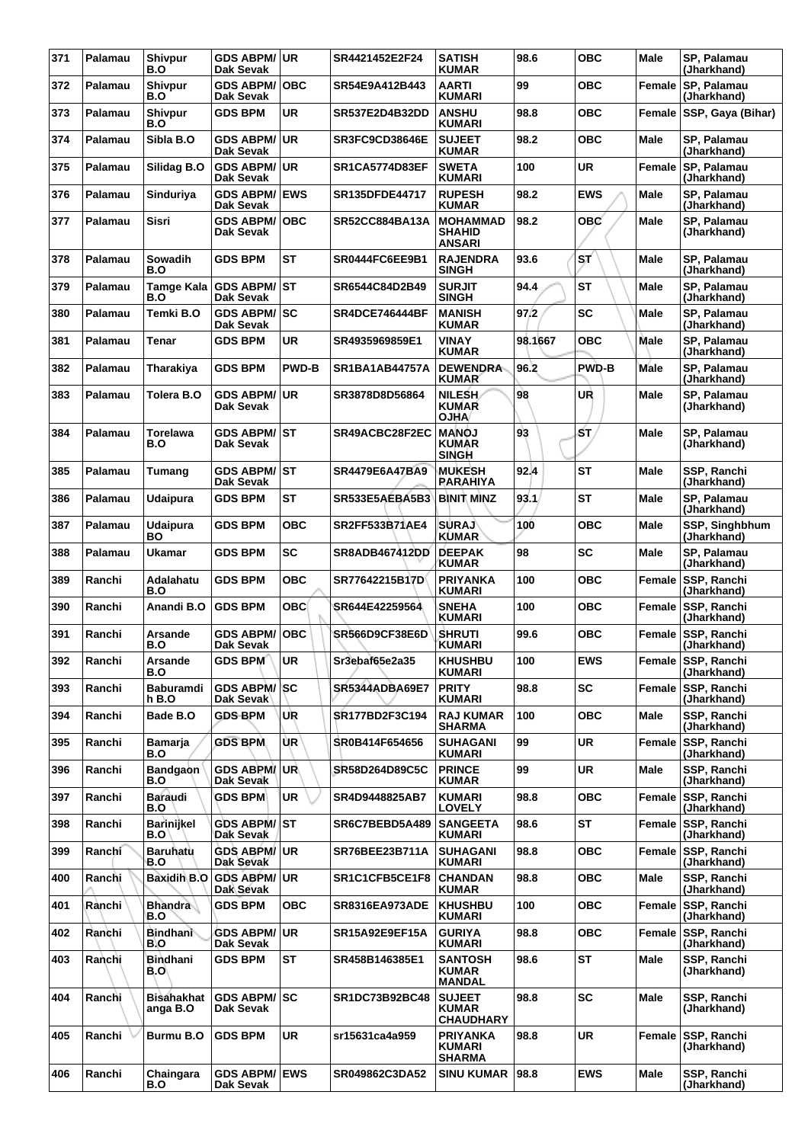| 371 | Palamau | Shivpur<br>B.O           | <b>GDS ABPM/ UR</b><br>Dak Sevak           |              | SR4421452E2F24        | <b>SATISH</b><br><b>KUMAR</b>                     | 98.6    | <b>OBC</b>   | Male        | <b>SP. Palamau</b><br>(Jharkhand) |
|-----|---------|--------------------------|--------------------------------------------|--------------|-----------------------|---------------------------------------------------|---------|--------------|-------------|-----------------------------------|
| 372 | Palamau | <b>Shivpur</b><br>B.O    | <b>GDS ABPM/</b><br>Dak Sevak              | <b>OBC</b>   | SR54E9A412B443        | <b>AARTI</b><br><b>KUMARI</b>                     | 99      | <b>OBC</b>   | Female      | <b>SP, Palamau</b><br>(Jharkhand) |
| 373 | Palamau | <b>Shivpur</b><br>B.O    | <b>GDS BPM</b>                             | <b>UR</b>    | SR537E2D4B32DD        | <b>ANSHU</b><br><b>KUMARI</b>                     | 98.8    | <b>OBC</b>   | Female      | SSP, Gaya (Bihar)                 |
| 374 | Palamau | Sibla B.O                | GDS ABPM/UR<br>Dak Sevak                   |              | SR3FC9CD38646E        | <b>SUJEET</b><br><b>KUMAR</b>                     | 98.2    | <b>OBC</b>   | Male        | SP, Palamau<br>(Jharkhand)        |
| 375 | Palamau | Silidag B.O              | <b>GDS ABPM/ UR</b><br><b>Dak Sevak</b>    |              | <b>SR1CA5774D83EF</b> | <b>SWETA</b><br><b>KUMARI</b>                     | 100     | <b>UR</b>    | Female      | SP, Palamau<br>(Jharkhand)        |
| 376 | Palamau | Sinduriya                | <b>GDS ABPM/ EWS</b><br>Dak Sevak          |              | SR135DFDE44717        | <b>RUPESH</b><br><b>KUMAR</b>                     | 98.2    | <b>EWS</b>   | <b>Male</b> | SP, Palamau<br>(Jharkhand)        |
| 377 | Palamau | <b>Sisri</b>             | <b>GDS ABPM/OBC</b><br>Dak Sevak           |              | <b>SR52CC884BA13A</b> | <b>MOHAMMAD</b><br><b>SHAHID</b><br><b>ANSARI</b> | 98.2    | <b>OBC</b>   | <b>Male</b> | <b>SP. Palamau</b><br>(Jharkhand) |
| 378 | Palamau | <b>Sowadih</b><br>B.O    | <b>GDS BPM</b>                             | <b>ST</b>    | SR0444FC6EE9B1        | <b>RAJENDRA</b><br><b>SINGH</b>                   | 93.6    | ST.          | Male        | SP, Palamau<br>(Jharkhand)        |
| 379 | Palamau | B.O                      | Tamge Kala GDS ABPM/ST<br><b>Dak Sevak</b> |              | SR6544C84D2B49        | <b>SURJIT</b><br><b>SINGH</b>                     | 94.4    | <b>ST</b>    | <b>Male</b> | SP, Palamau<br>(Jharkhand)        |
| 380 | Palamau | Temki B.O                | <b>GDS ABPM/ SC</b><br>Dak Sevak           |              | <b>SR4DCE746444BF</b> | <b>MANISH</b><br><b>KUMAR</b>                     | 97.2    | SC           | Male        | SP, Palamau<br>(Jharkhand)        |
| 381 | Palamau | Tenar                    | <b>GDS BPM</b>                             | <b>UR</b>    | SR4935969859E1        | <b>VINAY</b><br><b>KUMAR</b>                      | 98.1667 | <b>OBC</b>   | <b>Male</b> | <b>SP. Palamau</b><br>(Jharkhand) |
| 382 | Palamau | Tharakiya                | <b>GDS BPM</b>                             | <b>PWD-B</b> | <b>SR1BA1AB44757A</b> | <b>DEWENDRA</b><br><b>KUMAR</b>                   | 96.2    | <b>PWD-B</b> | Male        | SP, Palamau<br>(Jharkhand)        |
| 383 | Palamau | Tolera B.O               | <b>GDS ABPM/ UR</b><br>Dak Sevak           |              | SR3878D8D56864        | NILESH<br><b>KUMAR</b><br><b>OJHA</b>             | 98      | UR           | Male        | SP, Palamau<br>(Jharkhand)        |
| 384 | Palamau | Torelawa<br>B.O          | GDS ABPM/ST<br>Dak Sevak                   |              | SR49ACBC28F2EC        | <b>MANOJ</b><br><b>KUMAR</b><br><b>SINGH</b>      | 93      | ŚΤ,          | Male        | <b>SP. Palamau</b><br>(Jharkhand) |
| 385 | Palamau | Tumang                   | <b>GDS ABPM/ST</b><br>Dak Sevak            |              | SR4479E6A47BA9        | <b>MUKESH</b><br><b>RARAHIYA</b>                  | 92.4    | <b>ST</b>    | <b>Male</b> | SSP, Ranchi<br>(Jharkhand)        |
| 386 | Palamau | <b>Udaipura</b>          | <b>GDS BPM</b>                             | <b>ST</b>    | SR533E5AEBA5B3        | <b>BINIT MINZ</b>                                 | 93.1    | <b>ST</b>    | <b>Male</b> | SP, Palamau<br>(Jharkhand)        |
| 387 | Palamau | <b>Udaipura</b><br>BO    | <b>GDS BPM</b>                             | <b>OBC</b>   | SR2FF533B71AE4        | <b>SURAJ</b><br><b>KUMAR</b>                      | 100     | <b>OBC</b>   | Male        | SSP, Singhbhum<br>(Jharkhand)     |
| 388 | Palamau | <b>Ukamar</b>            | <b>GDS BPM</b>                             | <b>SC</b>    | <b>SR8ADB467412DD</b> | <b>DEEPAK</b><br><b>KUMAR</b>                     | 98      | <b>SC</b>    | <b>Male</b> | SP, Palamau<br>(Jharkhand)        |
| 389 | Ranchi  | Adalahatu<br>B.O         | <b>GDS BPM</b>                             | <b>OBC</b>   | SR77642215B17D        | <b>PRIYANKA</b><br><b>KUMARI</b>                  | 100     | <b>OBC</b>   |             | Female SSP, Ranchi<br>(Jharkhand) |
| 390 | Ranchi  | Anandi B.O               | <b>GDS BPM</b>                             | <b>OBC</b>   | SR644E42259564        | <b>SNEHA</b><br><b>KUMARI</b>                     | 100     | <b>OBC</b>   | Female      | <b>SSP, Ranchi</b><br>(Jharkhand) |
| 391 | Ranchi  | Arsande<br>B.O           | <b>GDS ABPM/</b><br>Dak Sevak              | ∣OBC         | SR566D9CF38E6D        | <b>SHRUTI</b><br><b>KUMARI</b>                    | 99.6    | <b>OBC</b>   | Female      | SSP, Ranchi<br>(Jharkhand)        |
| 392 | Ranchi  | Arsande<br>B.O           | GDS BPM UR                                 |              | Sr3ebaf65e2a35        | <b>KHUSHBU</b><br><b>KUMARI</b>                   | 100     | <b>EWS</b>   |             | Female SSP, Ranchi<br>(Jharkhand) |
| 393 | Ranchi  | Baburamdi<br>h B.O       | <b>GDS ABPM/ SC</b><br>Dak Sevak           |              | SR5344ADBA69E7        | <b>PRITY</b><br><b>KUMARI</b>                     | 98.8    | <b>SC</b>    | Female      | SSP, Ranchi<br>(Jharkhand)        |
| 394 | Ranchi  | Bade B.O                 | <b>GDS-BPM</b>                             | UR           | SR177BD2F3C194        | <b>RAJ KUMAR</b><br><b>SHARMA</b>                 | 100     | <b>OBC</b>   | Male        | SSP, Ranchi<br>(Jharkhand)        |
| 395 | Ranchi  | Bamarja<br>B.O           | <b>GDS BPM</b>                             | ÙR           | SR0B414F654656        | <b>SUHAGANI</b><br><b>KUMARI</b>                  | 99      | <b>UR</b>    |             | Female SSP, Ranchi<br>(Jharkhand) |
| 396 | Ranchi  | Bandgaon<br>B.O          | <b>GDS ABPM/UR</b><br>Dak Sevak            |              | SR58D264D89C5C        | <b>PRINCE</b><br><b>KUMAR</b>                     | 99      | <b>UR</b>    | Male        | SSP, Ranchi<br>(Jharkhand)        |
| 397 | Ranchi  | <b>Baraudi</b><br>B.O    | <b>GDS BPM</b>                             | <b>UR</b>    | SR4D9448825AB7        | <b>KUMARI</b><br><b>LOVELY</b>                    | 98.8    | <b>OBC</b>   | Female      | SSP, Ranchi<br>(Jharkhand)        |
| 398 | Ranchi  | <b>Barinijkel</b><br>B.O | GDS ABPM/ST<br>Dak Sevak                   |              | SR6C7BEBD5A489        | <b>SANGEETA</b><br><b>KUMARI</b>                  | 98.6    | <b>ST</b>    |             | Female SSP, Ranchi<br>(Jharkhand) |
| 399 | Ranchi  | <b>Baruhatu</b><br>B.O   | <b>GDS ABPM/ UR</b><br>Dak Sevak           |              | SR76BEE23B711A        | <b>SUHAGANI</b><br><b>KUMARI</b>                  | 98.8    | <b>OBC</b>   | Female      | <b>SSP, Ranchi</b><br>(Jharkhand) |
| 400 | Ranchi  | <b>Baxidih B.O</b>       | GDS ABPM/UR<br>Dak Sevak                   |              | SR1C1CFB5CE1F8        | <b>CHANDAN</b><br><b>KUMAR</b>                    | 98.8    | <b>OBC</b>   | Male        | SSP, Ranchi<br>(Jharkhand)        |
| 401 | Ranchi  | <b>Bhandra</b><br>B.O    | <b>GDS BPM</b>                             | овс          | <b>SR8316EA973ADE</b> | <b>KHUSHBU</b><br><b>KUMARI</b>                   | 100     | <b>OBC</b>   |             | Female SSP, Ranchi<br>(Jharkhand) |
| 402 | Ranchi  | Bindhani<br>B.O          | <b>GDS ABPM/ UR</b><br>Dak Sevak           |              | SR15A92E9EF15A        | <b>GURIYA</b><br><b>KUMARI</b>                    | 98.8    | <b>OBC</b>   | Female      | SSP, Ranchi<br>(Jharkhand)        |
| 403 | Ranchi  | Bindhani<br>B.O\         | <b>GDS BPM</b>                             | <b>ST</b>    | SR458B146385E1        | <b>SANTOSH</b><br><b>KUMAR</b><br><b>MANDAL</b>   | 98.6    | <b>ST</b>    | Male        | SSP, Ranchi<br>(Jharkhand)        |
| 404 | Ranchi  | Bisahakhat<br>anga B.O   | <b>GDS ABPM/ SC</b><br>Dak Sevak           |              | SR1DC73B92BC48        | <b>SUJEET</b><br><b>KUMAR</b><br><b>CHAUDHARY</b> | 98.8    | SC           | Male        | SSP, Ranchi<br>(Jharkhand)        |
| 405 | Ranchi  | Burmu B.O                | <b>GDS BPM</b>                             | <b>UR</b>    | sr15631ca4a959        | <b>PRIYANKA</b><br><b>KUMARI</b><br><b>SHARMA</b> | 98.8    | <b>UR</b>    |             | Female SSP, Ranchi<br>(Jharkhand) |
| 406 | Ranchi  | Chaingara<br>B.O         | <b>GDS ABPM/ EWS</b><br>Dak Sevak          |              | SR049862C3DA52        | <b>SINU KUMAR</b>                                 | 98.8    | <b>EWS</b>   | Male        | SSP, Ranchi<br>(Jharkhand)        |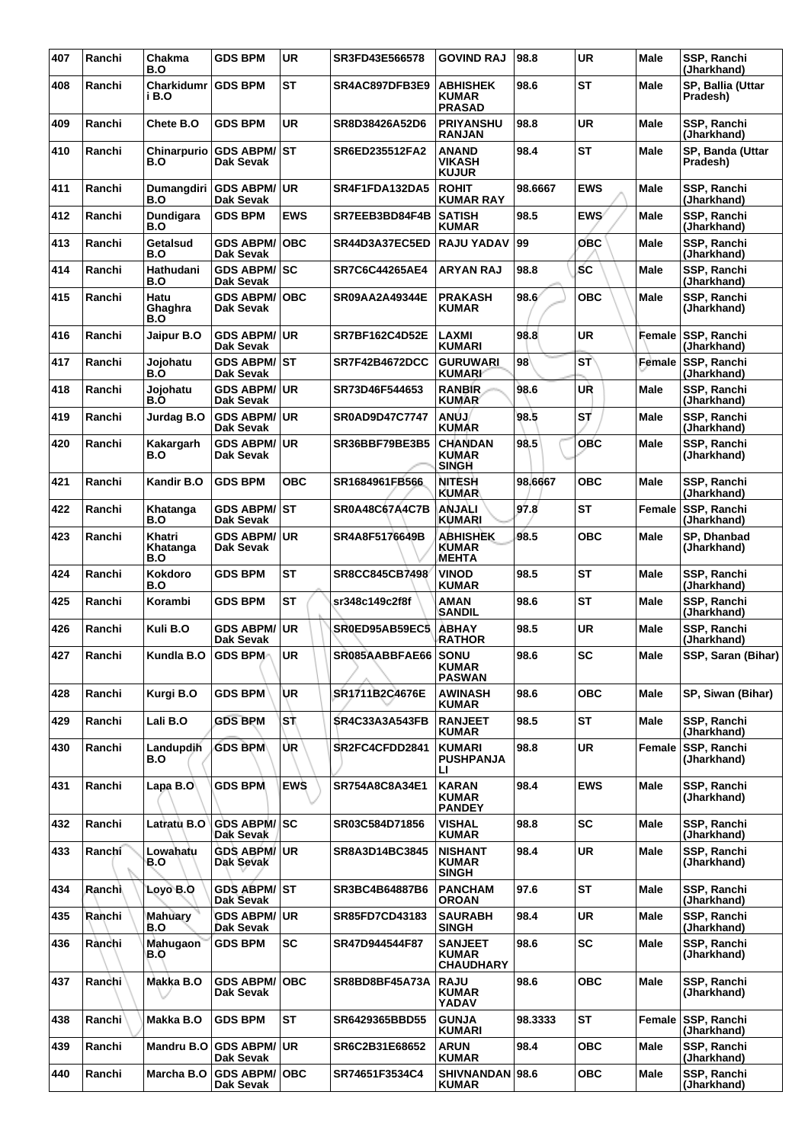| 407 | Ranchi | Chakma<br>B.O              | <b>GDS BPM</b>                       | <b>UR</b>  | SR3FD43E566578        | <b>GOVIND RAJ</b>                                  | 98.8    | <b>UR</b>  | Male        | SSP, Ranchi<br>(Jharkhand)        |
|-----|--------|----------------------------|--------------------------------------|------------|-----------------------|----------------------------------------------------|---------|------------|-------------|-----------------------------------|
| 408 | Ranchi | <b>Charkidumr</b><br>i B.O | <b>GDS BPM</b>                       | <b>ST</b>  | SR4AC897DFB3E9        | <b>ABHISHEK</b><br>KUMAR<br><b>PRASAD</b>          | 98.6    | <b>ST</b>  | Male        | SP, Ballia (Uttar<br>Pradesh)     |
| 409 | Ranchi | Chete B.O                  | <b>GDS BPM</b>                       | <b>UR</b>  | SR8D38426A52D6        | <b>PRIYANSHU</b><br><b>RANJAN</b>                  | 98.8    | <b>UR</b>  | Male        | SSP, Ranchi<br>(Jharkhand)        |
| 410 | Ranchi | B.O                        | Chinarpurio GDS ABPM/ST<br>Dak Sevak |            | SR6ED235512FA2        | <b>ANAND</b><br>VIKASH<br><b>KUJUR</b>             | 98.4    | <b>ST</b>  | Male        | SP, Banda (Uttar<br>Pradesh)      |
| 411 | Ranchi | B.O                        | Dumangdiri GDS ABPM/UR<br>Dak Sevak  |            | SR4F1FDA132DA5        | <b>ROHIT</b><br><b>KUMAR RAY</b>                   | 98.6667 | <b>EWS</b> | <b>Male</b> | SSP, Ranchi<br>(Jharkhand)        |
| 412 | Ranchi | Dundigara<br>B.O           | <b>GDS BPM</b>                       | <b>EWS</b> | SR7EEB3BD84F4B        | <b>SATISH</b><br><b>KUMAR</b>                      | 98.5    | <b>EWS</b> | Male        | <b>SSP. Ranchi</b><br>(Jharkhand) |
| 413 | Ranchi | Getalsud<br>B.O            | <b>GDS ABPM/</b><br>Dak Sevak        | <b>OBC</b> | SR44D3A37EC5ED        | <b>RAJU YADAV</b>                                  | 99      | ОВС        | Male        | SSP, Ranchi<br>(Jharkhand)        |
| 414 | Ranchi | Hathudani<br>B.O           | <b>GDS ABPM/SC</b><br>Dak Sevak      |            | <b>SR7C6C44265AE4</b> | <b>ARYAN RAJ</b>                                   | 98.8    | <b>SC</b>  | Male        | SSP, Ranchi<br>(Jharkhand)        |
| 415 | Ranchi | Hatu<br>Ghaghra<br>B.O     | <b>GDS ABPM/ OBC</b><br>Dak Sevak    |            | <b>SR09AA2A49344E</b> | <b>PRAKASH</b><br>KUMAR                            | 98.6'   | <b>OBC</b> | Male        | SSP, Ranchi<br>(Jharkhand)        |
| 416 | Ranchi | Jaipur B.O                 | <b>GDS ABPM/ UR</b><br>Dak Sevak     |            | <b>SR7BF162C4D52E</b> | LAXMI<br>KUMARI                                    | 98.8    | UR         | Female      | SSP, Ranchi<br>(Jharkhand)        |
| 417 | Ranchi | Joiohatu<br>B.O            | <b>GDS ABPM/ ST</b><br>Dak Sevak     |            | <b>SR7F42B4672DCC</b> | <b>GURUWARI</b><br><b>KUMARI</b>                   | 98      | ST`        | Female      | SSP, Ranchi<br>(Jharkhand)        |
| 418 | Ranchi | Jojohatu<br>B.O            | GDS ABPM/UR<br>Dak Sevak             |            | SR73D46F544653        | <b>RANBIR</b><br><b>KUMAR</b>                      | 98.6    | UŘ         | <b>Male</b> | SSP, Ranchi<br>(Jharkhand)        |
| 419 | Ranchi | Jurdag B.O                 | <b>GDS ABPM/ UR</b><br>Dak Sevak     |            | <b>SR0AD9D47C7747</b> | <b>ANÚJ</b><br>KUMAR                               | 98.5    | SΤ         | Male        | SSP, Ranchi<br>(Jharkhand)        |
| 420 | Ranchi | Kakargarh<br>B.O           | <b>GDS ABPM/ UR</b><br>Dak Sevak     |            | SR36BBF79BE3B5        | <b>CHANDAN</b><br><b>KUMAR</b><br><b>SINGH</b>     | 98.5    | <b>OBC</b> | Male        | SSP, Ranchi<br>(Jharkhand)        |
| 421 | Ranchi | Kandir B.O                 | <b>GDS BPM</b>                       | <b>OBC</b> | SR1684961FB566        | <b>NITESH</b><br><b>KUMAR</b>                      | 98.6667 | <b>OBC</b> | Male        | SSP, Ranchi<br>(Jharkhand)        |
| 422 | Ranchi | Khatanga<br><b>B.O</b>     | <b>GDS ABPM/ ST</b><br>Dak Sevak     |            | <b>SR0A48C67A4C7B</b> | ANJALI<br>KUMARI                                   | 97.8    | ST         | Female      | SSP, Ranchi<br>(Jharkhand)        |
| 423 | Ranchi | Khatri<br>Khatanga<br>B.O  | <b>GDS ABPM/ UR</b><br>Dak Sevak     |            | SR4A8F5176649B        | <b>ABHISHEK</b><br>KUMAR<br>MEHTA                  | 98.5    | <b>OBC</b> | Male        | SP, Dhanbad<br>(Jharkhand)        |
| 424 | Ranchi | Kokdoro<br>B.O             | <b>GDS BPM</b>                       | <b>ST</b>  | <b>SR8CC845CB7498</b> | VINOD<br>KUMAR                                     | 98.5    | <b>ST</b>  | Male        | SSP, Ranchi<br>(Jharkhand)        |
| 425 | Ranchi | Korambi                    | <b>GDS BPM</b>                       | <b>ST</b>  | sr348c149c2f8f        | <b>AMAN</b><br><b>SANDIL</b>                       | 98.6    | <b>ST</b>  | <b>Male</b> | SSP, Ranchi<br>(Jharkhand)        |
| 426 | Ranchi | Kuli B.O                   | <b>GDS ABPM/ UR</b><br>Dak Sevak     |            | SR0ED95AB59EC5        | <b>ABHAY</b><br><b>RATHOR</b>                      | 98.5    | <b>UR</b>  | Male        | SSP, Ranchi<br>(Jharkhand)        |
| 427 | Ranchi | Kundla B.O                 | <b>GDS BPM</b>                       | <b>UR</b>  | SR085AABBFAE66 SONU   | <b>KUMAR</b><br><b>PASWAN</b>                      | 98.6    | <b>SC</b>  | Male        | SSP, Saran (Bihar)                |
| 428 | Ranchi | Kurgi B.O                  | <b>GDS BPM</b>                       | <b>UR</b>  | SR1711B2C4676E        | <b>AWINASH</b><br><b>KUMAR</b>                     | 98.6    | <b>OBC</b> | Male        | SP, Siwan (Bihar)                 |
| 429 | Ranchi | Lali B.O                   | <b>GDS BPM</b>                       | ιSτ        | <b>SR4C33A3A543FB</b> | <b>RANJEET</b><br><b>KUMAR</b>                     | 98.5    | <b>ST</b>  | Male        | SSP. Ranchi<br>(Jharkhand)        |
| 430 | Ranchi | Landupdih<br>B.O           | <b>GDS BPM</b>                       | ÙR         | SR2FC4CFDD2841        | <b>KUMARI</b><br><b>PUSHPANJA</b><br>LI.           | 98.8    | UR         | Female      | SSP, Ranchi<br>(Jharkhand)        |
| 431 | Ranchi | Lapa B.O                   | <b>GDS BPM</b>                       | <b>EWS</b> | SR754A8C8A34E1        | <b>KARAN</b><br><b>KUMAR</b><br><b>PANDEY</b>      | 98.4    | <b>EWS</b> | Male        | SSP, Ranchi<br>(Jharkhand)        |
| 432 | Ranchi | Latratu B.O                | <b>GDS ABPM/SC</b><br>Dak Sevak      |            | SR03C584D71856        | <b>VISHAL</b><br><b>KUMAR</b>                      | 98.8    | <b>SC</b>  | Male        | SSP, Ranchi<br>(Jharkhand)        |
| 433 | Ranchi | Lowahatu<br>B.O            | <b>GDS ABPM/ UR</b><br>Dak Sevak     |            | SR8A3D14BC3845        | <b>NISHANT</b><br><b>KUMAR</b><br><b>SINGH</b>     | 98.4    | <b>UR</b>  | Male        | SSP, Ranchi<br>(Jharkhand)        |
| 434 | Ranchi | Loyo B.O                   | GDS ABPM/ST<br>Dak Sevak             |            | SR3BC4B64887B6        | <b>PANCHAM</b><br><b>OROAN</b>                     | 97.6    | <b>ST</b>  | Male        | SSP, Ranchi<br>(Jharkhand)        |
| 435 | Ranchi | Mahuary<br>B.O             | <b>GDS ABPM/ UR</b><br>Dak Sevak     |            | SR85FD7CD43183        | <b>SAURABH</b><br><b>SINGH</b>                     | 98.4    | <b>UR</b>  | Male        | SSP, Ranchi<br>(Jharkhand)        |
| 436 | Rànchi | Mahugaon<br>B.O            | <b>GDS BPM</b>                       | <b>SC</b>  | SR47D944544F87        | <b>SANJEET</b><br><b>KUMAR</b><br><b>CHAUDHARY</b> | 98.6    | <b>SC</b>  | Male        | SSP, Ranchi<br>(Jharkhand)        |
| 437 | Ranchi | Makka B.O                  | <b>GDS ABPM/</b><br>Dak Sevak        | <b>OBC</b> | SR8BD8BF45A73A        | <b>RAJU</b><br><b>KUMAR</b><br>YADAV               | 98.6    | <b>OBC</b> | Male        | SSP, Ranchi<br>(Jharkhand)        |
| 438 | Ranchi | Makka B.O                  | <b>GDS BPM</b>                       | <b>ST</b>  | SR6429365BBD55        | <b>GUNJA</b><br>KUMARI                             | 98.3333 | <b>ST</b>  | Female      | SSP, Ranchi<br>(Jharkhand)        |
| 439 | Ranchi | <b>Mandru B.O</b>          | <b>GDS ABPM/UR</b><br>Dak Sevak      |            | SR6C2B31E68652        | ARUN<br><b>KUMAR</b>                               | 98.4    | <b>OBC</b> | Male        | SSP, Ranchi<br>(Jharkhand)        |
| 440 | Ranchi | Marcha B.O                 | <b>GDS ABPM/OBC</b><br>Dak Sevak     |            | SR74651F3534C4        | SHIVNANDAN 98.6<br><b>KUMAR</b>                    |         | <b>OBC</b> | <b>Male</b> | SSP, Ranchi<br>(Jharkhand)        |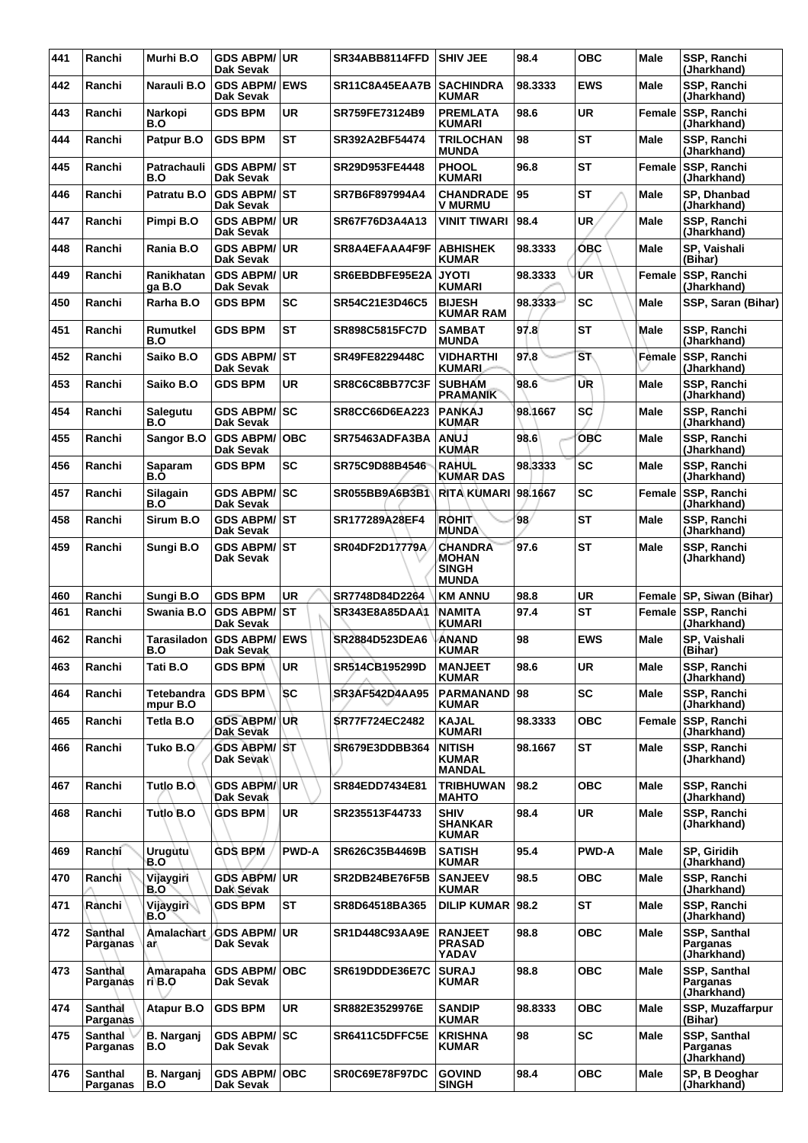| 441 | Ranchi                     | Murhi B.O                   | <b>GDS ABPM/ UR</b><br><b>Dak Sevak</b> |              | SR34ABB8114FFD        | <b>SHIV JEE</b>                                         | 98.4    | <b>OBC</b>             | Male        | SSP, Ranchi<br>(Jharkhand)              |
|-----|----------------------------|-----------------------------|-----------------------------------------|--------------|-----------------------|---------------------------------------------------------|---------|------------------------|-------------|-----------------------------------------|
| 442 | Ranchi                     | Narauli B.O                 | <b>GDS ABPM/ EWS</b><br>Dak Sevak       |              | SR11C8A45EAA7B        | <b>SACHINDRA</b><br><b>KUMAR</b>                        | 98.3333 | <b>EWS</b>             | Male        | SSP, Ranchi<br>(Jharkhand)              |
| 443 | Ranchi                     | Narkopi<br>B.O              | <b>GDS BPM</b>                          | <b>UR</b>    | SR759FE73124B9        | <b>PREMLATA</b><br><b>KUMARI</b>                        | 98.6    | <b>UR</b>              | Female      | SSP, Ranchi<br>(Jharkhand)              |
| 444 | Ranchi                     | Patpur B.O                  | <b>GDS BPM</b>                          | <b>ST</b>    | SR392A2BF54474        | <b>TRILOCHAN</b><br><b>MUNDA</b>                        | 98      | <b>ST</b>              | <b>Male</b> | SSP, Ranchi<br>(Jharkhand)              |
| 445 | Ranchi                     | Patrachauli<br>B.O          | <b>GDS ABPM/ST</b><br>Dak Sevak         |              | SR29D953FE4448        | <b>PHOOL</b><br><b>KUMARI</b>                           | 96.8    | <b>ST</b>              | Female      | SSP, Ranchi<br>(Jharkhand)              |
| 446 | Ranchi                     | Patratu B.O                 | <b>GDS ABPM/ST</b><br>Dak Sevak         |              | SR7B6F897994A4        | <b>CHANDRADE</b><br><b>V MURMU</b>                      | 95      | <b>ST</b>              | <b>Male</b> | SP, Dhanbad<br>(Jharkhand)              |
| 447 | Ranchi                     | Pimpi B.O                   | <b>GDS ABPM/ UR</b><br>Dak Sevak        |              | SR67F76D3A4A13        | <b>VINIT TIWARI</b>                                     | 98.4    | <b>UR</b>              | Male        | SSP, Ranchi<br>(Jharkhand)              |
| 448 | Ranchi                     | Rania B.O                   | <b>GDS ABPM/UR</b><br>Dak Sevak         |              | SR8A4EFAAA4F9F        | <b>ABHISHEK</b><br><b>KUMAR</b>                         | 98.3333 | <b>OBC</b>             | Male        | SP. Vaishali<br>(Bihar)                 |
| 449 | Ranchi                     | Ranikhatan<br>ga B.O        | GDS ABPM/UR<br>Dak Sevak                |              | SR6EBDBFE95E2A        | <b>JYOTI</b><br><b>KUMARI</b>                           | 98.3333 | ÚR                     | Female      | SSP, Ranchi<br>(Jharkhand)              |
| 450 | Ranchi                     | Rarha B.O                   | <b>GDS BPM</b>                          | <b>SC</b>    | SR54C21E3D46C5        | <b>BIJESH</b><br><b>KUMAR RAM</b>                       | 98.3333 | <b>SC</b>              | <b>Male</b> | SSP, Saran (Bihar)                      |
| 451 | Ranchi                     | Rumutkel<br>B.O             | <b>GDS BPM</b>                          | <b>ST</b>    | <b>SR898C5815FC7D</b> | <b>SAMBAT</b><br><b>MUNDA</b>                           | 97.8    | <b>ST</b>              | Male        | SSP, Ranchi<br>(Jharkhand)              |
| 452 | Ranchi                     | Saiko B.O                   | <b>GDS ABPM/ST</b><br>Dak Sevak         |              | SR49FE8229448C        | <b>VIDHARTHI</b><br><b>KUMARI</b>                       | 97.8    | $\overline{\text{ST}}$ | Female      | SSP, Ranchi<br>(Jharkhand)              |
| 453 | Ranchi                     | Saiko B.O                   | <b>GDS BPM</b>                          | <b>UR</b>    | SR8C6C8BB77C3F        | <b>SUBHAM</b><br><b>PRAMANIK</b>                        | 98.6    | UR                     | <b>Male</b> | SSP, Ranchi<br>(Jharkhand)              |
| 454 | Ranchi                     | Salegutu<br>B.O             | <b>GDS ABPM/ SC</b><br>Dak Sevak        |              | SR8CC66D6EA223        | <b>PANKAJ</b><br><b>KUMAR</b>                           | 98.1667 | sd                     | Male        | SSP, Ranchi<br>(Jharkhand)              |
| 455 | Ranchi                     | Sangor B.O                  | <b>GDS ABPM/</b><br>Dak Sevak           | OBC          | SR75463ADFA3BA        | <b>ANUJ</b><br><b>KUMAR</b>                             | 98.6    | <b>OBC</b>             | Male        | <b>SSP. Ranchi</b><br>(Jharkhand)       |
| 456 | Ranchi                     | Saparam<br>B.Ò              | <b>GDS BPM</b>                          | <b>SC</b>    | SR75C9D88B4546        | <b>RAHUL</b><br><b>KUMAR DAS</b>                        | 98.3333 | <b>SC</b>              | Male        | SSP, Ranchi<br>(Jharkhand)              |
| 457 | Ranchi                     | Silagain<br>B.O             | GDS ABPM/SC<br>Dak Sevak                |              | SR055BB9A6B3B1        | <b>RITA KUMARI</b>                                      | 98.1667 | <b>SC</b>              | Female      | SSP, Ranchi<br>(Jharkhand)              |
| 458 | Ranchi                     | Sirum B.O                   | <b>GDS ABPM/ST</b><br>Dak Sevak         |              | SR177289A28EF4        | <b>ROHIT</b><br><b>MUNDA</b>                            | 98      | <b>ST</b>              | Male        | SSP, Ranchi<br>(Jharkhand)              |
| 459 | Ranchi                     | Sungi B.O                   | <b>GDS ABPM/ ST</b><br>Dak Sevak        |              | SR04DF2D17779A        | <b>CHANDRA</b><br>MOHAN<br><b>SINGH</b><br><b>MUNDA</b> | 97.6    | <b>ST</b>              | <b>Male</b> | SSP, Ranchi<br>(Jharkhand)              |
| 460 | Ranchi                     | Sungi B.O                   | <b>GDS BPM</b>                          | <b>UR</b>    | SR7748D84D2264        | <b>KM ANNU</b>                                          | 98.8    | <b>UR</b>              | Female      | <b>SP, Siwan (Bihar)</b>                |
| 461 | Ranchi                     | Swania B.O                  | GDS ABPM/ST<br><b>Dak Sevak</b>         |              | SR343E8A85DAA1        | NAMITA<br><b>KUMARI</b>                                 | 97.4    | <b>ST</b>              |             | Female SSP, Ranchi<br>(Jharkhand)       |
| 462 | Ranchi                     | Tarasiladon<br>B.O          | <b>GDS ABPM/ EWS</b><br>Dak Sevak       |              | SR2884D523DEA6        | <b>ANAND</b><br><b>KUMAR</b>                            | 98      | <b>EWS</b>             | Male        | SP, Vaishali<br>(Bihar)                 |
| 463 | Ranchi                     | Tati B.O                    | <b>GDS BPM</b>                          | UR           | SR514CB195299D        | <b>MANJEET</b><br><b>KUMAR</b>                          | 98.6    | <b>UR</b>              | Male        | SSP, Ranchi<br>(Jharkhand)              |
| 464 | Ranchi                     | Tetebandra<br>mpur B.O      | <b>GDS BPM</b>                          | <b>SC</b>    | <b>SR3AF542D4AA95</b> | <b>PARMANAND</b><br><b>KUMAR</b>                        | 98      | <b>SC</b>              | <b>Male</b> | SSP, Ranchi<br>(Jharkhand)              |
| 465 | Ranchi                     | Tetla B.O                   | <b>GDS ABPM/ UR</b><br>Dak Sevak        |              | <b>SR77F724EC2482</b> | <b>KAJAL</b><br>KUMARI                                  | 98.3333 | <b>OBC</b>             | Female      | SSP, Ranchi<br>(Jharkhand)              |
| 466 | Ranchi                     | Tuko B.O⁄                   | <b>GDS ABPM/ ST</b><br>Dak Sevak        |              | SR679E3DDBB364        | <b>NITISH</b><br><b>KUMAR</b><br><b>MANDAL</b>          | 98.1667 | <b>ST</b>              | Male        | SSP, Ranchi<br>(Jharkhand)              |
| 467 | Ranchi                     | Tutlo B.O                   | <b>GDS ABPM/UR</b><br>Dak Sevak         |              | SR84EDD7434E81        | <b>TRIBHUWAN</b><br><b>MAHTO</b>                        | 98.2    | <b>OBC</b>             | Male        | SSP, Ranchi<br>(Jharkhand)              |
| 468 | Ranchi                     | Tutlo B.O                   | <b>GDS BPM</b>                          | UR           | SR235513F44733        | <b>SHIV</b><br><b>SHANKAR</b><br><b>KUMAR</b>           | 98.4    | UR                     | Male        | SSP, Ranchi<br>(Jharkhand)              |
| 469 | Ranchi                     | Urugutu <sup>1</sup><br>B.O | <b>GDS BPM</b>                          | <b>PWD-A</b> | SR626C35B4469B        | <b>SATISH</b><br><b>KUMAR</b>                           | 95.4    | <b>PWD-A</b>           | Male        | SP. Giridih<br>(Jharkhand)              |
| 470 | Ranchi                     | Vijaygiri<br>B.O            | <b>GDS ABPM/ UR</b><br>Dak Sevak        |              | SR2DB24BE76F5B        | <b>SANJEEV</b><br><b>KUMAR</b>                          | 98.5    | <b>OBC</b>             | Male        | SSP, Ranchi<br>(Jharkhand)              |
| 471 | Rànchi                     | Vijaygiri<br>B.O            | <b>GDS BPM</b>                          | <b>ST</b>    | SR8D64518BA365        | <b>DILIP KUMAR</b>                                      | 98.2    | <b>ST</b>              | Male        | SSP, Ranchi<br>(Jharkhand)              |
| 472 | Santhal<br>Parganas        | <b>Amalachart</b><br>a٨     | <b>GDS ABPM/ UR</b><br>Dak Sevak        |              | <b>SR1D448C93AA9E</b> | <b>RANJEET</b><br><b>PRASAD</b><br>YADAV                | 98.8    | <b>OBC</b>             | Male        | SSP, Santhal<br>Parganas<br>(Jharkhand) |
| 473 | Santhal<br>Parganas        | Amarapaha<br>ri B.O         | <b>GDS ABPM/ OBC</b><br>Dak Sevak       |              | SR619DDDE36E7C        | <b>SURAJ</b><br><b>KUMAR</b>                            | 98.8    | <b>OBC</b>             | <b>Male</b> | SSP, Santhal<br>Parganas<br>(Jharkhand) |
| 474 | Santhal<br>Parganas        | <b>Atapur B.O</b>           | <b>GDS BPM</b>                          | UR           | SR882E3529976E        | <b>SANDIP</b><br><b>KUMAR</b>                           | 98.8333 | <b>OBC</b>             | Male        | SSP, Muzaffarpur<br>(Bihar)             |
| 475 | Santhal<br>Parganas        | <b>B.</b> Narganj<br>B.O    | <b>GDS ABPM/SC</b><br>Dak Sevak         |              | SR6411C5DFFC5E        | <b>KRISHNA</b><br><b>KUMAR</b>                          | 98      | <b>SC</b>              | Male        | SSP, Santhal<br>Parganas<br>(Jharkhand) |
| 476 | <b>Santhal</b><br>Parganas | <b>B. Narganj</b><br>B.O    | <b>GDS ABPM/OBC</b><br>Dak Sevak        |              | SR0C69E78F97DC        | <b>GOVIND</b><br><b>SINGH</b>                           | 98.4    | <b>OBC</b>             | Male        | SP, B Deoghar<br>(Jharkhand)            |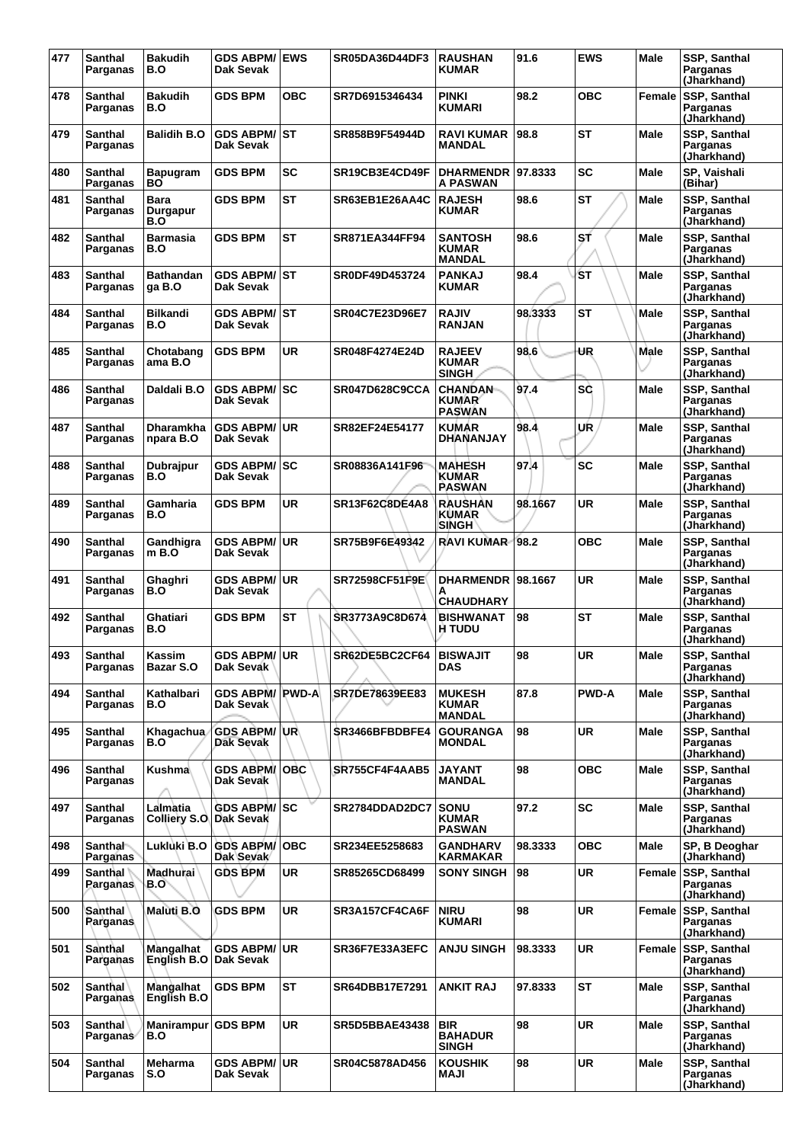| 477 | <b>Santhal</b><br>Parganas        | <b>Bakudih</b><br>B.O      | <b>GDS ABPM/ EWS</b><br>Dak Sevak |            | SR05DA36D44DF3          | <b>RAUSHAN</b><br><b>KUMAR</b>                  | 91.6    | <b>EWS</b>   | <b>Male</b> | SSP, Santhal<br>Parganas<br>(Jharkhand) |
|-----|-----------------------------------|----------------------------|-----------------------------------|------------|-------------------------|-------------------------------------------------|---------|--------------|-------------|-----------------------------------------|
| 478 | <b>Santhal</b><br>Parganas        | <b>Bakudih</b><br>B.O      | <b>GDS BPM</b>                    | <b>OBC</b> | SR7D6915346434          | PINKI<br>KUMARI                                 | 98.2    | <b>OBC</b>   | Female      | SSP, Santhal<br>Parganas<br>(Jharkhand) |
| 479 | Santhal<br>Parganas               | <b>Balidih B.O</b>         | GDS ABPM/ST<br>Dak Sevak          |            | SR858B9F54944D          | RAVI KUMAR<br><b>MANDAL</b>                     | 98.8    | <b>ST</b>    | Male        | SSP, Santhal<br>Parganas<br>(Jharkhand) |
| 480 | <b>Santhal</b><br>Parganas        | <b>Bapugram</b><br>ВO      | <b>GDS BPM</b>                    | <b>SC</b>  | SR19CB3E4CD49F          | <b>DHARMENDR</b><br>A PASWAN                    | 97.8333 | SC           | Male        | SP, Vaishali<br>(Bihar)                 |
| 481 | <b>Santhal</b><br>Parganas        | Bara<br>Durgapur<br>B.O    | GDS BPM                           | <b>ST</b>  | SR63EB1E26AA4C          | <b>RAJESH</b><br><b>KUMAR</b>                   | 98.6    | <b>ST</b>    | Male        | SSP, Santhal<br>Parganas<br>(Jharkhand) |
| 482 | <b>Santhal</b><br>Parganas        | Barmasia<br>B.O            | <b>GDS BPM</b>                    | <b>ST</b>  | SR871EA344FF94          | <b>SANTOSH</b><br><b>KUMAR</b><br><b>MANDAL</b> | 98.6    | SŤ           | Male        | SSP, Santhal<br>Parganas<br>(Jharkhand) |
| 483 | <b>Santhal</b><br>Parganas        | <b>Bathandan</b><br>ga B.O | <b>GDS ABPM/ ST</b><br>Dak Sevak  |            | SR0DF49D453724          | PANKAJ<br>KUMAR                                 | 98.4    | ŚΤ           | Male        | SSP, Santhal<br>Parganas<br>(Jharkhand) |
| 484 | <b>Santhal</b><br>Parganas        | <b>Bilkandi</b><br>B.O     | GDS ABPM/│ST<br>Dak Sevak         |            | SR04C7E23D96E7          | RAJIV<br><b>RANJAN</b>                          | 98.3333 | <b>ST</b>    | Male        | SSP, Santhal<br>Parganas<br>(Jharkhand) |
| 485 | <b>Santhal</b><br>Parganas        | Chotabang<br>ama B.O       | <b>GDS BPM</b>                    | <b>UR</b>  | SR048F4274E24D          | <b>RAJEEV</b><br>KUMAR<br>SINGH                 | 98.6    | UR           | Male        | SSP, Santhal<br>Parganas<br>(Jharkhand) |
| 486 | <b>Santhal</b><br>Parganas        | Daldali B.O                | <b>GDS ABPM/ SC</b><br>Dak Sevak  |            | <b>SR047D628C9CCA</b>   | <b>CHANDAN</b><br><b>KUMAR</b><br><b>PASWAN</b> | 97.4    | SC           | Male        | SSP, Santhal<br>Parganas<br>(Jharkhand) |
| 487 | Santhal<br>Parganas               | Dharamkha<br>npara B.O     | <b>GDS ABPM/</b><br>Dak Sevak     | ∣UR        | SR82EF24E54177          | <b>KUMAR</b><br>DHANANJAY                       | 98.4    | UR           | Male        | SSP, Santhal<br>Parganas<br>(Jharkhand) |
| 488 | <b>Santhal</b><br>Parganas        | Dubrajpur<br>B.O           | <b>GDS ABPM/</b><br>Dak Sevak     | lsc        | SR08836A141F96          | <b>MAHESH</b><br>KUMAR<br>PASWAN                | 97.4    | <b>SC</b>    | Male        | SSP, Santhal<br>Parganas<br>(Jharkhand) |
| 489 | <b>Santhal</b><br>Parganas        | Gamharia<br>B.O            | <b>GDS BPM</b>                    | <b>UR</b>  | SR13F62C8DE4A8          | RAUSHAN<br>KUMAR<br><b>SINGH</b>                | 98.1667 | <b>UR</b>    | Male        | SSP, Santhal<br>Parganas<br>(Jharkhand) |
| 490 | Santhal<br>Parganas               | Gandhigra<br>m B.O         | <b>GDS ABPM/ UR</b><br>Dak Sevak  |            | SR75B9F6E49342          | RAVI KUMAR-                                     | 98.2    | <b>OBC</b>   | Male        | SSP, Santhal<br>Parganas<br>(Jharkhand) |
| 491 | <b>Santhal</b><br>Parganas        | Ghaghri<br>B.O             | <b>GDS ABPM/</b><br>Dak Sevak     | ∣UR.       | SR72598CF51F9E          | <b>DHARMENDR  </b><br>А<br>CHAUDHARY            | 98.1667 | <b>UR</b>    | Male        | SSP, Santhal<br>Parganas<br>(Jharkhand) |
| 492 | <b>Santhal</b><br>Parganas        | Ghatiari<br>B.O            | GDS BPM                           | <b>ST</b>  | SR3773A9C8D674          | <b>BISHWANAT</b><br>H TUDU                      | 98      | <b>ST</b>    | Male        | SSP, Santhal<br>Parganas<br>(Jharkhand) |
| 493 | <b>Santhal</b><br>Parganas        | Kassim<br>Bazar S.O        | <b>GDS ABPM/ UR</b><br>Dak Sevak  |            | SR62DE5BC2CF64 BISWAJIT | <b>DAS</b>                                      | 98      | UR           | Male        | SSP, Santhal<br>Parganas<br>(Jharkhand) |
| 494 | <b>Santhal</b><br>Parganas        | Kathalbari<br>B.O          | GDS ABPM/ PWD-A<br>Dak Sevak l    |            | SR7DE78639EE83          | <b>MUKESH</b><br>KUMAR<br>MANDAL                | 87.8    | <b>PWD-A</b> | Male        | SSP, Santhal<br>Parganas<br>(Jharkhand) |
| 495 | <b>Santhal</b><br>Parganas        | Khagachua<br>B.O           | <b>GDS ABPM/ UR</b><br>Dak Sevak  |            | SR3466BFBDBFE4          | <b>GOURANGA</b><br><b>MONDAL</b>                | 98      | <b>UR</b>    | Male        | SSP, Santhal<br>Parganas<br>(Jharkhand) |
| 496 | <b>Santhal</b><br>Parganas        | Kushma∖                    | <b>GDS ABPM/ OBC</b><br>Dak Sevak |            | SR755CF4F4AAB5          | JAYANT<br><b>MANDAL</b>                         | 98      | <b>OBC</b>   | Male        | SSP, Santhal<br>Parganas<br>(Jharkhand) |
| 497 | <b>Santhal</b><br>Parganas        | Lalmatia<br>Colliery S.O.  | <b>GDS ABPM/ SC</b><br>Dak Sevak  |            | SR2784DDAD2DC7          | <b>SONU</b><br>KUMAR<br>PASWAN                  | 97.2    | <b>SC</b>    | Male        | SSP, Santhal<br>Parganas<br>(Jharkhand) |
| 498 | <b>Santhal</b><br>Parganas        | Lukluki B.O                | <b>GDS ABPM/</b><br>Dak Sevak     | ∣OBC       | SR234EE5258683          | <b>GANDHARV</b><br>KARMAKAR                     | 98.3333 | <b>OBC</b>   | Male        | SP, B Deoghar<br>(Jharkhand)            |
| 499 | Santhal<br>Parganas               | <b>Madhurai</b><br>B.O     | <b>GDS BPM</b>                    | <b>UR</b>  | SR85265CD68499          | SONY SINGH                                      | 98      | <b>UR</b>    | Female      | SSP, Santhal<br>Parganas<br>(Jharkhand) |
| 500 | Santhal<br>Parganas               | Maluti B.O                 | <b>GDS BPM</b>                    | <b>UR</b>  | SR3A157CF4CA6F          | <b>NIRU</b><br>KUMARI                           | 98      | <b>UR</b>    | Female      | SSP, Santhal<br>Parganas<br>(Jharkhand) |
| 501 | Santhal<br>Parganas               | Mangalhat<br>English B.O   | <b>GDS ABPM/ UR</b><br>Dak Sevak  |            | SR36F7E33A3EFC          | ANJU SINGH                                      | 98.3333 | UR           | Female      | SSP, Santhal<br>Parganas<br>(Jharkhand) |
| 502 | <b>Santhal</b><br>Parganas        | Mangalhat<br>English B.O   | <b>GDS BPM</b>                    | <b>ST</b>  | SR64DBB17E7291          | ANKIT RAJ                                       | 97.8333 | <b>ST</b>    | Male        | SSP, Santhal<br>Parganas<br>(Jharkhand) |
| 503 | <b>Santhal</b><br><b>Parganas</b> | <b>Manirampur</b><br>B.O   | <b>GDS BPM</b>                    | <b>UR</b>  | <b>SR5D5BBAE43438</b>   | <b>BIR</b><br><b>BAHADUR</b><br>SINGH           | 98      | <b>UR</b>    | Male        | SSP, Santhal<br>Parganas<br>(Jharkhand) |
| 504 | Santhal<br>Parganas               | Meharma<br>S.O             | GDS ABPM/∣UR<br>Dak Sevak         |            | <b>SR04C5878AD456</b>   | KOUSHIK<br><b>ILAM</b>                          | 98      | UR           | Male        | SSP, Santhal<br>Parganas<br>(Jharkhand) |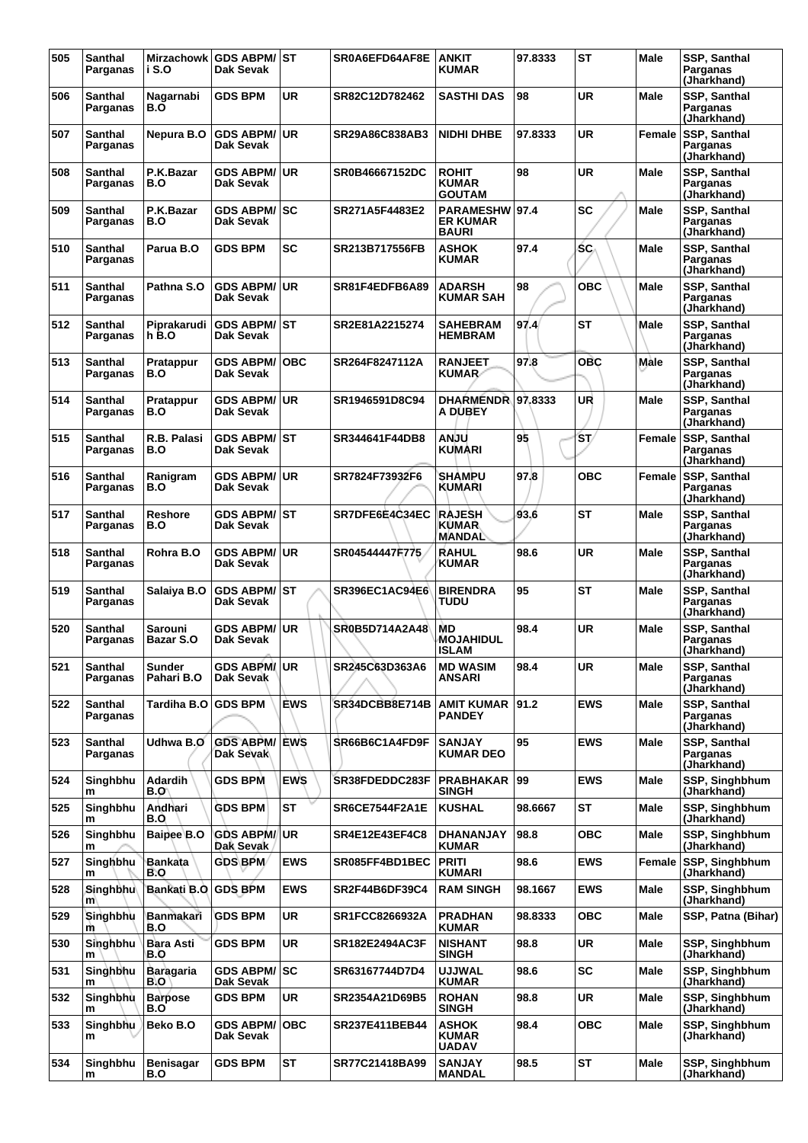| 505 | <b>Santhal</b><br>Parganas | <b>Mirzachowk</b><br>i S.O   | <b>GDS ABPM/ST</b><br>Dak Sevak   |            | SR0A6EFD64AF8E        | <b>ANKIT</b><br><b>KUMAR</b>                   | 97.8333 | <b>ST</b>  | <b>Male</b> | SSP, Santhal<br>Parganas<br>(Jharkhand) |
|-----|----------------------------|------------------------------|-----------------------------------|------------|-----------------------|------------------------------------------------|---------|------------|-------------|-----------------------------------------|
| 506 | Santhal<br>Parganas        | Nagarnabi<br>B.O             | <b>GDS BPM</b>                    | <b>UR</b>  | SR82C12D782462        | <b>SASTHI DAS</b>                              | 98      | <b>UR</b>  | Male        | SSP, Santhal<br>Parganas<br>(Jharkhand) |
| 507 | Santhal<br>Parganas        | Nepura B.O                   | <b>GDS ABPM/</b><br>Dak Sevak     | ∣UR.       | SR29A86C838AB3        | <b>NIDHI DHBE</b>                              | 97.8333 | <b>UR</b>  | Female      | SSP, Santhal<br>Parganas<br>(Jharkhand) |
| 508 | Santhal<br>Parganas        | P.K.Bazar<br>B.O             | <b>GDS ABPM/</b><br>Dak Sevak     | <b>UR</b>  | SR0B46667152DC        | <b>ROHIT</b><br><b>KUMAR</b><br><b>GOUTAM</b>  | 98      | <b>UR</b>  | <b>Male</b> | SSP, Santhal<br>Parganas<br>(Jharkhand) |
| 509 | Santhal<br>Parganas        | P.K.Bazar<br>B.O             | GDS ABPM/ SC<br>Dak Sevak         |            | SR271A5F4483E2        | <b>PARAMESHW</b><br>ER KUMAR<br><b>BAURI</b>   | 97.4    | <b>SC</b>  | Male        | SSP, Santhal<br>Parganas<br>(Jharkhand) |
| 510 | Santhal<br>Parganas        | Parua B.O                    | <b>GDS BPM</b>                    | <b>SC</b>  | SR213B717556FB        | <b>ASHOK</b><br><b>KUMAR</b>                   | 97.4    | SC.        | <b>Male</b> | SSP, Santhal<br>Parganas<br>(Jharkhand) |
| 511 | <b>Santhal</b><br>Parganas | Pathna S.O                   | <b>GDS ABPM/</b><br>Dak Sevak     | UR.        | SR81F4EDFB6A89        | <b>ADARSH</b><br>KUMAR SAH                     | 98      | <b>OBC</b> | <b>Male</b> | SSP, Santhal<br>Parganas<br>(Jharkhand) |
| 512 | <b>Santhal</b><br>Parganas | Piprakarudi<br>h B.O         | <b>GDS ABPM/ST</b><br>Dak Sevak   |            | SR2E81A2215274        | <b>SAHEBRAM</b><br><b>HEMBRAM</b>              | 97.4    | <b>ST</b>  | Male        | SSP, Santhal<br>Parganas<br>(Jharkhand) |
| 513 | Santhal<br>Parganas        | Pratappur<br>B.O             | <b>GDS ABPM/</b><br>Dak Sevak     | ∣0BC       | SR264F8247112A        | <b>RANJEET</b><br>KUMAR∕                       | 97.8    | <b>OBC</b> | Male        | SSP, Santhal<br>Parganas<br>(Jharkhand) |
| 514 | <b>Santhal</b><br>Parganas | Pratappur<br>B.O             | <b>GDS ABPM/</b><br>Dak Sevak     | ∣UR.       | SR1946591D8C94        | <b>DHARMENDR 97.8333</b><br>A DUBEY            |         | UR         | Male        | SSP, Santhal<br>Parganas<br>(Jharkhand) |
| 515 | Santhal<br>Parganas        | R.B. Palasi<br>B.O           | <b>GDS ABPM/ ST</b><br>Dak Sevak  |            | SR344641F44DB8        | <b>ANJU</b><br><b>KUMARI</b>                   | 95      | ŚΤ/        | Female      | SSP, Santhal<br>Parganas<br>(Jharkhand) |
| 516 | Santhal<br>Parganas        | Ranigram<br>B.O              | <b>GDS ABPM/</b><br>Dak Sevak     | ∣UR.       | SR7824F73932F6        | <b>SHAMPU</b><br>KUMARI                        | 97.8    | <b>OBC</b> | Female      | SSP, Santhal<br>Parganas<br>(Jharkhand) |
| 517 | Santhal<br>Parganas        | <b>Reshore</b><br>B.O        | GDS ABPM/│ST<br>Dak Sevak         |            | SR7DFE6E4C34EC        | <b>RAJESH</b><br><b>KUMAR</b><br><b>MANDAL</b> | 93.6    | <b>ST</b>  | <b>Male</b> | SSP, Santhal<br>Parganas<br>(Jharkhand) |
| 518 | Santhal<br>Parganas        | Rohra B.O                    | <b>GDS ABPM/ UR</b><br>Dak Sevak  |            | SR04544447F775        | <b>RAHUL</b><br><b>KUMAR</b>                   | 98.6    | UR         | Male        | SSP, Santhal<br>Parganas<br>(Jharkhand) |
| 519 | Santhal<br>Parganas        | Salaiya B.O                  | <b>GDS ABPM/ST</b><br>Dak Sevak   |            | SR396EC1AC94E6        | <b>BIRENDRA</b><br>TUDU                        | 95      | <b>ST</b>  | <b>Male</b> | SSP, Santhal<br>Parganas<br>(Jharkhand) |
| 520 | <b>Santhal</b><br>Parganas | Sarouni<br>Bazar S.O         | <b>GDS ABPM/</b><br>Dak Sevak     | UR.        | SR0B5D714A2A48        | MD<br><b>MOJAHIDUL</b><br>ISLAM                | 98.4    | <b>UR</b>  | Male        | SSP, Santhal<br>Parganas<br>(Jharkhand) |
| 521 | Santhal<br>Parganas        | <b>Sunder</b><br>Pahari B.O  | <b>GDS ABPMI UR</b><br>Dak Sevak  |            | SR245C63D363A6        | <b>MD WASIM</b><br>ANSARI                      | 98.4    | <b>UR</b>  | Male        | SSP, Santhal<br>Parganas<br>(Jharkhand) |
| 522 | Santhal<br>Parganas        | Tardiha B.O                  | <b>GDS BPM</b>                    | <b>EWS</b> | SR34DCBB8E714B        | <b>AMIT KUMAR</b><br>PANDEY                    | 91.2    | <b>EWS</b> | <b>Male</b> | SSP, Santhal<br>Parganas<br>(Jharkhand) |
| 523 | Santhal<br>Parganas        | Udhwa B.O                    | <b>GDS ABPM/ EWS</b><br>Dak Sevak |            | SR66B6C1A4FD9F        | <b>SANJAY</b><br>KUMAR DEO                     | 95      | <b>EWS</b> | Male        | SSP, Santhal<br>Parganas<br>(Jharkhand) |
| 524 | Singhbhu<br>m              | <b>Adardih</b><br><b>B.O</b> | <b>GDS BPM</b>                    | <b>EWS</b> | SR38FDEDDC283F        | <b>PRABHAKAR</b><br>SINGH                      | 99      | <b>EWS</b> | <b>Male</b> | <b>SSP. Singhbhum</b><br>(Jharkhand)    |
| 525 | Singhbhu<br>m              | Andhari<br>B.O               | <b>GDS BPM</b>                    | <b>ST</b>  | <b>SR6CE7544F2A1E</b> | <b>KUSHAL</b>                                  | 98.6667 | <b>ST</b>  | Male        | SSP, Singhbhum<br>(Jharkhand)           |
| 526 | Singhbhu<br>m              | Baipee B.O                   | <b>GDS ABPM/UR</b><br>Dak Sevak   |            | <b>SR4E12E43EF4C8</b> | DHANANJAY<br><b>KUMAR</b>                      | 98.8    | <b>OBC</b> | Male        | SSP, Singhbhum<br>(Jharkhand)           |
| 527 | Singhbhu<br>m              | Bankata<br>B.O               | <b>GDS BPM</b>                    | <b>EWS</b> | SR085FF4BD1BEC        | <b>PRITI</b><br>KUMARI                         | 98.6    | <b>EWS</b> | Female      | SSP, Singhbhum<br>(Jharkhand)           |
| 528 | Singhbhu<br>m              | <b>Bankati B.O</b>           | <b>GDS BPM</b>                    | <b>EWS</b> | SR2F44B6DF39C4        | <b>RAM SINGH</b>                               | 98.1667 | <b>EWS</b> | Male        | SSP, Singhbhum<br>(Jharkhand)           |
| 529 | Singhbhu<br>m              | <b>Banmakari</b><br>B.O      | <b>GDS BPM</b>                    | UR         | <b>SR1FCC8266932A</b> | <b>PRADHAN</b><br><b>KUMAR</b>                 | 98.8333 | овс        | Male        | SSP, Patna (Bihar)                      |
| 530 | Singhbhu<br>m              | Bara Asti<br>B.O             | GDS BPM                           | <b>UR</b>  | SR182E2494AC3F        | NISHANT<br><b>SINGH</b>                        | 98.8    | <b>UR</b>  | Male        | SSP, Singhbhum<br>(Jharkhand)           |
| 531 | Singhbhu<br>m              | <b>Baragaria</b><br>B.O      | <b>GDS ABPM/ SC</b><br>Dak Sevak  |            | SR63167744D7D4        | <b>UJJWAL</b><br><b>KUMAR</b>                  | 98.6    | <b>SC</b>  | Male        | SSP, Singhbhum<br>(Jharkhand)           |
| 532 | Singhbhu<br>m              | <b>Barpose</b><br>B.O        | GDS BPM                           | UR         | SR2354A21D69B5        | <b>ROHAN</b><br><b>SINGH</b>                   | 98.8    | <b>UR</b>  | Male        | SSP, Singhbhum<br>(Jharkhand)           |
| 533 | Singhbhu<br>m              | Beko B.O                     | <b>GDS ABPM/</b><br>Dak Sevak     | <b>OBC</b> | SR237E411BEB44        | <b>ASHOK</b><br>KUMAR<br><b>UADAV</b>          | 98.4    | <b>OBC</b> | Male        | SSP, Singhbhum<br>(Jharkhand)           |
| 534 | Singhbhu<br>m              | <b>Benisagar</b><br>B.O      | <b>GDS BPM</b>                    | <b>ST</b>  | SR77C21418BA99        | <b>SANJAY</b><br><b>MANDAL</b>                 | 98.5    | <b>ST</b>  | Male        | SSP, Singhbhum<br>(Jharkhand)           |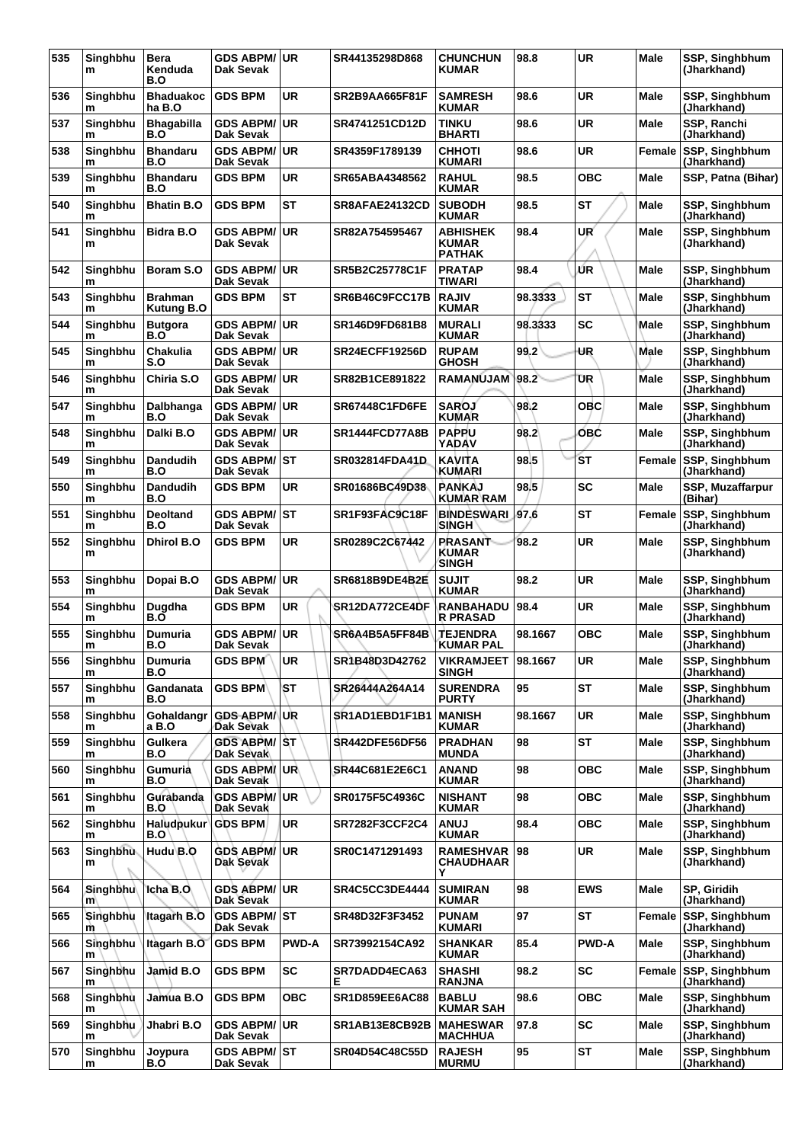| 535 | Singhbhu<br>m | <b>Bera</b><br>Kenduda<br>B.O | <b>GDS ABPM/</b><br>Dak Sevak    | <b>UR</b>    | SR44135298D868        | <b>CHUNCHUN</b><br><b>KUMAR</b>           | 98.8    | <b>UR</b>    | <b>Male</b> | SSP, Singhbhum<br>(Jharkhand)        |
|-----|---------------|-------------------------------|----------------------------------|--------------|-----------------------|-------------------------------------------|---------|--------------|-------------|--------------------------------------|
| 536 | Singhbhu<br>m | <b>Bhaduakoc</b><br>ha B.O    | <b>GDS BPM</b>                   | UR           | SR2B9AA665F81F        | <b>SAMRESH</b><br><b>KUMAR</b>            | 98.6    | UR           | Male        | SSP, Singhbhum<br>(Jharkhand)        |
| 537 | Singhbhu<br>m | <b>Bhagabilla</b><br>B.O      | <b>GDS ABPM/</b><br>Dak Sevak    | <b>UR</b>    | SR4741251CD12D        | TINKU<br><b>BHARTI</b>                    | 98.6    | <b>UR</b>    | Male        | SSP, Ranchi<br>(Jharkhand)           |
| 538 | Singhbhu<br>m | <b>Bhandaru</b><br>B.O        | <b>GDS ABPM/</b><br>Dak Sevak    | <b>UR</b>    | SR4359F1789139        | <b>CHHOTI</b><br>KUMARI                   | 98.6    | <b>UR</b>    | Female      | SSP, Singhbhum<br>(Jharkhand)        |
| 539 | Singhbhu<br>m | <b>Bhandaru</b><br>B.O        | <b>GDS BPM</b>                   | UR           | SR65ABA4348562        | <b>RAHUL</b><br><b>KUMAR</b>              | 98.5    | OBC          | Male        | SSP, Patna (Bihar)                   |
| 540 | Singhbhu<br>m | <b>Bhatin B.O</b>             | <b>GDS BPM</b>                   | <b>ST</b>    | SR8AFAE24132CD        | <b>SUBODH</b><br><b>KUMAR</b>             | 98.5    | ST           | Male        | SSP, Singhbhum<br>(Jharkhand)        |
| 541 | Singhbhu<br>m | Bidra B.O                     | <b>GDS ABPM/</b><br>Dak Sevak    | <b>UR</b>    | SR82A754595467        | <b>ABHISHEK</b><br>KUMAR<br><b>PATHAK</b> | 98.4    | UR           | Male        | SSP, Singhbhum<br>(Jharkhand)        |
| 542 | Singhbhu<br>m | Boram S.O                     | <b>GDS ABPM/</b><br>Dak Sevak    | <b>UR</b>    | SR5B2C25778C1F        | <b>PRATAP</b><br>TIWARI                   | 98.4    | ŰR           | Male        | SSP, Singhbhum<br>(Jharkhand)        |
| 543 | Singhbhu<br>m | <b>Brahman</b><br>Kutung B.O  | <b>GDS BPM</b>                   | <b>ST</b>    | SR6B46C9FCC17B        | <b>RAJIV</b><br><b>KUMAR</b>              | 98.3333 | <b>ST</b>    | Male        | SSP, Singhbhum<br>(Jharkhand)        |
| 544 | Singhbhu<br>m | <b>Butgora</b><br>B.O         | <b>GDS ABPM/</b><br>Dak Sevak    | <b>UR</b>    | <b>SR146D9FD681B8</b> | <b>MURALI</b><br><b>KUMAR</b>             | 98.3333 | <b>SC</b>    | Male        | SSP, Singhbhum<br>(Jharkhand)        |
| 545 | Singhbhu<br>m | <b>Chakulia</b><br>S.O        | <b>GDS ABPM/</b><br>Dak Sevak    | <b>UR</b>    | SR24ECFF19256D        | <b>RUPAM</b><br><b>GHOSH</b>              | 99.2    | UR           | <b>Male</b> | SSP, Singhbhum<br>(Jharkhand)        |
| 546 | Singhbhu<br>m | Chiria S.O                    | <b>GDS ABPM/</b><br>Dak Sevak    | <b>UR</b>    | SR82B1CE891822        | RAMANUJAM                                 | 98.2    | UR           | Male        | SSP, Singhbhum<br>(Jharkhand)        |
| 547 | Singhbhu<br>m | Dalbhanga<br>B.O              | <b>GDS ABPM/</b><br>Dak Sevak    | <b>UR</b>    | SR67448C1FD6FE        | <b>SAROJ</b><br><b>KUMAR</b>              | 98.2    | ОВС          | Male        | SSP, Singhbhum<br>(Jharkhand)        |
| 548 | Singhbhu<br>m | Dalki B.O                     | <b>GDS ABPM/</b><br>Dak Sevak    | <b>UR</b>    | SR1444FCD77A8B        | <b>PAPPU</b><br>YADAV                     | 98.2    | <b>OBC</b>   | Male        | SSP, Singhbhum<br>(Jharkhand)        |
| 549 | Singhbhu<br>m | <b>Dandudih</b><br>B.O        | <b>GDS ABPM/</b><br>Dak Sevak    | IST          | <b>SR032814FDA41D</b> | <b>KAVITA</b><br>KUMARI                   | 98.5    | <b>ST</b>    | Female      | SSP, Singhbhum<br>(Jharkhand)        |
| 550 | Singhbhu<br>m | <b>Dandudih</b><br>B.O        | <b>GDS BPM</b>                   | <b>UR</b>    | SR01686BC49D38        | <b>PANKAJ</b><br><b>KUMAR RAM</b>         | 98.5    | <b>SC</b>    | Male        | SSP, Muzaffarpur<br>(Bihar)          |
| 551 | Singhbhu<br>m | <b>Deoltand</b><br>B.O        | <b>GDS ABPM/</b><br>Dak Sevak    | <b>ST</b>    | SR1F93FAC9C18F        | <b>BINDESWARI</b><br><b>SINGH</b>         | 97.6    | ST           | Female      | SSP, Singhbhum<br>(Jharkhand)        |
| 552 | Singhbhu<br>m | <b>Dhirol B.O</b>             | <b>GDS BPM</b>                   | UR           | SR0289C2C67442        | <b>PRASANT</b><br>KUMAR<br><b>SINGH</b>   | 98.2    | <b>UR</b>    | Male        | SSP, Singhbhum<br>(Jharkhand)        |
| 553 | Singhbhu<br>m | Dopai B.O                     | <b>GDS ABPM/</b><br>Dak Sevak    | <b>UR</b>    | SR6818B9DE4B2E        | <b>SUJIT</b><br><b>KUMAR</b>              | 98.2    | <b>UR</b>    | Male        | SSP, Singhbhum<br>(Jharkhand)        |
| 554 | Singhbhu<br>m | Dugdha<br>B.O                 | <b>GDS BPM</b>                   | UR           | SR12DA772CE4DF        | RANBAHADU<br><b>R PRASAD</b>              | 98.4    | <b>UR</b>    | Male        | SSP, Singhbhum<br>(Jharkhand)        |
| 555 | Singhbhu<br>m | <b>Dumuria</b><br>B.O         | <b>GDS ABPM/</b><br>Dak Sevak    | UR.          | SR6A4B5A5FF84B        | <b>TEJENDRA</b><br><b>KUMAR PAL</b>       | 98.1667 | OBC          | Male        | SSP, Singhbhum<br>(Jharkhand)        |
| 556 | Singhbhu<br>m | <b>Dumuria</b><br>B.O         | GDS BPM                          | <b>UR</b>    | SR1B48D3D42762        | <b>VIKRAMJEET</b><br><b>SINGH</b>         | 98.1667 | <b>UR</b>    | Male        | SSP, Singhbhum<br>(Jharkhand)        |
| 557 | Singhbhu<br>m | Gandanata<br>B.O              | <b>GDS BPM</b>                   | <b>ST</b>    | SR26444A264A14        | <b>SURENDRA</b><br><b>PURTY</b>           | 95      | <b>ST</b>    | Male        | SSP, Singhbhum<br>(Jharkhand)        |
| 558 | Singhbhu<br>m | Gohaldangr<br>a B.O           | <b>GDS ABPM/</b><br>Dak Sevak    | UR           | SR1AD1EBD1F1B1        | <b>MANISH</b><br><b>KUMAR</b>             | 98.1667 | <b>UR</b>    | Male        | SSP, Singhbhum<br>(Jharkhand)        |
| 559 | Singhbhu<br>m | Gulkera<br>B.O                | <b>GDS ABPM/ST</b><br>Dak Sevak  |              | <b>SR442DFE56DF56</b> | <b>PRADHAN</b><br><b>MUNDA</b>            | 98      | <b>ST</b>    | Male        | <b>SSP. Singhbhum</b><br>(Jharkhand) |
| 560 | Singhbhu<br>m | Gumuria<br>B.O                | <b>GDS ABPM/UR</b><br>Dak Sevak  |              | SR44C681E2E6C1        | <b>ANAND</b><br><b>KUMAR</b>              | 98      | <b>OBC</b>   | Male        | <b>SSP. Singhbhum</b><br>(Jharkhand) |
| 561 | Singhbhu<br>m | Gurabanda<br>B.O              | <b>GDS ABPM/</b><br>Dak Sevak    | UR.          | SR0175F5C4936C        | <b>NISHANT</b><br><b>KUMAR</b>            | 98      | OBC          | Male        | SSP, Singhbhum<br>(Jharkhand)        |
| 562 | Singhbhu<br>m | Haludpukur<br>B.O             | <b>GDS BPM</b>                   | <b>UR</b>    | <b>SR7282F3CCF2C4</b> | <b>LUNA</b><br><b>KUMAR</b>               | 98.4    | <b>OBC</b>   | Male        | SSP, Singhbhum<br>(Jharkhand)        |
| 563 | Singhbhu<br>m | Hudu B.O                      | <b>GDS ABPM/</b><br>Dak Sevak    | <b>UR</b>    | SR0C1471291493        | <b>RAMESHVAR</b><br>CHAUDHAAR<br>Y        | 98      | <b>UR</b>    | Male        | SSP, Singhbhum<br>(Jharkhand)        |
| 564 | Singhbhu<br>m | Icha B.O.                     | <b>GDS ABPM/ UR</b><br>Dak Sevak |              | <b>SR4C5CC3DE4444</b> | <b>SUMIRAN</b><br><b>KUMAR</b>            | 98      | <b>EWS</b>   | Male        | SP, Giridih<br>(Jharkhand)           |
| 565 | Singhbhu<br>m | Itagarh B.O                   | <b>GDS ABPM/ ST</b><br>Dak Sevak |              | SR48D32F3F3452        | <b>PUNAM</b><br>KUMARI                    | 97      | <b>ST</b>    | Female      | SSP, Singhbhum<br>(Jharkhand)        |
| 566 | Singhbhu<br>m | Itagarh B.O                   | <b>GDS BPM</b>                   | <b>PWD-A</b> | SR73992154CA92        | <b>SHANKAR</b><br><b>KUMAR</b>            | 85.4    | <b>PWD-A</b> | Male        | SSP, Singhbhum<br>(Jharkhand)        |
| 567 | Singhbhu<br>m | Jamid B.O                     | <b>GDS BPM</b>                   | <b>SC</b>    | SR7DADD4ECA63<br>Е    | <b>SHASHI</b><br><b>RANJNA</b>            | 98.2    | <b>SC</b>    | Female      | SSP, Singhbhum<br>(Jharkhand)        |
| 568 | Singhbhu<br>m | Jamua B.O                     | <b>GDS BPM</b>                   | <b>OBC</b>   | <b>SR1D859EE6AC88</b> | <b>BABLU</b><br><b>KUMAR SAH</b>          | 98.6    | <b>OBC</b>   | Male        | SSP, Singhbhum<br>(Jharkhand)        |
| 569 | Singhbhu<br>m | Jhabri B.O                    | <b>GDS ABPM/</b><br>Dak Sevak    | UR.          | <b>SR1AB13E8CB92B</b> | <b>MAHESWAR</b><br><b>MACHHUA</b>         | 97.8    | <b>SC</b>    | Male        | SSP, Singhbhum<br>(Jharkhand)        |
| 570 | Singhbhu<br>m | Joypura<br>B.O                | <b>GDS ABPM/ST</b><br>Dak Sevak  |              | <b>SR04D54C48C55D</b> | <b>RAJESH</b><br><b>MURMU</b>             | 95      | <b>ST</b>    | Male        | SSP, Singhbhum<br>(Jharkhand)        |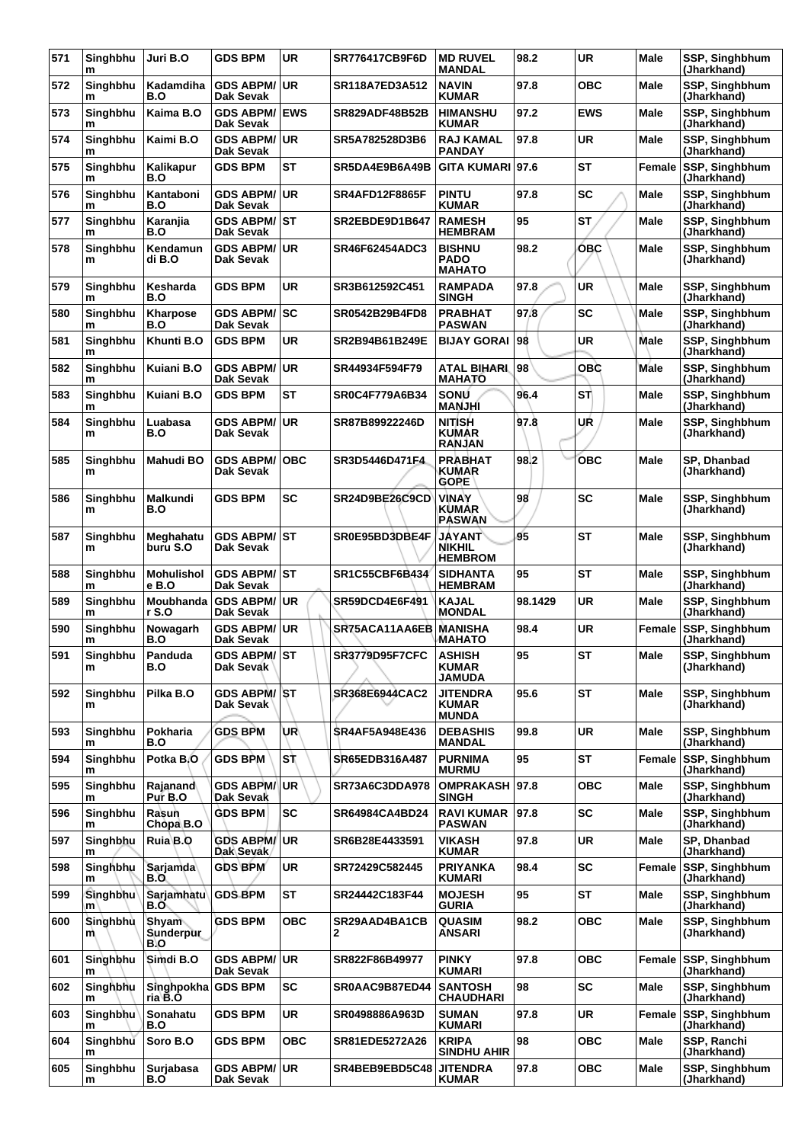| 571 | Singhbhu<br>m  | Juri B.O                         | <b>GDS BPM</b>                       | <b>UR</b>  | <b>SR776417CB9F6D</b>  | <b>MD RUVEL</b><br><b>MANDAL</b>                 | 98.2    | <b>UR</b>  | Male          | SSP, Singhbhum<br>(Jharkhand)        |
|-----|----------------|----------------------------------|--------------------------------------|------------|------------------------|--------------------------------------------------|---------|------------|---------------|--------------------------------------|
| 572 | Singhbhu<br>m  | Kadamdiha<br>B.O                 | <b>GDS ABPM/</b><br>Dak Sevak        | <b>UR</b>  | <b>SR118A7ED3A512</b>  | <b>NAVIN</b><br><b>KUMAR</b>                     | 97.8    | <b>OBC</b> | Male          | SSP, Singhbhum<br>(Jharkhand)        |
| 573 | Singhbhu<br>m  | Kaima B.O                        | <b>GDS ABPM/</b><br>Dak Sevak        | <b>EWS</b> | <b>SR829ADF48B52B</b>  | <b>HIMANSHU</b><br><b>KUMAR</b>                  | 97.2    | <b>EWS</b> | Male          | SSP, Singhbhum<br>(Jharkhand)        |
| 574 | Singhbhu<br>m  | Kaimi B.O                        | <b>GDS ABPM/</b><br>Dak Sevak        | <b>UR</b>  | SR5A782528D3B6         | <b>RAJ KAMAL</b><br><b>PANDAY</b>                | 97.8    | <b>UR</b>  | Male          | SSP, Singhbhum<br>(Jharkhand)        |
| 575 | Singhbhu<br>m  | Kalikapur<br>B.O                 | <b>GDS BPM</b>                       | <b>ST</b>  | SR5DA4E9B6A49B         | <b>GITA KUMARI</b>                               | 97.6    | <b>ST</b>  | Female        | SSP, Singhbhum<br>(Jharkhand)        |
| 576 | Singhbhu<br>m  | Kantaboni<br>B.O                 | <b>GDS ABPM/</b><br>Dak Sevak        | <b>UR</b>  | <b>SR4AFD12F8865F</b>  | <b>PINTU</b><br><b>KUMAR</b>                     | 97.8    | <b>SC</b>  | <b>Male</b>   | SSP, Singhbhum<br>(Jharkhand)        |
| 577 | Singhbhu<br>m  | Karanjia<br>B.O                  | GDS ABPM/ST<br>Dak Sevak             |            | SR2EBDE9D1B647         | <b>RAMESH</b><br><b>HEMBRAM</b>                  | 95      | <b>ST</b>  | Male          | SSP, Singhbhum<br>(Jharkhand)        |
| 578 | Singhbhu<br>m  | Kendamun<br>di B.O               | <b>GDS ABPM/</b><br>Dak Sevak        | <b>UR</b>  | SR46F62454ADC3         | <b>BISHNU</b><br><b>PADO</b><br><b>MAHATO</b>    | 98.2    | <b>OBC</b> | Male          | SSP, Singhbhum<br>(Jharkhand)        |
| 579 | Singhbhu<br>m  | Kesharda<br>B.O                  | <b>GDS BPM</b>                       | <b>UR</b>  | SR3B612592C451         | <b>RAMPADA</b><br><b>SINGH</b>                   | 97.8    | <b>UR</b>  | Male          | SSP, Singhbhum<br>(Jharkhand)        |
| 580 | Singhbhu<br>m  | Kharpose<br>B.O                  | <b>GDS ABPM/</b><br>Dak Sevak        | <b>SC</b>  | SR0542B29B4FD8         | <b>PRABHAT</b><br><b>PASWAN</b>                  | 97.8    | SC         | Male          | SSP, Singhbhum<br>(Jharkhand)        |
| 581 | Singhbhu<br>m  | Khunti B.O                       | <b>GDS BPM</b>                       | <b>UR</b>  | SR2B94B61B249E         | <b>BIJAY GORAI</b>                               | 98      | <b>UR</b>  | Male          | SSP, Singhbhum<br>(Jharkhand)        |
| 582 | Singhbhu<br>m  | Kuiani B.O                       | <b>GDS ABPM/</b><br>Dak Sevak        | <b>UR</b>  | SR44934F594F79         | ATAL BIHARL<br><b>MAHATO</b>                     | 98      | OBC        | Male          | SSP, Singhbhum<br>(Jharkhand)        |
| 583 | Singhbhu<br>m  | Kuiani B.O                       | <b>GDS BPM</b>                       | <b>ST</b>  | <b>SR0C4F779A6B34</b>  | SONU<br><b>MANJHI</b>                            | 96.4    | ST)        | Male          | SSP, Singhbhum<br>(Jharkhand)        |
| 584 | Singhbhu<br>m  | Luabasa<br>B.O                   | <b>GDS ABPM/</b><br>Dak Sevak        | <b>UR</b>  | SR87B89922246D         | <b>NITISH</b><br><b>KUMAR</b><br><b>RANJAN</b>   | 97.8    | UŔ         | Male          | SSP, Singhbhum<br>(Jharkhand)        |
| 585 | Singhbhu<br>m  | <b>Mahudi BO</b>                 | <b>GDS ABPM/</b><br>Dak Sevak        | <b>OBC</b> | SR3D5446D471F4         | <b>PRABHAT</b><br>KUMAR<br><b>GOPE</b>           | 98.2    | <b>OBC</b> | Male          | SP, Dhanbad<br>(Jharkhand)           |
| 586 | Singhbhu<br>m  | <b>Malkundi</b><br>B.O           | <b>GDS BPM</b>                       | <b>SC</b>  | SR24D9BE26C9CD         | <b>VINAY</b><br>KUMAR<br><b>PASWAN</b>           | 98      | <b>SC</b>  | Male          | SSP, Singhbhum<br>(Jharkhand)        |
| 587 | Singhbhu<br>m  | Meghahatu<br>buru S.O            | <b>GDS ABPM/ ST</b><br>Dak Sevak     |            | SR0E95BD3DBE4F         | <b>JAYANT</b><br><b>NIKHIL</b><br><b>HEMBROM</b> | 95      | <b>ST</b>  | Male          | SSP, Singhbhum<br>(Jharkhand)        |
| 588 | Singhbhu<br>m  | <b>Mohulishol</b><br>e B.O       | <b>GDS ABPM/</b><br>Dak Sevak        | <b>ST</b>  | <b>SR1C55CBF6B434</b>  | <b>SIDHANTA</b><br><b>HEMBRAM</b>                | 95      | <b>ST</b>  | Male          | SSP, Singhbhum<br>(Jharkhand)        |
| 589 | Singhbhu<br>m  | Moubhanda<br>r S.O               | <b>GDS ABPM/</b><br>Dak Sevak        | <b>UR</b>  | SR59DCD4E6F491         | <b>KAJAL</b><br><b>MONDAL</b>                    | 98.1429 | UR         | Male          | SSP, Singhbhum<br>(Jharkhand)        |
| 590 | Singhbhu<br>m  | Nowagarh<br>B.O                  | <b>GDS ABPM/</b><br>Dak Sevak        | <b>UR</b>  | SR75ACA11AA6EB MANISHA | MAHATO                                           | 98.4    | <b>UR</b>  | Female        | <b>SSP, Singhbhum</b><br>(Jharkhand) |
| 591 | Singhbhu<br>m  | Panduda<br><b>B.O</b>            | <b>GDS ABPM/ST</b><br>Dak Sevak      |            | <b>SR3779D95F7CFC</b>  | <b>ASHISH</b><br><b>KUMAR</b><br>JAMUDA          | 95      | <b>ST</b>  | Male          | SSP, Singhbhum<br>(Jharkhand)        |
| 592 | Singhbhu<br>m  | Pilka B.O                        | <b>GDS ABPM/ST</b><br>Dak Sevak      |            | SR368E6944CAC2         | JITENDRA<br><b>KUMAR</b><br><b>MUNDA</b>         | 95.6    | <b>ST</b>  | <b>Male</b>   | SSP, Singhbhum<br>(Jharkhand)        |
| 593 | Singhbhu<br>m  | Pokharia<br>B.O                  | <b>GDS BPM</b>                       | UR∖        | <b>SR4AF5A948E436</b>  | <b>DEBASHIS</b><br>MANDAL                        | 99.8    | <b>UR</b>  | Male          | SSP, Singhbhum<br>(Jharkhand)        |
| 594 | Singhbhu<br>m  | Potka B.O                        | <b>GDS BPM</b>                       | SŤ         | SR65EDB316A487         | <b>PURNIMA</b><br><b>MURMU</b>                   | 95      | <b>ST</b>  | Female        | SSP, Singhbhum<br>(Jharkhand)        |
| 595 | Singhbhu<br>m  | Rajanand<br>Pur B.O              | <b>GDS ABPM/</b><br>Dak Sevak        | <b>UR</b>  | <b>SR73A6C3DDA978</b>  | <b>OMPRAKASH</b><br><b>SINGH</b>                 | 97.8    | <b>OBC</b> | Male          | SSP, Singhbhum<br>(Jharkhand)        |
| 596 | Singhbhu<br>m  | Rasun<br>Chòpa B.O               | <b>GDS BPM</b>                       | <b>SC</b>  | SR64984CA4BD24         | <b>RAVI KUMAR</b><br><b>PASWAN</b>               | 97.8    | <b>SC</b>  | Male          | SSP, Singhbhum<br>(Jharkhand)        |
| 597 | Singhbhu<br>m  | Ruia B.O                         | <b>GDS ABPM/</b><br>Dak Sevak        | <b>UR</b>  | SR6B28E4433591         | <b>VIKASH</b><br><b>KUMAR</b>                    | 97.8    | UR         | Male          | SP, Dhanbad<br>(Jharkhand)           |
| 598 | Singhbhu<br>m  | Sarjamda<br>B.O                  | <b>GDS BPM</b>                       | <b>UR</b>  | SR72429C582445         | <b>PRIYANKA</b><br><b>KUMARI</b>                 | 98.4    | <b>SC</b>  | Female        | SSP, Singhbhum<br>(Jharkhand)        |
| 599 | Singhbhu<br>m  | Sarjamhatu<br>B.O                | <b>GDS BPM</b>                       | <b>ST</b>  | SR24442C183F44         | <b>MOJESH</b><br><b>GURIA</b>                    | 95      | <b>ST</b>  | Male          | SSP, Singhbhum<br>(Jharkhand)        |
| 600 | Singhbhu<br>m. | <b>Shyam</b><br>Sunderpur<br>B.O | <b>GDS BPM</b>                       | <b>OBC</b> | SR29AAD4BA1CB<br>2     | <b>QUASIM</b><br><b>ANSARI</b>                   | 98.2    | <b>OBC</b> | Male          | SSP, Singhbhum<br>(Jharkhand)        |
| 601 | Singhbhu<br>m  | Simdi B.O                        | <b>GDS ABPM/</b><br>Dak Sevak        | <b>UR</b>  | SR822F86B49977         | <b>PINKY</b><br><b>KUMARI</b>                    | 97.8    | <b>OBC</b> | <b>Female</b> | SSP, Singhbhum<br>(Jharkhand)        |
| 602 | Singhbhu<br>m  | Singhpokha<br>ria B.O            | <b>GDS BPM</b>                       | <b>SC</b>  | SR0AAC9B87ED44         | <b>SANTOSH</b><br><b>CHAUDHARI</b>               | 98      | SC         | Male          | SSP, Singhbhum<br>(Jharkhand)        |
| 603 | Singhbhu<br>m  | Sonahatu<br>B.O                  | GDS BPM                              | <b>UR</b>  | SR0498886A963D         | <b>SUMAN</b><br><b>KUMARI</b>                    | 97.8    | <b>UR</b>  | Female        | SSP, Singhbhum<br>(Jharkhand)        |
| 604 | Singhbhu<br>m  | Soro B.O                         | GDS BPM                              | ОВС        | SR81EDE5272A26         | <b>KRIPA</b><br><b>SINDHU AHIR</b>               | 98      | <b>OBC</b> | Male          | SSP, Ranchi<br>(Jharkhand)           |
| 605 | Singhbhu<br>m  | Surjabasa<br>B.O                 | <b>GDS ABPM/</b><br><b>Dak Sevak</b> | <b>UR</b>  | SR4BEB9EBD5C48         | <b>JITENDRA</b><br><b>KUMAR</b>                  | 97.8    | <b>OBC</b> | Male          | SSP, Singhbhum<br>(Jharkhand)        |